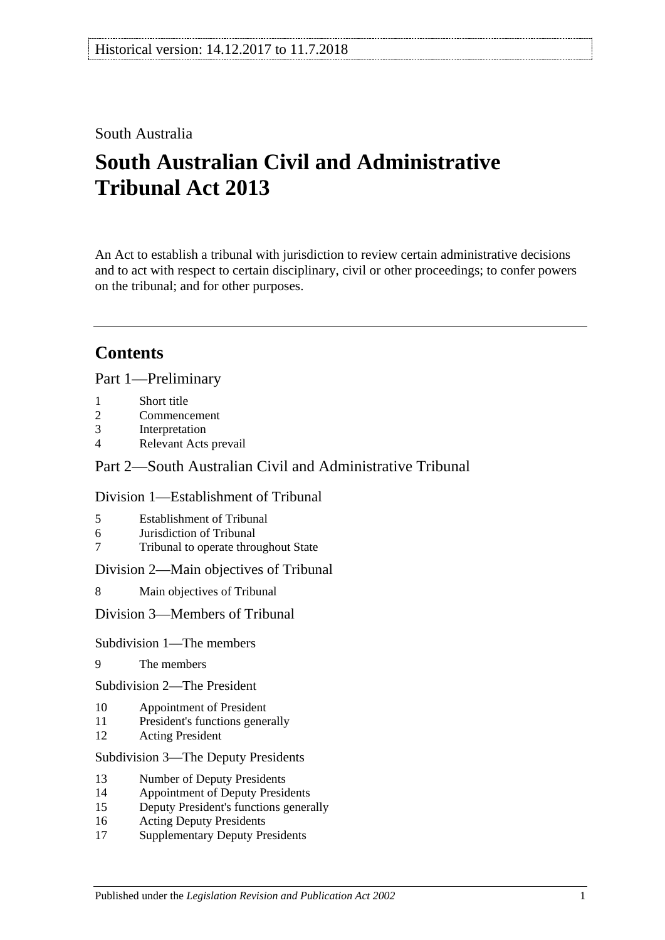# South Australia

# **South Australian Civil and Administrative Tribunal Act 2013**

An Act to establish a tribunal with jurisdiction to review certain administrative decisions and to act with respect to certain disciplinary, civil or other proceedings; to confer powers on the tribunal; and for other purposes.

# **Contents**

Part [1—Preliminary](#page-3-0)

- 1 [Short title](#page-3-1)
- 2 [Commencement](#page-3-2)
- 3 [Interpretation](#page-4-0)
- 4 [Relevant Acts prevail](#page-5-0)

# Part [2—South Australian Civil and Administrative Tribunal](#page-5-1)

### Division [1—Establishment of Tribunal](#page-5-2)

- 5 [Establishment of Tribunal](#page-5-3)
- 6 [Jurisdiction of Tribunal](#page-6-0)
- 7 [Tribunal to operate throughout State](#page-6-1)

Division [2—Main objectives of Tribunal](#page-6-2)

8 [Main objectives of Tribunal](#page-6-3)

Division [3—Members of Tribunal](#page-7-0)

### Subdivision [1—The members](#page-7-1)

9 [The members](#page-7-2)

Subdivision [2—The President](#page-7-3)

- 10 [Appointment of President](#page-7-4)
- 11 [President's functions generally](#page-8-0)
- 12 [Acting President](#page-9-0)

#### Subdivision [3—The Deputy Presidents](#page-9-1)

- 13 [Number of Deputy Presidents](#page-9-2)
- 14 [Appointment of Deputy Presidents](#page-9-3)
- 15 [Deputy President's functions generally](#page-11-0)
- 16 [Acting Deputy Presidents](#page-11-1)
- 17 [Supplementary Deputy Presidents](#page-12-0)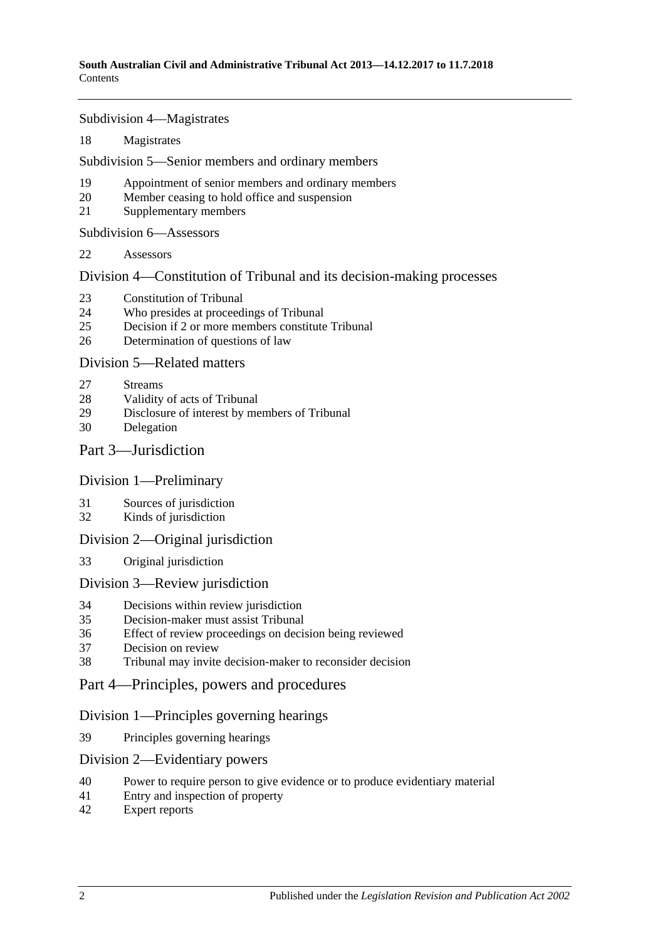Subdivision [4—Magistrates](#page-13-0)

[Magistrates](#page-13-1)

Subdivision [5—Senior members and ordinary members](#page-14-0)

- [Appointment of senior members and ordinary members](#page-14-1)
- [Member ceasing to hold office and suspension](#page-15-0)
- [Supplementary members](#page-16-0)

Subdivision [6—Assessors](#page-16-1)

[Assessors](#page-16-2)

Division [4—Constitution of Tribunal and its decision-making processes](#page-17-0)

- [Constitution of Tribunal](#page-17-1)
- [Who presides at proceedings of Tribunal](#page-18-0)
- [Decision if 2 or more members constitute Tribunal](#page-19-0)
- [Determination of questions of law](#page-19-1)

### Division [5—Related matters](#page-19-2)

- [Streams](#page-19-3)
- [Validity of acts of Tribunal](#page-19-4)
- [Disclosure of interest by members of Tribunal](#page-19-5)
- [Delegation](#page-20-0)

# Part [3—Jurisdiction](#page-20-1)

### Division [1—Preliminary](#page-20-2)

- [Sources of jurisdiction](#page-20-3)
- [Kinds of jurisdiction](#page-20-4)

### Division [2—Original jurisdiction](#page-21-0)

[Original jurisdiction](#page-21-1)

### Division [3—Review jurisdiction](#page-21-2)

- [Decisions within review jurisdiction](#page-21-3)<br>35 Decision-maker must assist Tribunal
- [Decision-maker must assist Tribunal](#page-22-0)
- [Effect of review proceedings on decision being reviewed](#page-23-0)
- [Decision on review](#page-23-1)
- [Tribunal may invite decision-maker to reconsider decision](#page-24-0)
- Part [4—Principles, powers and procedures](#page-25-0)

# Division [1—Principles governing hearings](#page-25-1)

[Principles governing hearings](#page-25-2)

### Division [2—Evidentiary powers](#page-25-3)

- [Power to require person to give evidence or to produce evidentiary material](#page-25-4)
- [Entry and inspection of property](#page-26-0)
- [Expert reports](#page-26-1)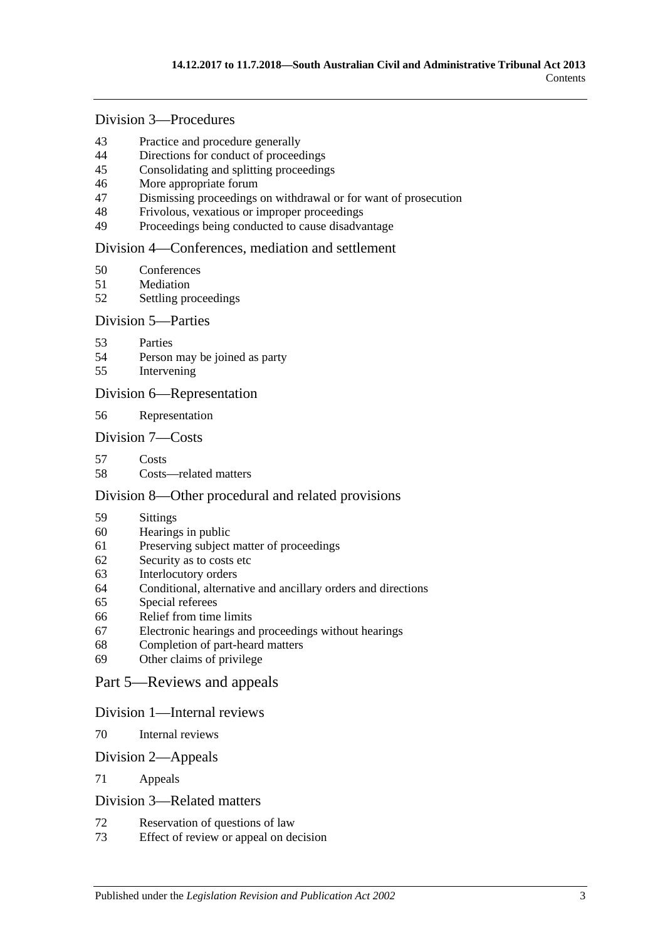# Division [3—Procedures](#page-27-0)

- [Practice and procedure generally](#page-27-1)<br>44 Directions for conduct of proceed
- [Directions for conduct of proceedings](#page-27-2)
- [Consolidating and splitting proceedings](#page-28-0)
- [More appropriate forum](#page-28-1)
- [Dismissing proceedings on withdrawal or for want of prosecution](#page-28-2)
- [Frivolous, vexatious or improper proceedings](#page-28-3)
- [Proceedings being conducted to cause disadvantage](#page-29-0)

### Division [4—Conferences, mediation and settlement](#page-29-1)

- [Conferences](#page-29-2)
- [Mediation](#page-31-0)
- [Settling proceedings](#page-32-0)

### Division [5—Parties](#page-32-1)

- [Parties](#page-32-2)
- [Person may be joined as party](#page-33-0)
- [Intervening](#page-33-1)

### Division [6—Representation](#page-33-2)

[Representation](#page-33-3)

### Division [7—Costs](#page-34-0)

- [Costs](#page-34-1)
- [Costs—related matters](#page-34-2)

### Division [8—Other procedural and related provisions](#page-35-0)

- [Sittings](#page-35-1)
- [Hearings in public](#page-35-2)
- [Preserving subject matter of proceedings](#page-35-3)
- [Security as to costs etc](#page-36-0)
- [Interlocutory orders](#page-37-0)
- [Conditional, alternative and ancillary orders and directions](#page-37-1)
- [Special referees](#page-37-2)
- [Relief from time limits](#page-37-3)
- [Electronic hearings and proceedings without hearings](#page-37-4)
- [Completion of part-heard matters](#page-38-0)
- [Other claims of privilege](#page-38-1)

### Part [5—Reviews and appeals](#page-38-2)

### Division [1—Internal reviews](#page-38-3)

[Internal reviews](#page-38-4)

### Division [2—Appeals](#page-39-0)

[Appeals](#page-39-1)

### Division [3—Related matters](#page-40-0)

- [Reservation of questions of law](#page-40-1)
- [Effect of review or appeal on decision](#page-40-2)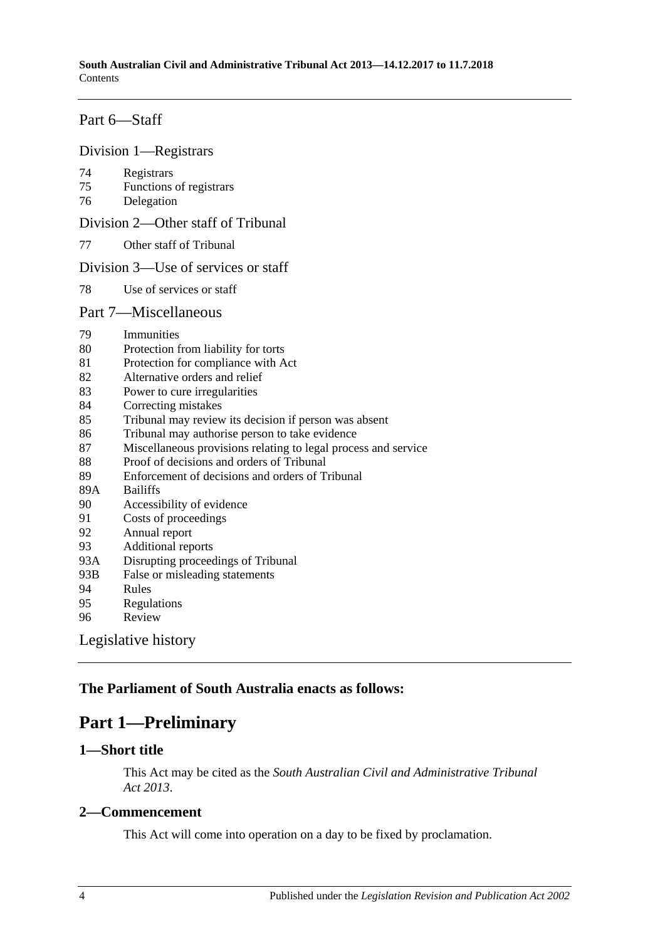# Part [6—Staff](#page-40-3)

#### Division [1—Registrars](#page-40-4)

- 74 [Registrars](#page-40-5)
- 75 [Functions of registrars](#page-41-0)
- 76 [Delegation](#page-42-0)

Division [2—Other staff of Tribunal](#page-42-1)

77 [Other staff of Tribunal](#page-42-2)

#### Division [3—Use of services or staff](#page-42-3)

78 [Use of services or staff](#page-42-4)

#### Part [7—Miscellaneous](#page-42-5)

- 79 [Immunities](#page-42-6)
- 80 [Protection from liability for torts](#page-43-0)
- 81 [Protection for compliance with Act](#page-43-1)
- 82 [Alternative orders and relief](#page-43-2)
- 83 [Power to cure irregularities](#page-43-3)
- 84 [Correcting mistakes](#page-44-0)
- 85 [Tribunal may review its decision if person was absent](#page-44-1)
- 86 [Tribunal may authorise person to take evidence](#page-44-2)
- 87 [Miscellaneous provisions relating to legal process and service](#page-45-0)
- 88 [Proof of decisions and orders of Tribunal](#page-45-1)
- 89 [Enforcement of decisions and orders of Tribunal](#page-45-2)
- 89A [Bailiffs](#page-46-0)
- 90 [Accessibility of evidence](#page-46-1)
- 91 [Costs of proceedings](#page-47-0)
- 92 [Annual report](#page-47-1)
- 93 [Additional reports](#page-47-2)
- 93A [Disrupting proceedings of Tribunal](#page-47-3)
- 93B [False or misleading statements](#page-48-0)
- 94 [Rules](#page-48-1)
- 95 [Regulations](#page-49-0)
- 96 [Review](#page-49-1)

[Legislative history](#page-51-0)

# <span id="page-3-0"></span>**The Parliament of South Australia enacts as follows:**

# **Part 1—Preliminary**

# <span id="page-3-1"></span>**1—Short title**

This Act may be cited as the *South Australian Civil and Administrative Tribunal Act 2013*.

# <span id="page-3-2"></span>**2—Commencement**

This Act will come into operation on a day to be fixed by proclamation.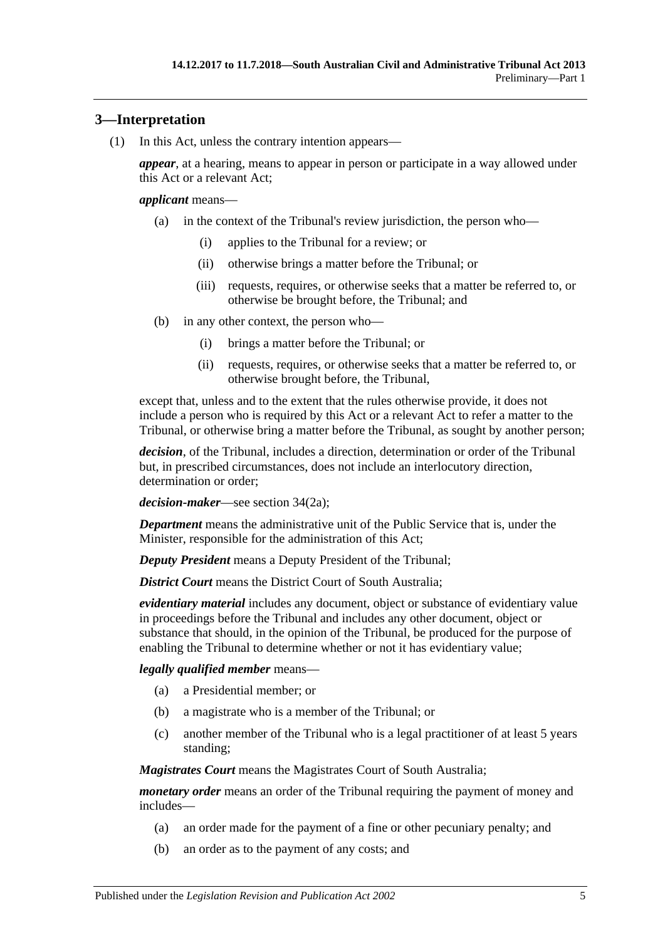# <span id="page-4-0"></span>**3—Interpretation**

(1) In this Act, unless the contrary intention appears—

*appear*, at a hearing, means to appear in person or participate in a way allowed under this Act or a relevant Act;

#### *applicant* means—

- (a) in the context of the Tribunal's review jurisdiction, the person who—
	- (i) applies to the Tribunal for a review; or
	- (ii) otherwise brings a matter before the Tribunal; or
	- (iii) requests, requires, or otherwise seeks that a matter be referred to, or otherwise be brought before, the Tribunal; and
- (b) in any other context, the person who—
	- (i) brings a matter before the Tribunal; or
	- (ii) requests, requires, or otherwise seeks that a matter be referred to, or otherwise brought before, the Tribunal,

except that, unless and to the extent that the rules otherwise provide, it does not include a person who is required by this Act or a relevant Act to refer a matter to the Tribunal, or otherwise bring a matter before the Tribunal, as sought by another person;

*decision*, of the Tribunal, includes a direction, determination or order of the Tribunal but, in prescribed circumstances, does not include an interlocutory direction, determination or order;

*decision-maker*—see section 34(2a);

*Department* means the administrative unit of the Public Service that is, under the Minister, responsible for the administration of this Act;

*Deputy President* means a Deputy President of the Tribunal;

*District Court* means the District Court of South Australia:

*evidentiary material* includes any document, object or substance of evidentiary value in proceedings before the Tribunal and includes any other document, object or substance that should, in the opinion of the Tribunal, be produced for the purpose of enabling the Tribunal to determine whether or not it has evidentiary value;

### *legally qualified member* means—

- (a) a Presidential member; or
- (b) a magistrate who is a member of the Tribunal; or
- (c) another member of the Tribunal who is a legal practitioner of at least 5 years standing;

*Magistrates Court* means the Magistrates Court of South Australia;

*monetary order* means an order of the Tribunal requiring the payment of money and includes—

- (a) an order made for the payment of a fine or other pecuniary penalty; and
- (b) an order as to the payment of any costs; and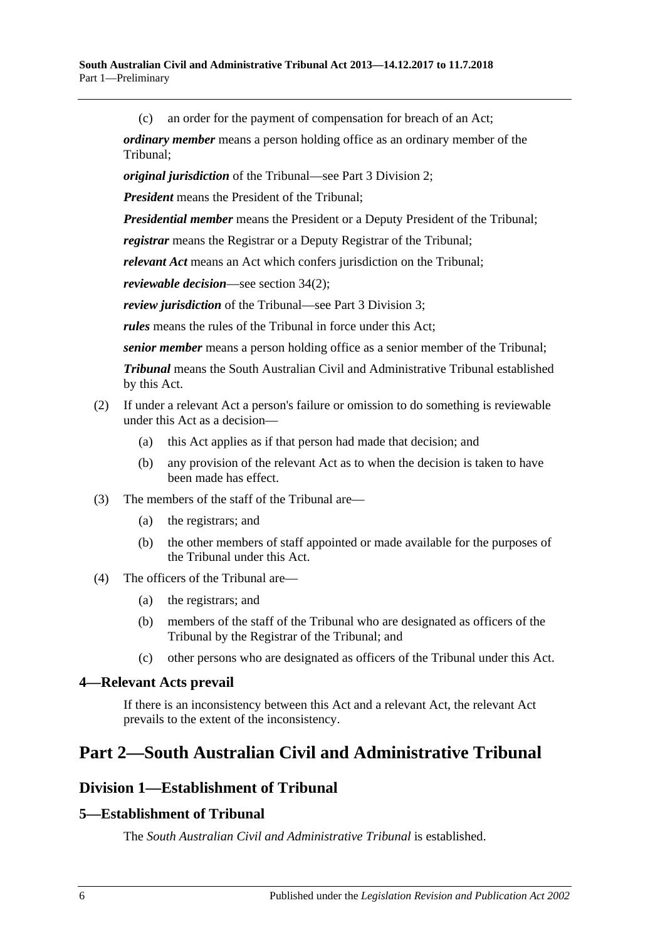(c) an order for the payment of compensation for breach of an Act;

*ordinary member* means a person holding office as an ordinary member of the Tribunal;

*original jurisdiction* of the Tribunal—see Part [3 Division](#page-21-0) 2;

*President* means the President of the Tribunal;

*Presidential member* means the President or a Deputy President of the Tribunal;

*registrar* means the Registrar or a Deputy Registrar of the Tribunal;

*relevant Act* means an Act which confers jurisdiction on the Tribunal;

*reviewable decision*—see section 34(2);

*review jurisdiction* of the Tribunal—see Part [3 Division](#page-21-2) 3;

*rules* means the rules of the Tribunal in force under this Act;

*senior member* means a person holding office as a senior member of the Tribunal;

*Tribunal* means the South Australian Civil and Administrative Tribunal established by this Act.

### (2) If under a relevant Act a person's failure or omission to do something is reviewable under this Act as a decision—

- (a) this Act applies as if that person had made that decision; and
- (b) any provision of the relevant Act as to when the decision is taken to have been made has effect.
- (3) The members of the staff of the Tribunal are—
	- (a) the registrars; and
	- (b) the other members of staff appointed or made available for the purposes of the Tribunal under this Act.
- (4) The officers of the Tribunal are—
	- (a) the registrars; and
	- (b) members of the staff of the Tribunal who are designated as officers of the Tribunal by the Registrar of the Tribunal; and
	- (c) other persons who are designated as officers of the Tribunal under this Act.

### <span id="page-5-0"></span>**4—Relevant Acts prevail**

If there is an inconsistency between this Act and a relevant Act, the relevant Act prevails to the extent of the inconsistency.

# <span id="page-5-2"></span><span id="page-5-1"></span>**Part 2—South Australian Civil and Administrative Tribunal**

# **Division 1—Establishment of Tribunal**

# <span id="page-5-3"></span>**5—Establishment of Tribunal**

The *South Australian Civil and Administrative Tribunal* is established.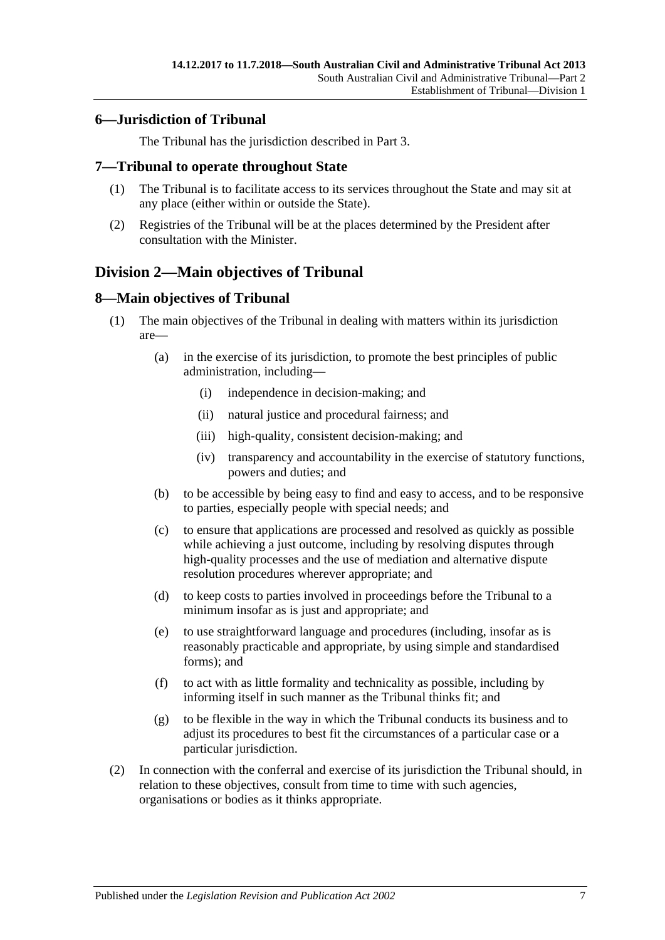# <span id="page-6-0"></span>**6—Jurisdiction of Tribunal**

The Tribunal has the jurisdiction described in [Part](#page-20-1) 3.

### <span id="page-6-1"></span>**7—Tribunal to operate throughout State**

- (1) The Tribunal is to facilitate access to its services throughout the State and may sit at any place (either within or outside the State).
- (2) Registries of the Tribunal will be at the places determined by the President after consultation with the Minister.

# <span id="page-6-2"></span>**Division 2—Main objectives of Tribunal**

# <span id="page-6-3"></span>**8—Main objectives of Tribunal**

- (1) The main objectives of the Tribunal in dealing with matters within its jurisdiction are—
	- (a) in the exercise of its jurisdiction, to promote the best principles of public administration, including—
		- (i) independence in decision-making; and
		- (ii) natural justice and procedural fairness; and
		- (iii) high-quality, consistent decision-making; and
		- (iv) transparency and accountability in the exercise of statutory functions, powers and duties; and
	- (b) to be accessible by being easy to find and easy to access, and to be responsive to parties, especially people with special needs; and
	- (c) to ensure that applications are processed and resolved as quickly as possible while achieving a just outcome, including by resolving disputes through high-quality processes and the use of mediation and alternative dispute resolution procedures wherever appropriate; and
	- (d) to keep costs to parties involved in proceedings before the Tribunal to a minimum insofar as is just and appropriate; and
	- (e) to use straightforward language and procedures (including, insofar as is reasonably practicable and appropriate, by using simple and standardised forms); and
	- (f) to act with as little formality and technicality as possible, including by informing itself in such manner as the Tribunal thinks fit; and
	- (g) to be flexible in the way in which the Tribunal conducts its business and to adjust its procedures to best fit the circumstances of a particular case or a particular jurisdiction.
- (2) In connection with the conferral and exercise of its jurisdiction the Tribunal should, in relation to these objectives, consult from time to time with such agencies, organisations or bodies as it thinks appropriate.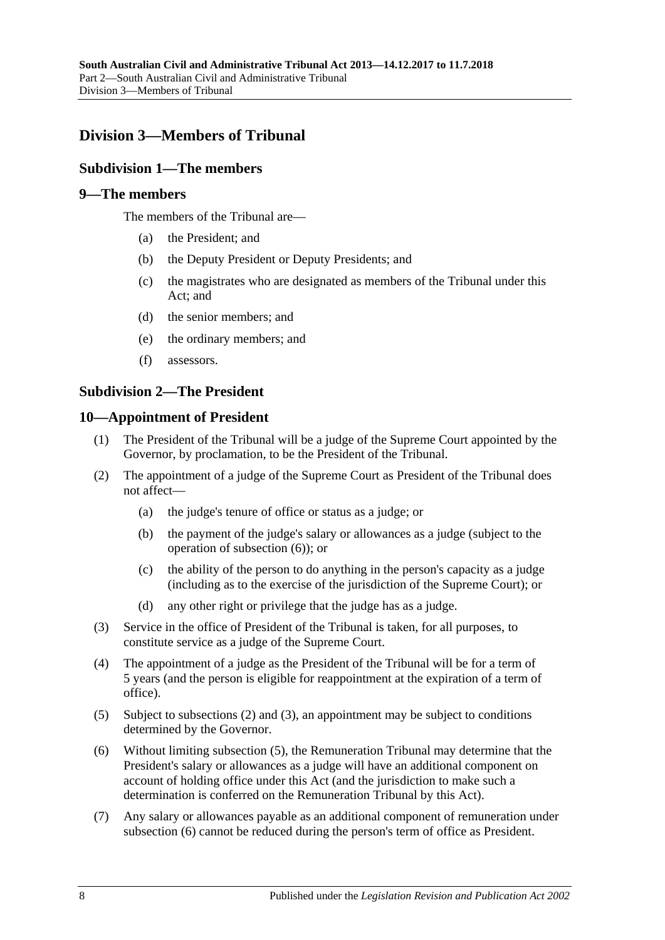# <span id="page-7-0"></span>**Division 3—Members of Tribunal**

# <span id="page-7-1"></span>**Subdivision 1—The members**

### <span id="page-7-2"></span>**9—The members**

The members of the Tribunal are—

- (a) the President; and
- (b) the Deputy President or Deputy Presidents; and
- (c) the magistrates who are designated as members of the Tribunal under this Act; and
- (d) the senior members; and
- (e) the ordinary members; and
- (f) assessors.

### <span id="page-7-3"></span>**Subdivision 2—The President**

### <span id="page-7-4"></span>**10—Appointment of President**

- (1) The President of the Tribunal will be a judge of the Supreme Court appointed by the Governor, by proclamation, to be the President of the Tribunal.
- <span id="page-7-6"></span>(2) The appointment of a judge of the Supreme Court as President of the Tribunal does not affect—
	- (a) the judge's tenure of office or status as a judge; or
	- (b) the payment of the judge's salary or allowances as a judge (subject to the operation of [subsection](#page-7-5) (6)); or
	- (c) the ability of the person to do anything in the person's capacity as a judge (including as to the exercise of the jurisdiction of the Supreme Court); or
	- (d) any other right or privilege that the judge has as a judge.
- <span id="page-7-7"></span>(3) Service in the office of President of the Tribunal is taken, for all purposes, to constitute service as a judge of the Supreme Court.
- (4) The appointment of a judge as the President of the Tribunal will be for a term of 5 years (and the person is eligible for reappointment at the expiration of a term of office).
- <span id="page-7-8"></span>(5) Subject to [subsections](#page-7-6) (2) and [\(3\),](#page-7-7) an appointment may be subject to conditions determined by the Governor.
- <span id="page-7-5"></span>(6) Without limiting [subsection](#page-7-8) (5), the Remuneration Tribunal may determine that the President's salary or allowances as a judge will have an additional component on account of holding office under this Act (and the jurisdiction to make such a determination is conferred on the Remuneration Tribunal by this Act).
- (7) Any salary or allowances payable as an additional component of remuneration under [subsection](#page-7-5) (6) cannot be reduced during the person's term of office as President.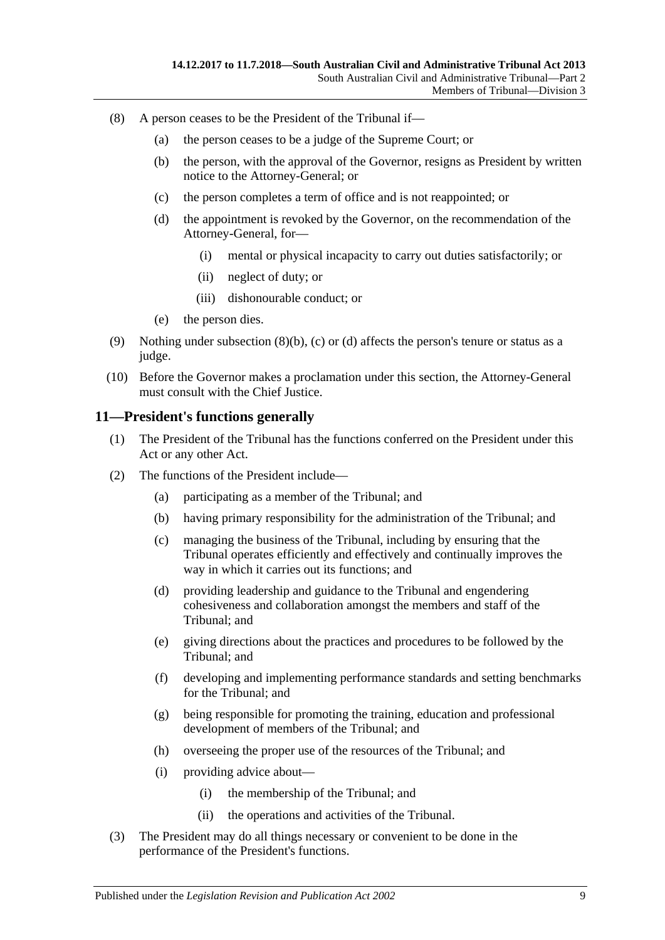- <span id="page-8-3"></span><span id="page-8-2"></span><span id="page-8-1"></span>(8) A person ceases to be the President of the Tribunal if—
	- (a) the person ceases to be a judge of the Supreme Court; or
	- (b) the person, with the approval of the Governor, resigns as President by written notice to the Attorney-General; or
	- (c) the person completes a term of office and is not reappointed; or
	- (d) the appointment is revoked by the Governor, on the recommendation of the Attorney-General, for—
		- (i) mental or physical incapacity to carry out duties satisfactorily; or
		- (ii) neglect of duty; or
		- (iii) dishonourable conduct; or
	- (e) the person dies.
- (9) Nothing under [subsection](#page-8-1)  $(8)(b)$ , [\(c\)](#page-8-2) or [\(d\)](#page-8-3) affects the person's tenure or status as a judge.
- (10) Before the Governor makes a proclamation under this section, the Attorney-General must consult with the Chief Justice.

### <span id="page-8-0"></span>**11—President's functions generally**

- (1) The President of the Tribunal has the functions conferred on the President under this Act or any other Act.
- (2) The functions of the President include—
	- (a) participating as a member of the Tribunal; and
	- (b) having primary responsibility for the administration of the Tribunal; and
	- (c) managing the business of the Tribunal, including by ensuring that the Tribunal operates efficiently and effectively and continually improves the way in which it carries out its functions; and
	- (d) providing leadership and guidance to the Tribunal and engendering cohesiveness and collaboration amongst the members and staff of the Tribunal; and
	- (e) giving directions about the practices and procedures to be followed by the Tribunal; and
	- (f) developing and implementing performance standards and setting benchmarks for the Tribunal; and
	- (g) being responsible for promoting the training, education and professional development of members of the Tribunal; and
	- (h) overseeing the proper use of the resources of the Tribunal; and
	- (i) providing advice about—
		- (i) the membership of the Tribunal; and
		- (ii) the operations and activities of the Tribunal.
- (3) The President may do all things necessary or convenient to be done in the performance of the President's functions.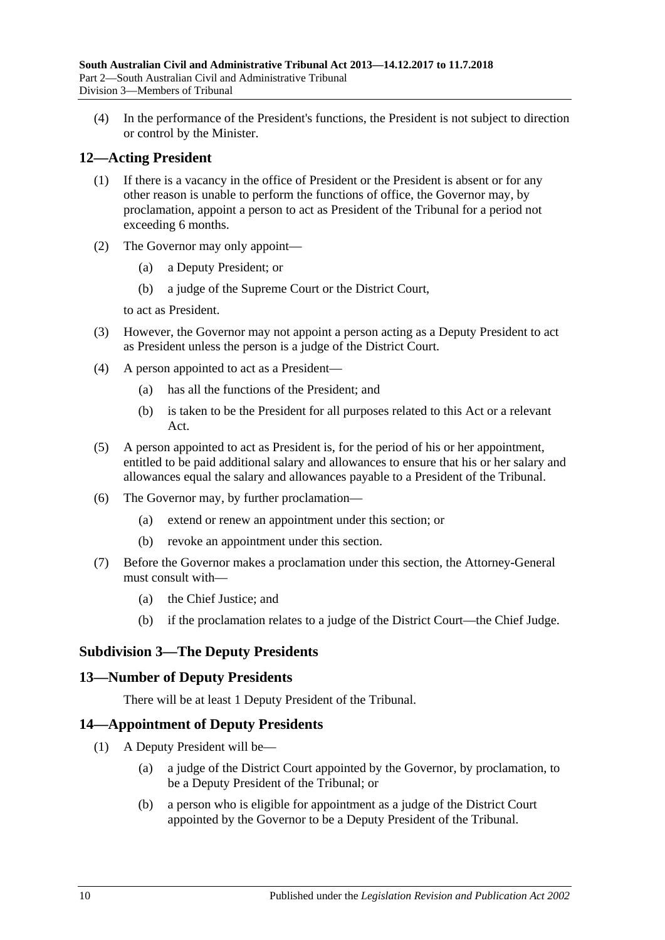(4) In the performance of the President's functions, the President is not subject to direction or control by the Minister.

# <span id="page-9-0"></span>**12—Acting President**

- (1) If there is a vacancy in the office of President or the President is absent or for any other reason is unable to perform the functions of office, the Governor may, by proclamation, appoint a person to act as President of the Tribunal for a period not exceeding 6 months.
- (2) The Governor may only appoint—
	- (a) a Deputy President; or
	- (b) a judge of the Supreme Court or the District Court,

to act as President.

- (3) However, the Governor may not appoint a person acting as a Deputy President to act as President unless the person is a judge of the District Court.
- (4) A person appointed to act as a President—
	- (a) has all the functions of the President; and
	- (b) is taken to be the President for all purposes related to this Act or a relevant Act.
- (5) A person appointed to act as President is, for the period of his or her appointment, entitled to be paid additional salary and allowances to ensure that his or her salary and allowances equal the salary and allowances payable to a President of the Tribunal.
- (6) The Governor may, by further proclamation—
	- (a) extend or renew an appointment under this section; or
	- (b) revoke an appointment under this section.
- (7) Before the Governor makes a proclamation under this section, the Attorney-General must consult with—
	- (a) the Chief Justice; and
	- (b) if the proclamation relates to a judge of the District Court—the Chief Judge.

# <span id="page-9-1"></span>**Subdivision 3—The Deputy Presidents**

### <span id="page-9-2"></span>**13—Number of Deputy Presidents**

There will be at least 1 Deputy President of the Tribunal.

# <span id="page-9-3"></span>**14—Appointment of Deputy Presidents**

- <span id="page-9-5"></span><span id="page-9-4"></span>(1) A Deputy President will be—
	- (a) a judge of the District Court appointed by the Governor, by proclamation, to be a Deputy President of the Tribunal; or
	- (b) a person who is eligible for appointment as a judge of the District Court appointed by the Governor to be a Deputy President of the Tribunal.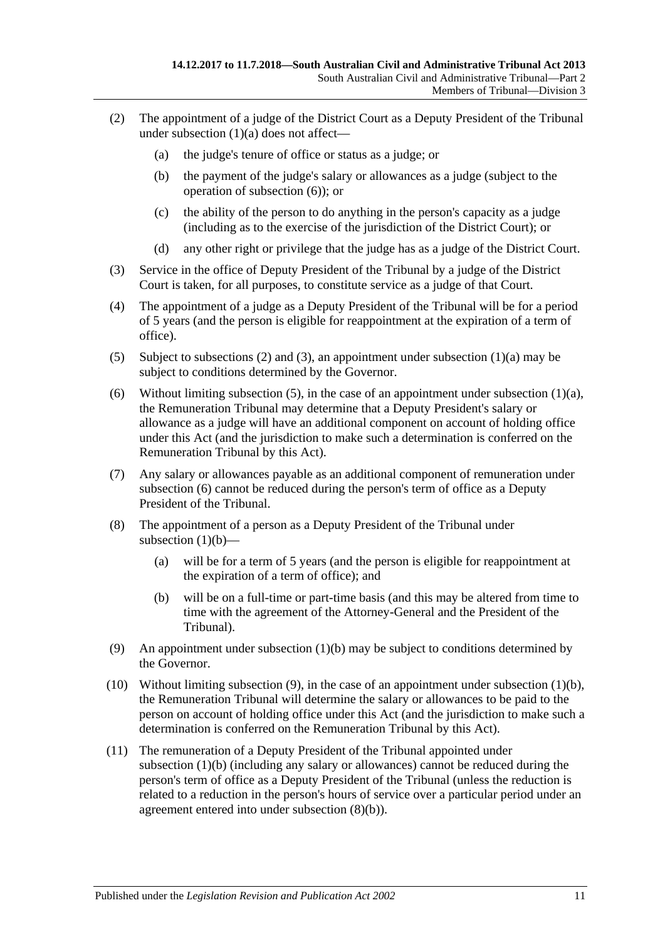- <span id="page-10-1"></span>(2) The appointment of a judge of the District Court as a Deputy President of the Tribunal under [subsection](#page-9-4) (1)(a) does not affect—
	- (a) the judge's tenure of office or status as a judge; or
	- (b) the payment of the judge's salary or allowances as a judge (subject to the operation of [subsection](#page-10-0) (6)); or
	- (c) the ability of the person to do anything in the person's capacity as a judge (including as to the exercise of the jurisdiction of the District Court); or
	- (d) any other right or privilege that the judge has as a judge of the District Court.
- <span id="page-10-2"></span>(3) Service in the office of Deputy President of the Tribunal by a judge of the District Court is taken, for all purposes, to constitute service as a judge of that Court.
- (4) The appointment of a judge as a Deputy President of the Tribunal will be for a period of 5 years (and the person is eligible for reappointment at the expiration of a term of office).
- <span id="page-10-3"></span>(5) Subject to [subsections \(2\)](#page-10-1) and [\(3\),](#page-10-2) an appointment under [subsection](#page-9-4) (1)(a) may be subject to conditions determined by the Governor.
- <span id="page-10-0"></span>(6) Without limiting [subsection](#page-9-4) (5), in the case of an appointment under subsection  $(1)(a)$ , the Remuneration Tribunal may determine that a Deputy President's salary or allowance as a judge will have an additional component on account of holding office under this Act (and the jurisdiction to make such a determination is conferred on the Remuneration Tribunal by this Act).
- (7) Any salary or allowances payable as an additional component of remuneration under [subsection](#page-10-0) (6) cannot be reduced during the person's term of office as a Deputy President of the Tribunal.
- (8) The appointment of a person as a Deputy President of the Tribunal under [subsection](#page-9-5)  $(1)(b)$ —
	- (a) will be for a term of 5 years (and the person is eligible for reappointment at the expiration of a term of office); and
	- (b) will be on a full-time or part-time basis (and this may be altered from time to time with the agreement of the Attorney-General and the President of the Tribunal).
- <span id="page-10-5"></span><span id="page-10-4"></span>(9) An appointment under [subsection](#page-9-5) (1)(b) may be subject to conditions determined by the Governor.
- (10) Without limiting [subsection](#page-10-4) (9), in the case of an appointment under [subsection](#page-9-5) (1)(b), the Remuneration Tribunal will determine the salary or allowances to be paid to the person on account of holding office under this Act (and the jurisdiction to make such a determination is conferred on the Remuneration Tribunal by this Act).
- (11) The remuneration of a Deputy President of the Tribunal appointed under [subsection](#page-9-5) (1)(b) (including any salary or allowances) cannot be reduced during the person's term of office as a Deputy President of the Tribunal (unless the reduction is related to a reduction in the person's hours of service over a particular period under an agreement entered into under [subsection](#page-10-5) (8)(b)).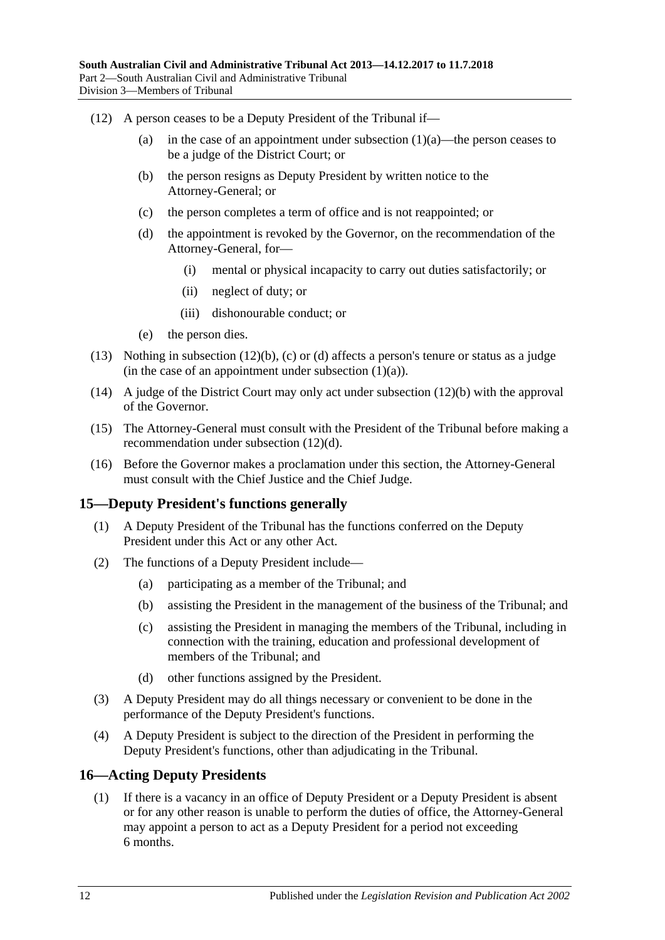- <span id="page-11-4"></span><span id="page-11-3"></span><span id="page-11-2"></span>(12) A person ceases to be a Deputy President of the Tribunal if
	- (a) in the case of an appointment under [subsection](#page-9-4)  $(1)(a)$ —the person ceases to be a judge of the District Court; or
	- (b) the person resigns as Deputy President by written notice to the Attorney-General; or
	- (c) the person completes a term of office and is not reappointed; or
	- (d) the appointment is revoked by the Governor, on the recommendation of the Attorney-General, for—
		- (i) mental or physical incapacity to carry out duties satisfactorily; or
		- (ii) neglect of duty; or
		- (iii) dishonourable conduct; or
	- (e) the person dies.
- (13) Nothing in [subsection](#page-11-2) (12)(b), [\(c\)](#page-11-3) or [\(d\)](#page-11-4) affects a person's tenure or status as a judge (in the case of an appointment under [subsection](#page-9-4)  $(1)(a)$ ).
- (14) A judge of the District Court may only act under [subsection](#page-11-2) (12)(b) with the approval of the Governor.
- (15) The Attorney-General must consult with the President of the Tribunal before making a recommendation under [subsection](#page-11-4) (12)(d).
- (16) Before the Governor makes a proclamation under this section, the Attorney-General must consult with the Chief Justice and the Chief Judge.

# <span id="page-11-0"></span>**15—Deputy President's functions generally**

- (1) A Deputy President of the Tribunal has the functions conferred on the Deputy President under this Act or any other Act.
- (2) The functions of a Deputy President include—
	- (a) participating as a member of the Tribunal; and
	- (b) assisting the President in the management of the business of the Tribunal; and
	- (c) assisting the President in managing the members of the Tribunal, including in connection with the training, education and professional development of members of the Tribunal; and
	- (d) other functions assigned by the President.
- (3) A Deputy President may do all things necessary or convenient to be done in the performance of the Deputy President's functions.
- (4) A Deputy President is subject to the direction of the President in performing the Deputy President's functions, other than adjudicating in the Tribunal.

# <span id="page-11-1"></span>**16—Acting Deputy Presidents**

(1) If there is a vacancy in an office of Deputy President or a Deputy President is absent or for any other reason is unable to perform the duties of office, the Attorney-General may appoint a person to act as a Deputy President for a period not exceeding 6 months.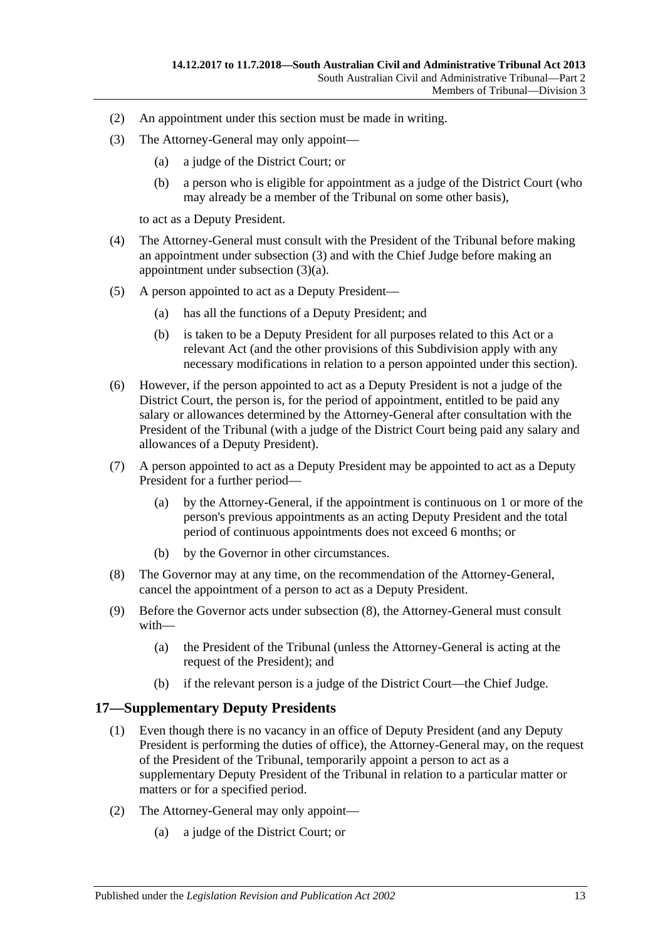- (2) An appointment under this section must be made in writing.
- <span id="page-12-2"></span><span id="page-12-1"></span>(3) The Attorney-General may only appoint—
	- (a) a judge of the District Court; or
	- (b) a person who is eligible for appointment as a judge of the District Court (who may already be a member of the Tribunal on some other basis),

to act as a Deputy President.

- (4) The Attorney-General must consult with the President of the Tribunal before making an appointment under [subsection](#page-12-1) (3) and with the Chief Judge before making an appointment under [subsection](#page-12-2) (3)(a).
- (5) A person appointed to act as a Deputy President—
	- (a) has all the functions of a Deputy President; and
	- (b) is taken to be a Deputy President for all purposes related to this Act or a relevant Act (and the other provisions of this Subdivision apply with any necessary modifications in relation to a person appointed under this section).
- (6) However, if the person appointed to act as a Deputy President is not a judge of the District Court, the person is, for the period of appointment, entitled to be paid any salary or allowances determined by the Attorney-General after consultation with the President of the Tribunal (with a judge of the District Court being paid any salary and allowances of a Deputy President).
- (7) A person appointed to act as a Deputy President may be appointed to act as a Deputy President for a further period—
	- (a) by the Attorney-General, if the appointment is continuous on 1 or more of the person's previous appointments as an acting Deputy President and the total period of continuous appointments does not exceed 6 months; or
	- (b) by the Governor in other circumstances.
- <span id="page-12-3"></span>(8) The Governor may at any time, on the recommendation of the Attorney-General, cancel the appointment of a person to act as a Deputy President.
- (9) Before the Governor acts under [subsection](#page-12-3) (8), the Attorney-General must consult with—
	- (a) the President of the Tribunal (unless the Attorney-General is acting at the request of the President); and
	- (b) if the relevant person is a judge of the District Court—the Chief Judge.

# <span id="page-12-0"></span>**17—Supplementary Deputy Presidents**

- (1) Even though there is no vacancy in an office of Deputy President (and any Deputy President is performing the duties of office), the Attorney-General may, on the request of the President of the Tribunal, temporarily appoint a person to act as a supplementary Deputy President of the Tribunal in relation to a particular matter or matters or for a specified period.
- <span id="page-12-4"></span>(2) The Attorney-General may only appoint—
	- (a) a judge of the District Court; or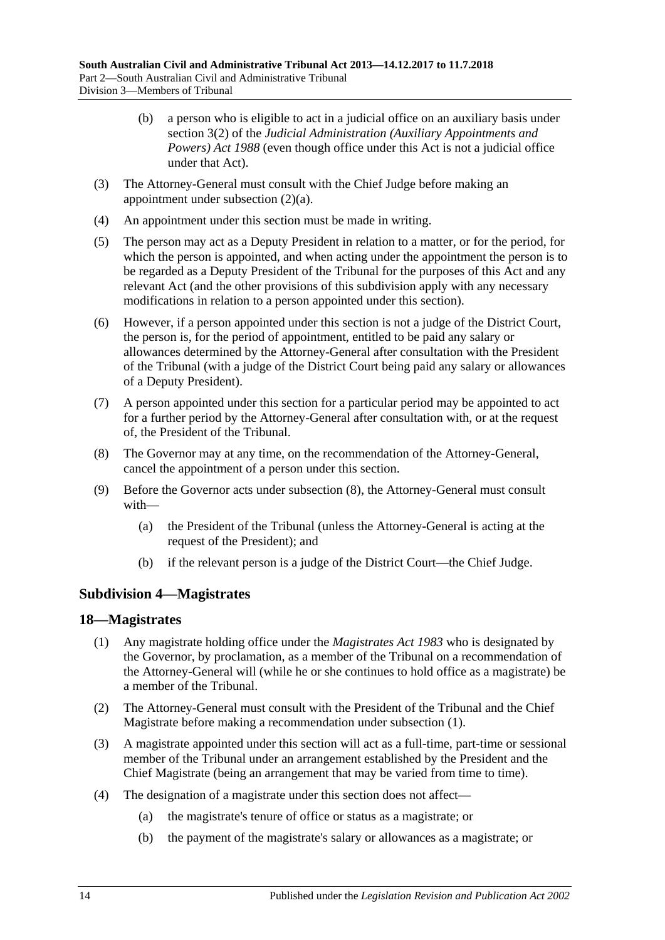- (b) a person who is eligible to act in a judicial office on an auxiliary basis under section 3(2) of the *[Judicial Administration \(Auxiliary Appointments and](http://www.legislation.sa.gov.au/index.aspx?action=legref&type=act&legtitle=Judicial%20Administration%20(Auxiliary%20Appointments%20and%20Powers)%20Act%201988)  [Powers\) Act](http://www.legislation.sa.gov.au/index.aspx?action=legref&type=act&legtitle=Judicial%20Administration%20(Auxiliary%20Appointments%20and%20Powers)%20Act%201988) 1988* (even though office under this Act is not a judicial office under that Act).
- (3) The Attorney-General must consult with the Chief Judge before making an appointment under [subsection](#page-12-4) (2)(a).
- (4) An appointment under this section must be made in writing.
- (5) The person may act as a Deputy President in relation to a matter, or for the period, for which the person is appointed, and when acting under the appointment the person is to be regarded as a Deputy President of the Tribunal for the purposes of this Act and any relevant Act (and the other provisions of this subdivision apply with any necessary modifications in relation to a person appointed under this section).
- (6) However, if a person appointed under this section is not a judge of the District Court, the person is, for the period of appointment, entitled to be paid any salary or allowances determined by the Attorney-General after consultation with the President of the Tribunal (with a judge of the District Court being paid any salary or allowances of a Deputy President).
- (7) A person appointed under this section for a particular period may be appointed to act for a further period by the Attorney-General after consultation with, or at the request of, the President of the Tribunal.
- <span id="page-13-2"></span>(8) The Governor may at any time, on the recommendation of the Attorney-General, cancel the appointment of a person under this section.
- (9) Before the Governor acts under [subsection](#page-13-2) (8), the Attorney-General must consult with—
	- (a) the President of the Tribunal (unless the Attorney-General is acting at the request of the President); and
	- (b) if the relevant person is a judge of the District Court—the Chief Judge.

# <span id="page-13-0"></span>**Subdivision 4—Magistrates**

### <span id="page-13-3"></span><span id="page-13-1"></span>**18—Magistrates**

- (1) Any magistrate holding office under the *[Magistrates Act](http://www.legislation.sa.gov.au/index.aspx?action=legref&type=act&legtitle=Magistrates%20Act%201983) 1983* who is designated by the Governor, by proclamation, as a member of the Tribunal on a recommendation of the Attorney-General will (while he or she continues to hold office as a magistrate) be a member of the Tribunal.
- (2) The Attorney-General must consult with the President of the Tribunal and the Chief Magistrate before making a recommendation under [subsection](#page-13-3) (1).
- (3) A magistrate appointed under this section will act as a full-time, part-time or sessional member of the Tribunal under an arrangement established by the President and the Chief Magistrate (being an arrangement that may be varied from time to time).
- (4) The designation of a magistrate under this section does not affect—
	- (a) the magistrate's tenure of office or status as a magistrate; or
	- (b) the payment of the magistrate's salary or allowances as a magistrate; or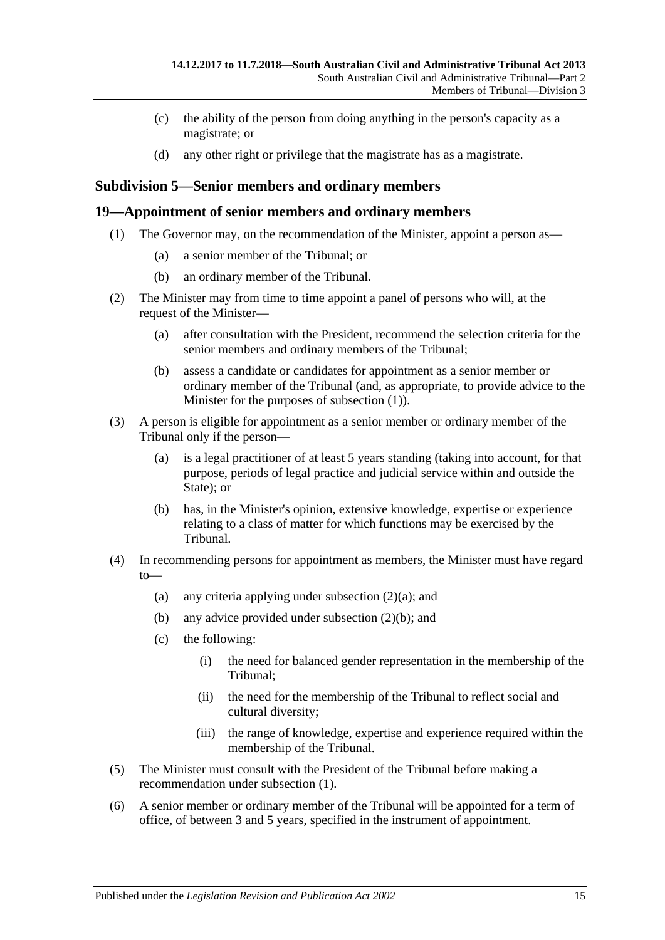- (c) the ability of the person from doing anything in the person's capacity as a magistrate; or
- (d) any other right or privilege that the magistrate has as a magistrate.

# <span id="page-14-0"></span>**Subdivision 5—Senior members and ordinary members**

### <span id="page-14-2"></span><span id="page-14-1"></span>**19—Appointment of senior members and ordinary members**

- (1) The Governor may, on the recommendation of the Minister, appoint a person as—
	- (a) a senior member of the Tribunal; or
	- (b) an ordinary member of the Tribunal.
- <span id="page-14-5"></span><span id="page-14-3"></span>(2) The Minister may from time to time appoint a panel of persons who will, at the request of the Minister—
	- (a) after consultation with the President, recommend the selection criteria for the senior members and ordinary members of the Tribunal;
	- (b) assess a candidate or candidates for appointment as a senior member or ordinary member of the Tribunal (and, as appropriate, to provide advice to the Minister for the purposes of [subsection](#page-14-2) (1)).
- <span id="page-14-4"></span>(3) A person is eligible for appointment as a senior member or ordinary member of the Tribunal only if the person—
	- (a) is a legal practitioner of at least 5 years standing (taking into account, for that purpose, periods of legal practice and judicial service within and outside the State); or
	- (b) has, in the Minister's opinion, extensive knowledge, expertise or experience relating to a class of matter for which functions may be exercised by the Tribunal.
- (4) In recommending persons for appointment as members, the Minister must have regard to
	- (a) any criteria applying under [subsection](#page-14-3)  $(2)(a)$ ; and
	- (b) any advice provided under [subsection](#page-14-4) (2)(b); and
	- (c) the following:
		- (i) the need for balanced gender representation in the membership of the Tribunal;
		- (ii) the need for the membership of the Tribunal to reflect social and cultural diversity;
		- (iii) the range of knowledge, expertise and experience required within the membership of the Tribunal.
- (5) The Minister must consult with the President of the Tribunal before making a recommendation under [subsection](#page-14-2) (1).
- (6) A senior member or ordinary member of the Tribunal will be appointed for a term of office, of between 3 and 5 years, specified in the instrument of appointment.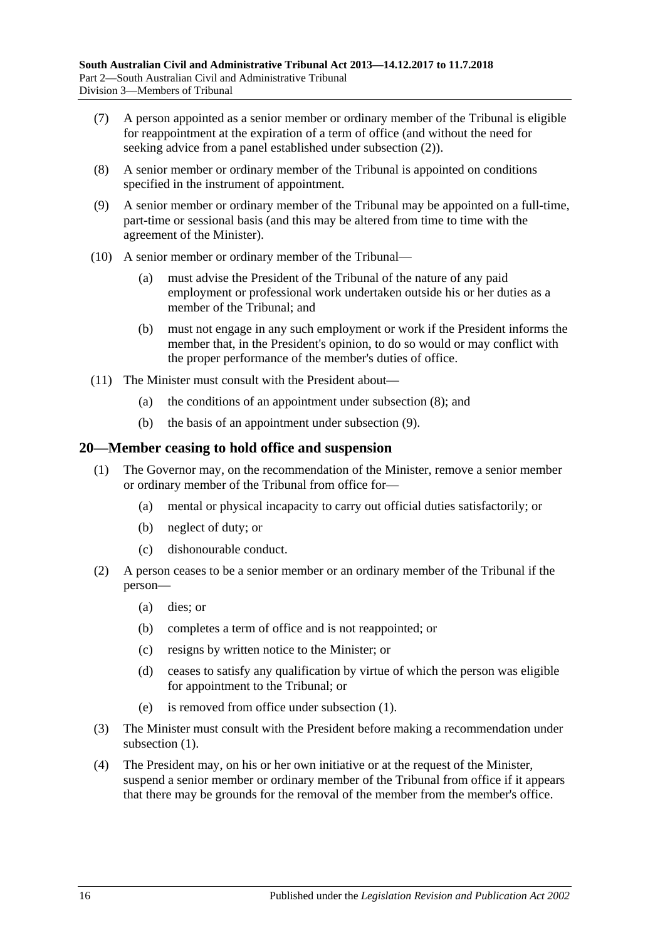- (7) A person appointed as a senior member or ordinary member of the Tribunal is eligible for reappointment at the expiration of a term of office (and without the need for seeking advice from a panel established under [subsection](#page-14-5) (2)).
- <span id="page-15-1"></span>(8) A senior member or ordinary member of the Tribunal is appointed on conditions specified in the instrument of appointment.
- <span id="page-15-2"></span>(9) A senior member or ordinary member of the Tribunal may be appointed on a full-time, part-time or sessional basis (and this may be altered from time to time with the agreement of the Minister).
- (10) A senior member or ordinary member of the Tribunal—
	- (a) must advise the President of the Tribunal of the nature of any paid employment or professional work undertaken outside his or her duties as a member of the Tribunal; and
	- (b) must not engage in any such employment or work if the President informs the member that, in the President's opinion, to do so would or may conflict with the proper performance of the member's duties of office.
- (11) The Minister must consult with the President about—
	- (a) the conditions of an appointment under [subsection](#page-15-1) (8); and
	- (b) the basis of an appointment under [subsection](#page-15-2) (9).

### <span id="page-15-3"></span><span id="page-15-0"></span>**20—Member ceasing to hold office and suspension**

- (1) The Governor may, on the recommendation of the Minister, remove a senior member or ordinary member of the Tribunal from office for—
	- (a) mental or physical incapacity to carry out official duties satisfactorily; or
	- (b) neglect of duty; or
	- (c) dishonourable conduct.
- (2) A person ceases to be a senior member or an ordinary member of the Tribunal if the person—
	- (a) dies; or
	- (b) completes a term of office and is not reappointed; or
	- (c) resigns by written notice to the Minister; or
	- (d) ceases to satisfy any qualification by virtue of which the person was eligible for appointment to the Tribunal; or
	- (e) is removed from office under [subsection](#page-15-3) (1).
- (3) The Minister must consult with the President before making a recommendation under [subsection](#page-15-3)  $(1)$ .
- <span id="page-15-4"></span>(4) The President may, on his or her own initiative or at the request of the Minister, suspend a senior member or ordinary member of the Tribunal from office if it appears that there may be grounds for the removal of the member from the member's office.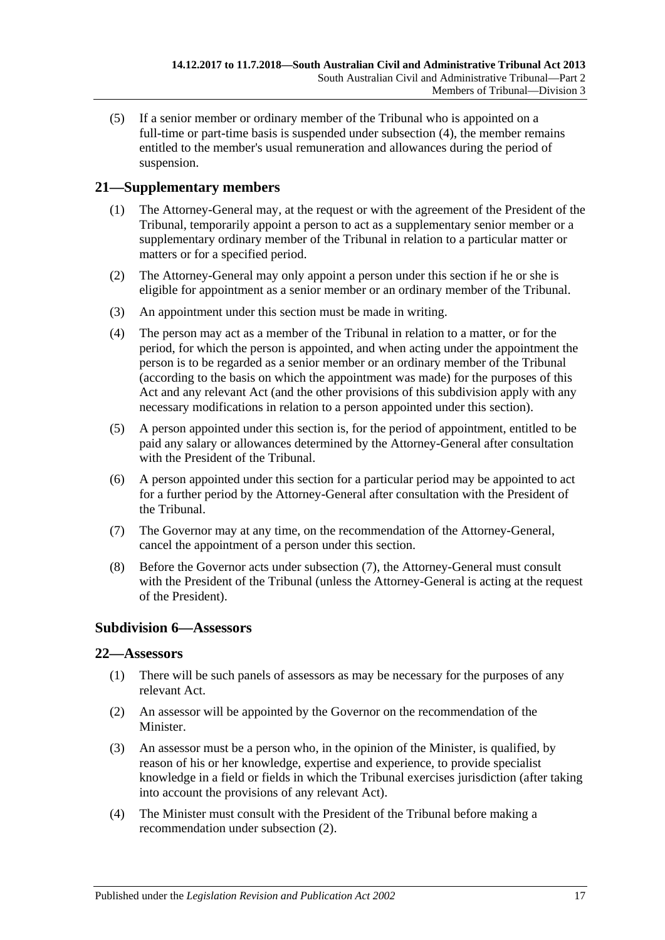(5) If a senior member or ordinary member of the Tribunal who is appointed on a full-time or part-time basis is suspended under [subsection](#page-15-4) (4), the member remains entitled to the member's usual remuneration and allowances during the period of suspension.

# <span id="page-16-0"></span>**21—Supplementary members**

- (1) The Attorney-General may, at the request or with the agreement of the President of the Tribunal, temporarily appoint a person to act as a supplementary senior member or a supplementary ordinary member of the Tribunal in relation to a particular matter or matters or for a specified period.
- (2) The Attorney-General may only appoint a person under this section if he or she is eligible for appointment as a senior member or an ordinary member of the Tribunal.
- (3) An appointment under this section must be made in writing.
- (4) The person may act as a member of the Tribunal in relation to a matter, or for the period, for which the person is appointed, and when acting under the appointment the person is to be regarded as a senior member or an ordinary member of the Tribunal (according to the basis on which the appointment was made) for the purposes of this Act and any relevant Act (and the other provisions of this subdivision apply with any necessary modifications in relation to a person appointed under this section).
- (5) A person appointed under this section is, for the period of appointment, entitled to be paid any salary or allowances determined by the Attorney-General after consultation with the President of the Tribunal.
- (6) A person appointed under this section for a particular period may be appointed to act for a further period by the Attorney-General after consultation with the President of the Tribunal.
- <span id="page-16-3"></span>(7) The Governor may at any time, on the recommendation of the Attorney-General, cancel the appointment of a person under this section.
- (8) Before the Governor acts under [subsection](#page-16-3) (7), the Attorney-General must consult with the President of the Tribunal (unless the Attorney-General is acting at the request of the President).

# <span id="page-16-1"></span>**Subdivision 6—Assessors**

# <span id="page-16-2"></span>**22—Assessors**

- (1) There will be such panels of assessors as may be necessary for the purposes of any relevant Act.
- <span id="page-16-4"></span>(2) An assessor will be appointed by the Governor on the recommendation of the Minister.
- (3) An assessor must be a person who, in the opinion of the Minister, is qualified, by reason of his or her knowledge, expertise and experience, to provide specialist knowledge in a field or fields in which the Tribunal exercises jurisdiction (after taking into account the provisions of any relevant Act).
- (4) The Minister must consult with the President of the Tribunal before making a recommendation under [subsection](#page-16-4) (2).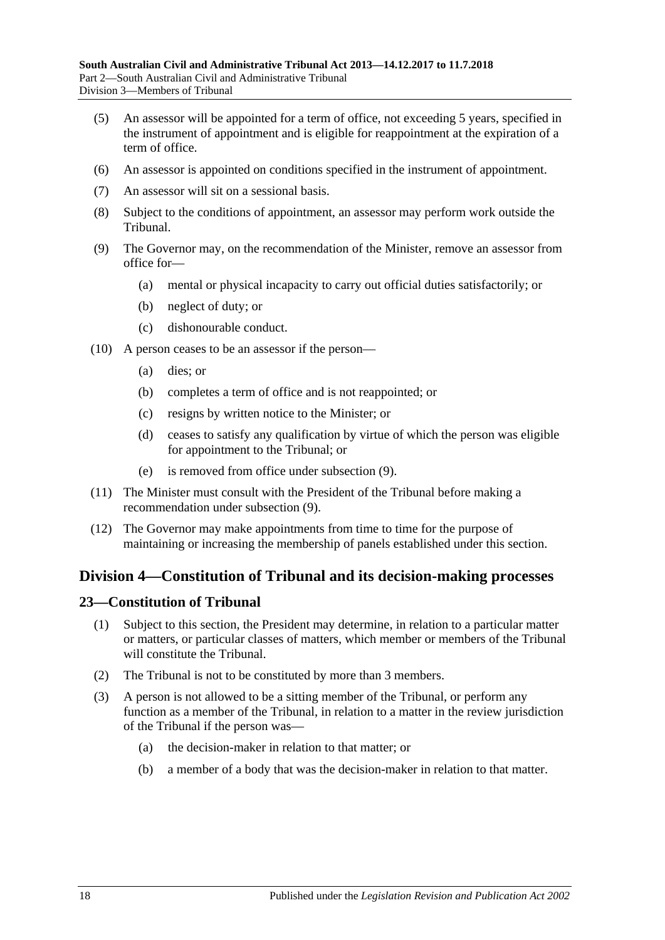- (5) An assessor will be appointed for a term of office, not exceeding 5 years, specified in the instrument of appointment and is eligible for reappointment at the expiration of a term of office.
- (6) An assessor is appointed on conditions specified in the instrument of appointment.
- (7) An assessor will sit on a sessional basis.
- (8) Subject to the conditions of appointment, an assessor may perform work outside the Tribunal.
- <span id="page-17-2"></span>(9) The Governor may, on the recommendation of the Minister, remove an assessor from office for—
	- (a) mental or physical incapacity to carry out official duties satisfactorily; or
	- (b) neglect of duty; or
	- (c) dishonourable conduct.
- (10) A person ceases to be an assessor if the person—
	- (a) dies; or
	- (b) completes a term of office and is not reappointed; or
	- (c) resigns by written notice to the Minister; or
	- (d) ceases to satisfy any qualification by virtue of which the person was eligible for appointment to the Tribunal; or
	- (e) is removed from office under [subsection](#page-17-2) (9).
- (11) The Minister must consult with the President of the Tribunal before making a recommendation under [subsection](#page-17-2) (9).
- (12) The Governor may make appointments from time to time for the purpose of maintaining or increasing the membership of panels established under this section.

# <span id="page-17-0"></span>**Division 4—Constitution of Tribunal and its decision-making processes**

### <span id="page-17-1"></span>**23—Constitution of Tribunal**

- (1) Subject to this section, the President may determine, in relation to a particular matter or matters, or particular classes of matters, which member or members of the Tribunal will constitute the Tribunal.
- (2) The Tribunal is not to be constituted by more than 3 members.
- (3) A person is not allowed to be a sitting member of the Tribunal, or perform any function as a member of the Tribunal, in relation to a matter in the review jurisdiction of the Tribunal if the person was—
	- (a) the decision-maker in relation to that matter; or
	- (b) a member of a body that was the decision-maker in relation to that matter.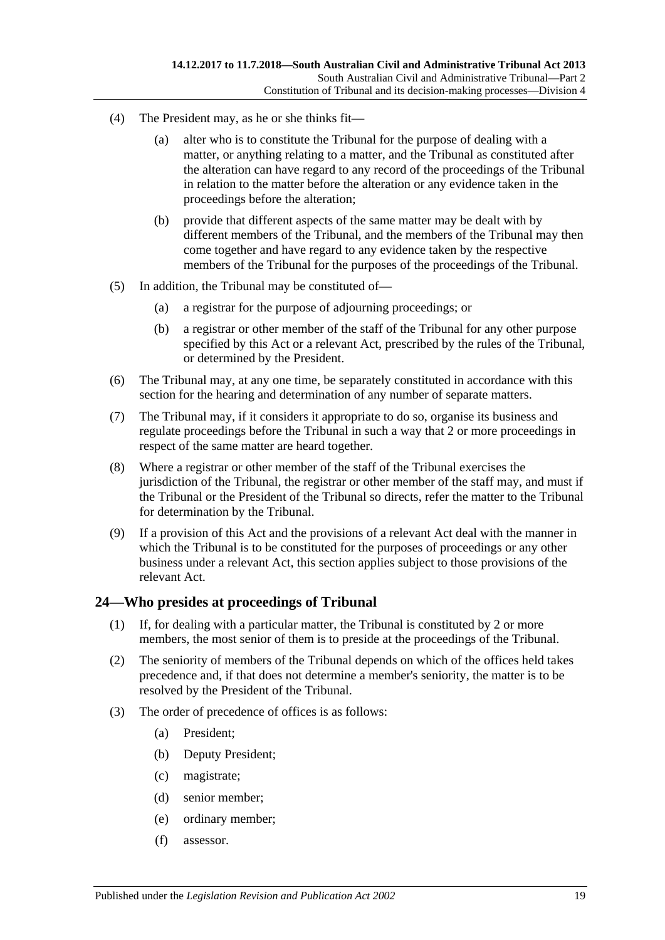- (4) The President may, as he or she thinks fit—
	- (a) alter who is to constitute the Tribunal for the purpose of dealing with a matter, or anything relating to a matter, and the Tribunal as constituted after the alteration can have regard to any record of the proceedings of the Tribunal in relation to the matter before the alteration or any evidence taken in the proceedings before the alteration;
	- (b) provide that different aspects of the same matter may be dealt with by different members of the Tribunal, and the members of the Tribunal may then come together and have regard to any evidence taken by the respective members of the Tribunal for the purposes of the proceedings of the Tribunal.
- (5) In addition, the Tribunal may be constituted of—
	- (a) a registrar for the purpose of adjourning proceedings; or
	- (b) a registrar or other member of the staff of the Tribunal for any other purpose specified by this Act or a relevant Act, prescribed by the rules of the Tribunal, or determined by the President.
- (6) The Tribunal may, at any one time, be separately constituted in accordance with this section for the hearing and determination of any number of separate matters.
- (7) The Tribunal may, if it considers it appropriate to do so, organise its business and regulate proceedings before the Tribunal in such a way that 2 or more proceedings in respect of the same matter are heard together.
- (8) Where a registrar or other member of the staff of the Tribunal exercises the jurisdiction of the Tribunal, the registrar or other member of the staff may, and must if the Tribunal or the President of the Tribunal so directs, refer the matter to the Tribunal for determination by the Tribunal.
- (9) If a provision of this Act and the provisions of a relevant Act deal with the manner in which the Tribunal is to be constituted for the purposes of proceedings or any other business under a relevant Act, this section applies subject to those provisions of the relevant Act.

# <span id="page-18-0"></span>**24—Who presides at proceedings of Tribunal**

- (1) If, for dealing with a particular matter, the Tribunal is constituted by 2 or more members, the most senior of them is to preside at the proceedings of the Tribunal.
- (2) The seniority of members of the Tribunal depends on which of the offices held takes precedence and, if that does not determine a member's seniority, the matter is to be resolved by the President of the Tribunal.
- (3) The order of precedence of offices is as follows:
	- (a) President;
	- (b) Deputy President;
	- (c) magistrate;
	- (d) senior member;
	- (e) ordinary member;
	- (f) assessor.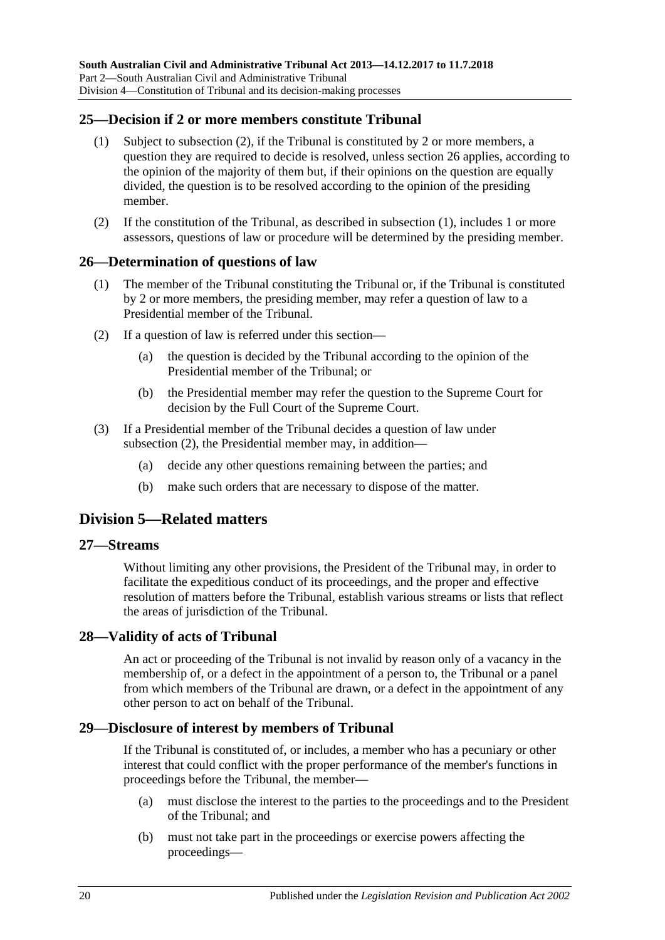# <span id="page-19-7"></span><span id="page-19-0"></span>**25—Decision if 2 or more members constitute Tribunal**

- (1) Subject to [subsection](#page-19-6) (2), if the Tribunal is constituted by 2 or more members, a question they are required to decide is resolved, unless [section](#page-19-1) 26 applies, according to the opinion of the majority of them but, if their opinions on the question are equally divided, the question is to be resolved according to the opinion of the presiding member.
- <span id="page-19-6"></span>(2) If the constitution of the Tribunal, as described in [subsection](#page-19-7) (1), includes 1 or more assessors, questions of law or procedure will be determined by the presiding member.

### <span id="page-19-1"></span>**26—Determination of questions of law**

- (1) The member of the Tribunal constituting the Tribunal or, if the Tribunal is constituted by 2 or more members, the presiding member, may refer a question of law to a Presidential member of the Tribunal.
- <span id="page-19-8"></span>(2) If a question of law is referred under this section—
	- (a) the question is decided by the Tribunal according to the opinion of the Presidential member of the Tribunal; or
	- (b) the Presidential member may refer the question to the Supreme Court for decision by the Full Court of the Supreme Court.
- (3) If a Presidential member of the Tribunal decides a question of law under [subsection](#page-19-8) (2), the Presidential member may, in addition—
	- (a) decide any other questions remaining between the parties; and
	- (b) make such orders that are necessary to dispose of the matter.

# <span id="page-19-2"></span>**Division 5—Related matters**

#### <span id="page-19-3"></span>**27—Streams**

Without limiting any other provisions, the President of the Tribunal may, in order to facilitate the expeditious conduct of its proceedings, and the proper and effective resolution of matters before the Tribunal, establish various streams or lists that reflect the areas of jurisdiction of the Tribunal.

# <span id="page-19-4"></span>**28—Validity of acts of Tribunal**

An act or proceeding of the Tribunal is not invalid by reason only of a vacancy in the membership of, or a defect in the appointment of a person to, the Tribunal or a panel from which members of the Tribunal are drawn, or a defect in the appointment of any other person to act on behalf of the Tribunal.

### <span id="page-19-5"></span>**29—Disclosure of interest by members of Tribunal**

If the Tribunal is constituted of, or includes, a member who has a pecuniary or other interest that could conflict with the proper performance of the member's functions in proceedings before the Tribunal, the member—

- (a) must disclose the interest to the parties to the proceedings and to the President of the Tribunal; and
- (b) must not take part in the proceedings or exercise powers affecting the proceedings—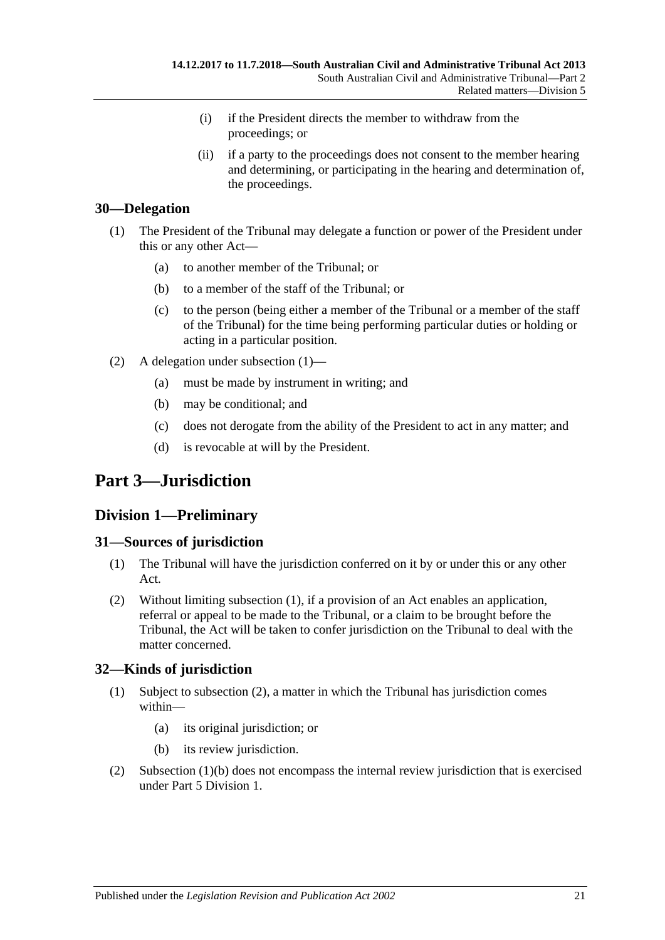- (i) if the President directs the member to withdraw from the proceedings; or
- (ii) if a party to the proceedings does not consent to the member hearing and determining, or participating in the hearing and determination of, the proceedings.

# <span id="page-20-5"></span><span id="page-20-0"></span>**30—Delegation**

- (1) The President of the Tribunal may delegate a function or power of the President under this or any other Act—
	- (a) to another member of the Tribunal; or
	- (b) to a member of the staff of the Tribunal; or
	- (c) to the person (being either a member of the Tribunal or a member of the staff of the Tribunal) for the time being performing particular duties or holding or acting in a particular position.
- (2) A delegation under [subsection](#page-20-5) (1)—
	- (a) must be made by instrument in writing; and
	- (b) may be conditional; and
	- (c) does not derogate from the ability of the President to act in any matter; and
	- (d) is revocable at will by the President.

# <span id="page-20-1"></span>**Part 3—Jurisdiction**

# <span id="page-20-2"></span>**Division 1—Preliminary**

# <span id="page-20-6"></span><span id="page-20-3"></span>**31—Sources of jurisdiction**

- (1) The Tribunal will have the jurisdiction conferred on it by or under this or any other Act.
- (2) Without limiting [subsection](#page-20-6) (1), if a provision of an Act enables an application, referral or appeal to be made to the Tribunal, or a claim to be brought before the Tribunal, the Act will be taken to confer jurisdiction on the Tribunal to deal with the matter concerned.

# <span id="page-20-4"></span>**32—Kinds of jurisdiction**

- (1) Subject to [subsection](#page-20-7) (2), a matter in which the Tribunal has jurisdiction comes within—
	- (a) its original jurisdiction; or
	- (b) its review jurisdiction.
- <span id="page-20-8"></span><span id="page-20-7"></span>(2) [Subsection](#page-20-8) (1)(b) does not encompass the internal review jurisdiction that is exercised under Part [5 Division](#page-38-3) 1.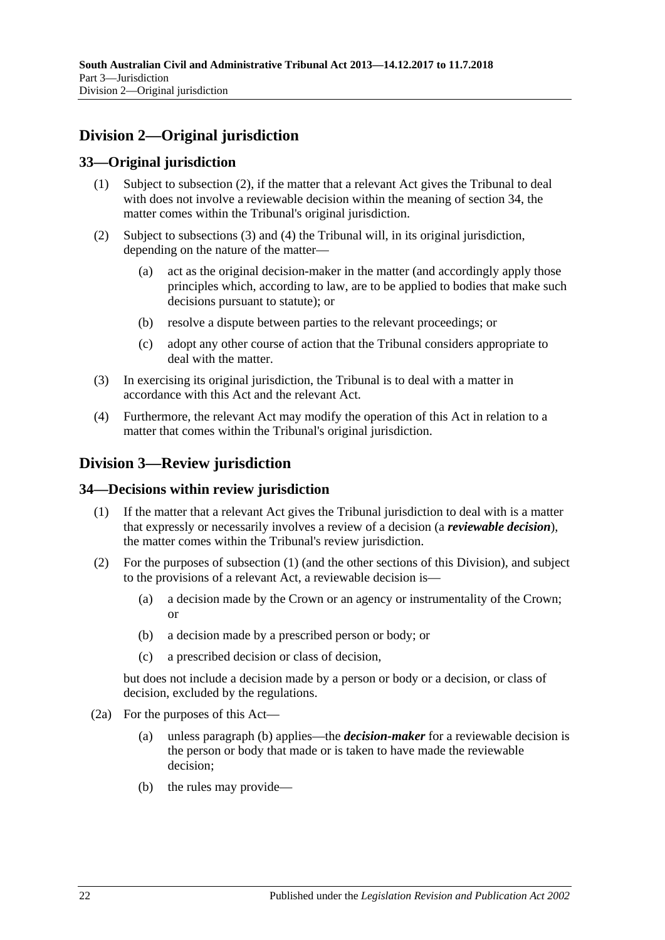# <span id="page-21-0"></span>**Division 2—Original jurisdiction**

# <span id="page-21-1"></span>**33—Original jurisdiction**

- (1) Subject to subsection (2), if the matter that a relevant Act gives the Tribunal to deal with does not involve a reviewable decision within the meaning of [section](#page-21-3) 34, the matter comes within the Tribunal's original jurisdiction.
- (2) Subject to [subsections](#page-21-4) (3) and [\(4\)](#page-21-5) the Tribunal will, in its original jurisdiction, depending on the nature of the matter—
	- (a) act as the original decision-maker in the matter (and accordingly apply those principles which, according to law, are to be applied to bodies that make such decisions pursuant to statute); or
	- (b) resolve a dispute between parties to the relevant proceedings; or
	- (c) adopt any other course of action that the Tribunal considers appropriate to deal with the matter.
- <span id="page-21-4"></span>(3) In exercising its original jurisdiction, the Tribunal is to deal with a matter in accordance with this Act and the relevant Act.
- <span id="page-21-5"></span>(4) Furthermore, the relevant Act may modify the operation of this Act in relation to a matter that comes within the Tribunal's original jurisdiction.

# <span id="page-21-2"></span>**Division 3—Review jurisdiction**

# <span id="page-21-6"></span><span id="page-21-3"></span>**34—Decisions within review jurisdiction**

- (1) If the matter that a relevant Act gives the Tribunal jurisdiction to deal with is a matter that expressly or necessarily involves a review of a decision (a *reviewable decision*), the matter comes within the Tribunal's review jurisdiction.
- (2) For the purposes of [subsection](#page-21-6) (1) (and the other sections of this Division), and subject to the provisions of a relevant Act, a reviewable decision is—
	- (a) a decision made by the Crown or an agency or instrumentality of the Crown; or
	- (b) a decision made by a prescribed person or body; or
	- (c) a prescribed decision or class of decision,

but does not include a decision made by a person or body or a decision, or class of decision, excluded by the regulations.

- <span id="page-21-8"></span><span id="page-21-7"></span>(2a) For the purposes of this Act—
	- (a) unless [paragraph](#page-21-7) (b) applies—the *decision-maker* for a reviewable decision is the person or body that made or is taken to have made the reviewable decision;
	- (b) the rules may provide—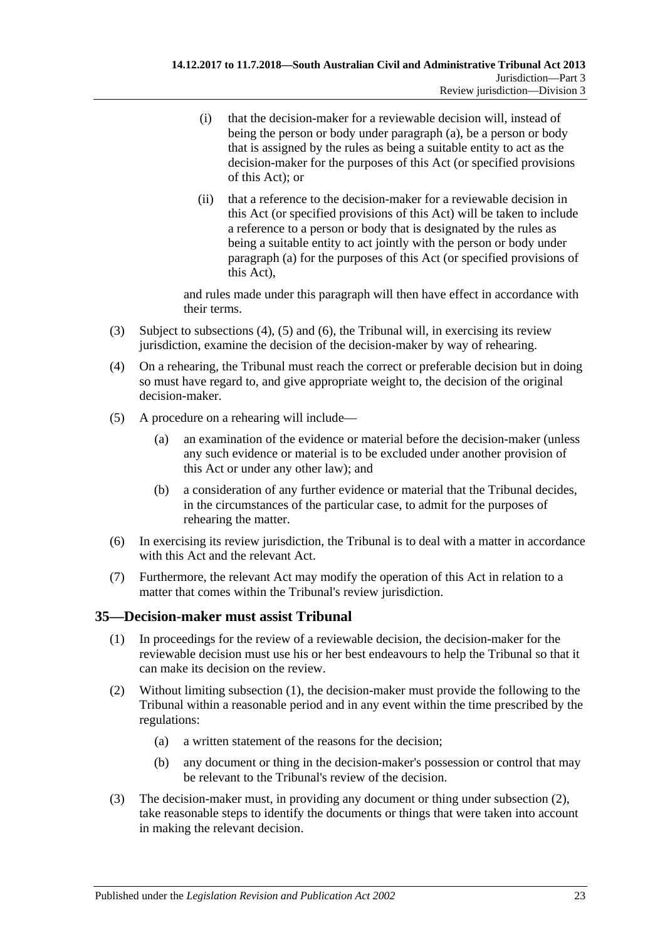- (i) that the decision-maker for a reviewable decision will, instead of being the person or body under [paragraph](#page-21-8) (a), be a person or body that is assigned by the rules as being a suitable entity to act as the decision-maker for the purposes of this Act (or specified provisions of this Act); or
- (ii) that a reference to the decision-maker for a reviewable decision in this Act (or specified provisions of this Act) will be taken to include a reference to a person or body that is designated by the rules as being a suitable entity to act jointly with the person or body under [paragraph](#page-21-8) (a) for the purposes of this Act (or specified provisions of this Act),

and rules made under this paragraph will then have effect in accordance with their terms.

- (3) Subject to [subsections \(4\),](#page-22-1) [\(5\)](#page-22-2) and [\(6\),](#page-22-3) the Tribunal will, in exercising its review jurisdiction, examine the decision of the decision-maker by way of rehearing.
- <span id="page-22-1"></span>(4) On a rehearing, the Tribunal must reach the correct or preferable decision but in doing so must have regard to, and give appropriate weight to, the decision of the original decision-maker.
- <span id="page-22-2"></span>(5) A procedure on a rehearing will include—
	- (a) an examination of the evidence or material before the decision-maker (unless any such evidence or material is to be excluded under another provision of this Act or under any other law); and
	- (b) a consideration of any further evidence or material that the Tribunal decides, in the circumstances of the particular case, to admit for the purposes of rehearing the matter.
- <span id="page-22-3"></span>(6) In exercising its review jurisdiction, the Tribunal is to deal with a matter in accordance with this Act and the relevant Act.
- (7) Furthermore, the relevant Act may modify the operation of this Act in relation to a matter that comes within the Tribunal's review jurisdiction.

# <span id="page-22-4"></span><span id="page-22-0"></span>**35—Decision-maker must assist Tribunal**

- (1) In proceedings for the review of a reviewable decision, the decision-maker for the reviewable decision must use his or her best endeavours to help the Tribunal so that it can make its decision on the review.
- <span id="page-22-6"></span><span id="page-22-5"></span>(2) Without limiting [subsection](#page-22-4) (1), the decision-maker must provide the following to the Tribunal within a reasonable period and in any event within the time prescribed by the regulations:
	- (a) a written statement of the reasons for the decision;
	- (b) any document or thing in the decision-maker's possession or control that may be relevant to the Tribunal's review of the decision.
- (3) The decision-maker must, in providing any document or thing under [subsection](#page-22-5) (2), take reasonable steps to identify the documents or things that were taken into account in making the relevant decision.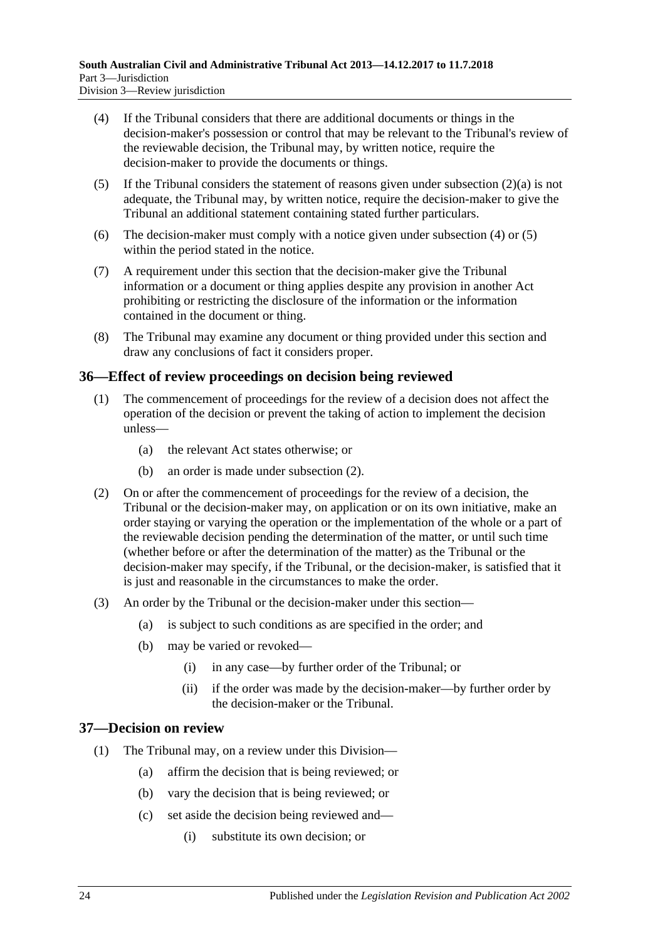- <span id="page-23-2"></span>(4) If the Tribunal considers that there are additional documents or things in the decision-maker's possession or control that may be relevant to the Tribunal's review of the reviewable decision, the Tribunal may, by written notice, require the decision-maker to provide the documents or things.
- <span id="page-23-3"></span>(5) If the Tribunal considers the statement of reasons given under [subsection](#page-22-6)  $(2)(a)$  is not adequate, the Tribunal may, by written notice, require the decision-maker to give the Tribunal an additional statement containing stated further particulars.
- (6) The decision-maker must comply with a notice given under [subsection](#page-23-2) (4) or [\(5\)](#page-23-3) within the period stated in the notice.
- (7) A requirement under this section that the decision-maker give the Tribunal information or a document or thing applies despite any provision in another Act prohibiting or restricting the disclosure of the information or the information contained in the document or thing.
- (8) The Tribunal may examine any document or thing provided under this section and draw any conclusions of fact it considers proper.

# <span id="page-23-0"></span>**36—Effect of review proceedings on decision being reviewed**

- (1) The commencement of proceedings for the review of a decision does not affect the operation of the decision or prevent the taking of action to implement the decision unless—
	- (a) the relevant Act states otherwise; or
	- (b) an order is made under [subsection](#page-23-4) (2).
- <span id="page-23-4"></span>(2) On or after the commencement of proceedings for the review of a decision, the Tribunal or the decision-maker may, on application or on its own initiative, make an order staying or varying the operation or the implementation of the whole or a part of the reviewable decision pending the determination of the matter, or until such time (whether before or after the determination of the matter) as the Tribunal or the decision-maker may specify, if the Tribunal, or the decision-maker, is satisfied that it is just and reasonable in the circumstances to make the order.
- (3) An order by the Tribunal or the decision-maker under this section—
	- (a) is subject to such conditions as are specified in the order; and
	- (b) may be varied or revoked—
		- (i) in any case—by further order of the Tribunal; or
		- (ii) if the order was made by the decision-maker—by further order by the decision-maker or the Tribunal.

# <span id="page-23-1"></span>**37—Decision on review**

- (1) The Tribunal may, on a review under this Division—
	- (a) affirm the decision that is being reviewed; or
	- (b) vary the decision that is being reviewed; or
	- (c) set aside the decision being reviewed and—
		- (i) substitute its own decision; or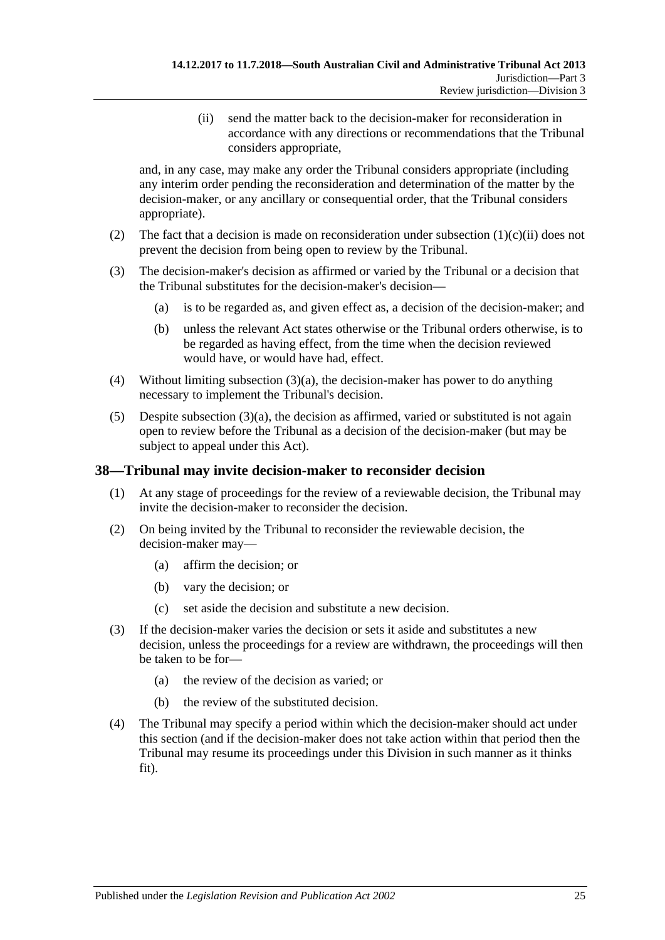(ii) send the matter back to the decision-maker for reconsideration in accordance with any directions or recommendations that the Tribunal considers appropriate,

<span id="page-24-1"></span>and, in any case, may make any order the Tribunal considers appropriate (including any interim order pending the reconsideration and determination of the matter by the decision-maker, or any ancillary or consequential order, that the Tribunal considers appropriate).

- (2) The fact that a decision is made on reconsideration under [subsection](#page-24-1)  $(1)(c)(ii)$  does not prevent the decision from being open to review by the Tribunal.
- <span id="page-24-2"></span>(3) The decision-maker's decision as affirmed or varied by the Tribunal or a decision that the Tribunal substitutes for the decision-maker's decision—
	- (a) is to be regarded as, and given effect as, a decision of the decision-maker; and
	- (b) unless the relevant Act states otherwise or the Tribunal orders otherwise, is to be regarded as having effect, from the time when the decision reviewed would have, or would have had, effect.
- (4) Without limiting [subsection](#page-24-2) (3)(a), the decision-maker has power to do anything necessary to implement the Tribunal's decision.
- $(5)$  Despite [subsection](#page-24-2)  $(3)(a)$ , the decision as affirmed, varied or substituted is not again open to review before the Tribunal as a decision of the decision-maker (but may be subject to appeal under this Act).

# <span id="page-24-0"></span>**38—Tribunal may invite decision-maker to reconsider decision**

- (1) At any stage of proceedings for the review of a reviewable decision, the Tribunal may invite the decision-maker to reconsider the decision.
- (2) On being invited by the Tribunal to reconsider the reviewable decision, the decision-maker may—
	- (a) affirm the decision; or
	- (b) vary the decision; or
	- (c) set aside the decision and substitute a new decision.
- (3) If the decision-maker varies the decision or sets it aside and substitutes a new decision, unless the proceedings for a review are withdrawn, the proceedings will then be taken to be for—
	- (a) the review of the decision as varied; or
	- (b) the review of the substituted decision.
- (4) The Tribunal may specify a period within which the decision-maker should act under this section (and if the decision-maker does not take action within that period then the Tribunal may resume its proceedings under this Division in such manner as it thinks fit).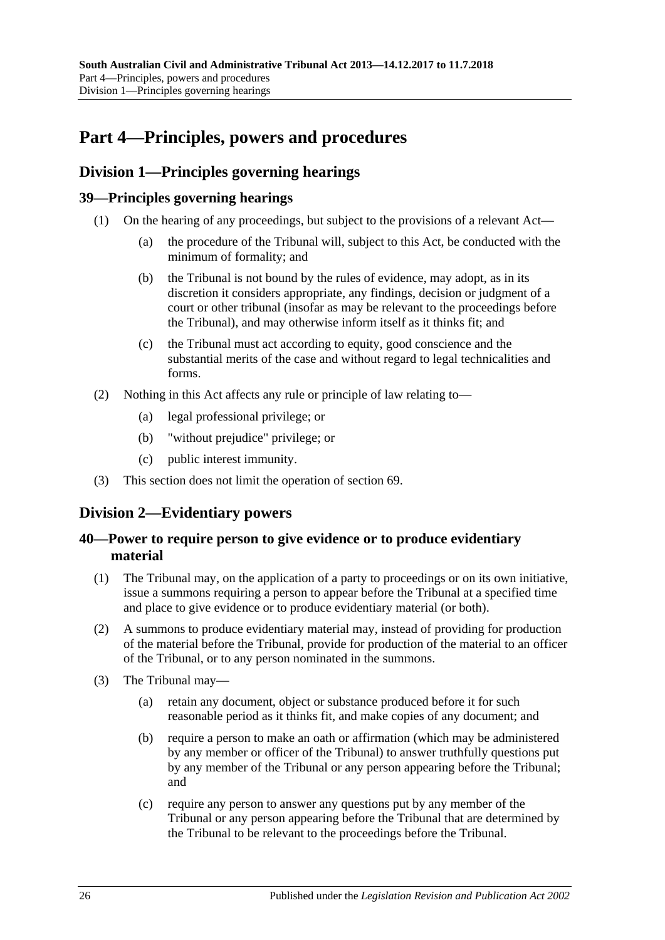# <span id="page-25-0"></span>**Part 4—Principles, powers and procedures**

# <span id="page-25-1"></span>**Division 1—Principles governing hearings**

# <span id="page-25-2"></span>**39—Principles governing hearings**

- (1) On the hearing of any proceedings, but subject to the provisions of a relevant Act—
	- (a) the procedure of the Tribunal will, subject to this Act, be conducted with the minimum of formality; and
	- (b) the Tribunal is not bound by the rules of evidence, may adopt, as in its discretion it considers appropriate, any findings, decision or judgment of a court or other tribunal (insofar as may be relevant to the proceedings before the Tribunal), and may otherwise inform itself as it thinks fit; and
	- (c) the Tribunal must act according to equity, good conscience and the substantial merits of the case and without regard to legal technicalities and forms.
- (2) Nothing in this Act affects any rule or principle of law relating to—
	- (a) legal professional privilege; or
	- (b) "without prejudice" privilege; or
	- (c) public interest immunity.
- (3) This section does not limit the operation of [section](#page-38-1) 69.

# <span id="page-25-3"></span>**Division 2—Evidentiary powers**

# <span id="page-25-4"></span>**40—Power to require person to give evidence or to produce evidentiary material**

- (1) The Tribunal may, on the application of a party to proceedings or on its own initiative, issue a summons requiring a person to appear before the Tribunal at a specified time and place to give evidence or to produce evidentiary material (or both).
- (2) A summons to produce evidentiary material may, instead of providing for production of the material before the Tribunal, provide for production of the material to an officer of the Tribunal, or to any person nominated in the summons.
- (3) The Tribunal may—
	- (a) retain any document, object or substance produced before it for such reasonable period as it thinks fit, and make copies of any document; and
	- (b) require a person to make an oath or affirmation (which may be administered by any member or officer of the Tribunal) to answer truthfully questions put by any member of the Tribunal or any person appearing before the Tribunal; and
	- (c) require any person to answer any questions put by any member of the Tribunal or any person appearing before the Tribunal that are determined by the Tribunal to be relevant to the proceedings before the Tribunal.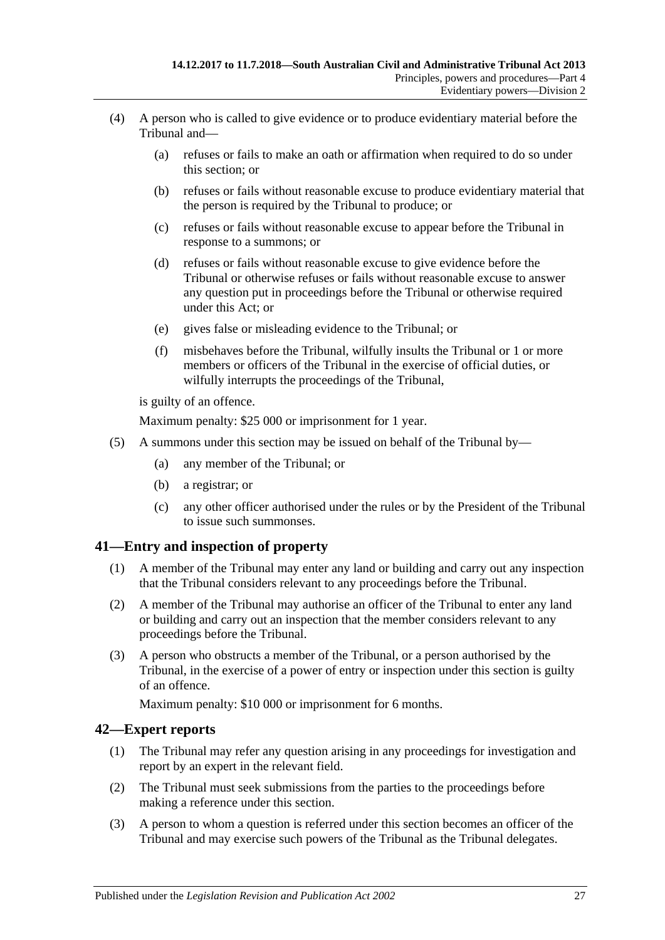- (4) A person who is called to give evidence or to produce evidentiary material before the Tribunal and—
	- (a) refuses or fails to make an oath or affirmation when required to do so under this section; or
	- (b) refuses or fails without reasonable excuse to produce evidentiary material that the person is required by the Tribunal to produce; or
	- (c) refuses or fails without reasonable excuse to appear before the Tribunal in response to a summons; or
	- (d) refuses or fails without reasonable excuse to give evidence before the Tribunal or otherwise refuses or fails without reasonable excuse to answer any question put in proceedings before the Tribunal or otherwise required under this Act; or
	- (e) gives false or misleading evidence to the Tribunal; or
	- (f) misbehaves before the Tribunal, wilfully insults the Tribunal or 1 or more members or officers of the Tribunal in the exercise of official duties, or wilfully interrupts the proceedings of the Tribunal,

is guilty of an offence.

Maximum penalty: \$25 000 or imprisonment for 1 year.

- (5) A summons under this section may be issued on behalf of the Tribunal by—
	- (a) any member of the Tribunal; or
	- (b) a registrar; or
	- (c) any other officer authorised under the rules or by the President of the Tribunal to issue such summonses.

### <span id="page-26-0"></span>**41—Entry and inspection of property**

- (1) A member of the Tribunal may enter any land or building and carry out any inspection that the Tribunal considers relevant to any proceedings before the Tribunal.
- (2) A member of the Tribunal may authorise an officer of the Tribunal to enter any land or building and carry out an inspection that the member considers relevant to any proceedings before the Tribunal.
- (3) A person who obstructs a member of the Tribunal, or a person authorised by the Tribunal, in the exercise of a power of entry or inspection under this section is guilty of an offence.

Maximum penalty: \$10 000 or imprisonment for 6 months.

# <span id="page-26-1"></span>**42—Expert reports**

- (1) The Tribunal may refer any question arising in any proceedings for investigation and report by an expert in the relevant field.
- (2) The Tribunal must seek submissions from the parties to the proceedings before making a reference under this section.
- (3) A person to whom a question is referred under this section becomes an officer of the Tribunal and may exercise such powers of the Tribunal as the Tribunal delegates.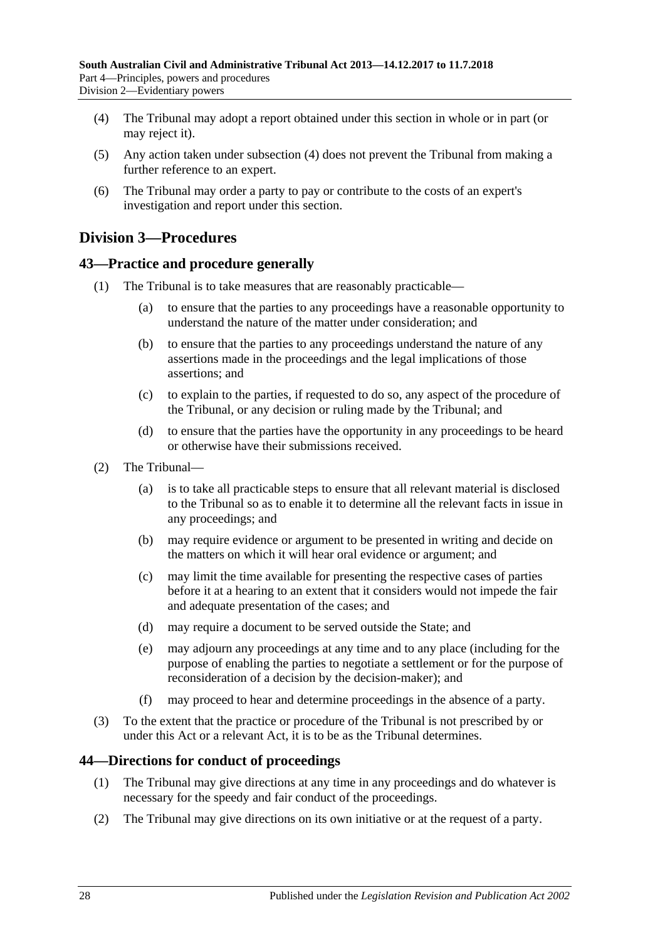- <span id="page-27-3"></span>(4) The Tribunal may adopt a report obtained under this section in whole or in part (or may reject it).
- (5) Any action taken under [subsection](#page-27-3) (4) does not prevent the Tribunal from making a further reference to an expert.
- (6) The Tribunal may order a party to pay or contribute to the costs of an expert's investigation and report under this section.

# <span id="page-27-0"></span>**Division 3—Procedures**

# <span id="page-27-1"></span>**43—Practice and procedure generally**

- (1) The Tribunal is to take measures that are reasonably practicable—
	- (a) to ensure that the parties to any proceedings have a reasonable opportunity to understand the nature of the matter under consideration; and
	- (b) to ensure that the parties to any proceedings understand the nature of any assertions made in the proceedings and the legal implications of those assertions; and
	- (c) to explain to the parties, if requested to do so, any aspect of the procedure of the Tribunal, or any decision or ruling made by the Tribunal; and
	- (d) to ensure that the parties have the opportunity in any proceedings to be heard or otherwise have their submissions received.
- (2) The Tribunal—
	- (a) is to take all practicable steps to ensure that all relevant material is disclosed to the Tribunal so as to enable it to determine all the relevant facts in issue in any proceedings; and
	- (b) may require evidence or argument to be presented in writing and decide on the matters on which it will hear oral evidence or argument; and
	- (c) may limit the time available for presenting the respective cases of parties before it at a hearing to an extent that it considers would not impede the fair and adequate presentation of the cases; and
	- (d) may require a document to be served outside the State; and
	- (e) may adjourn any proceedings at any time and to any place (including for the purpose of enabling the parties to negotiate a settlement or for the purpose of reconsideration of a decision by the decision-maker); and
	- (f) may proceed to hear and determine proceedings in the absence of a party.
- (3) To the extent that the practice or procedure of the Tribunal is not prescribed by or under this Act or a relevant Act, it is to be as the Tribunal determines.

# <span id="page-27-2"></span>**44—Directions for conduct of proceedings**

- (1) The Tribunal may give directions at any time in any proceedings and do whatever is necessary for the speedy and fair conduct of the proceedings.
- (2) The Tribunal may give directions on its own initiative or at the request of a party.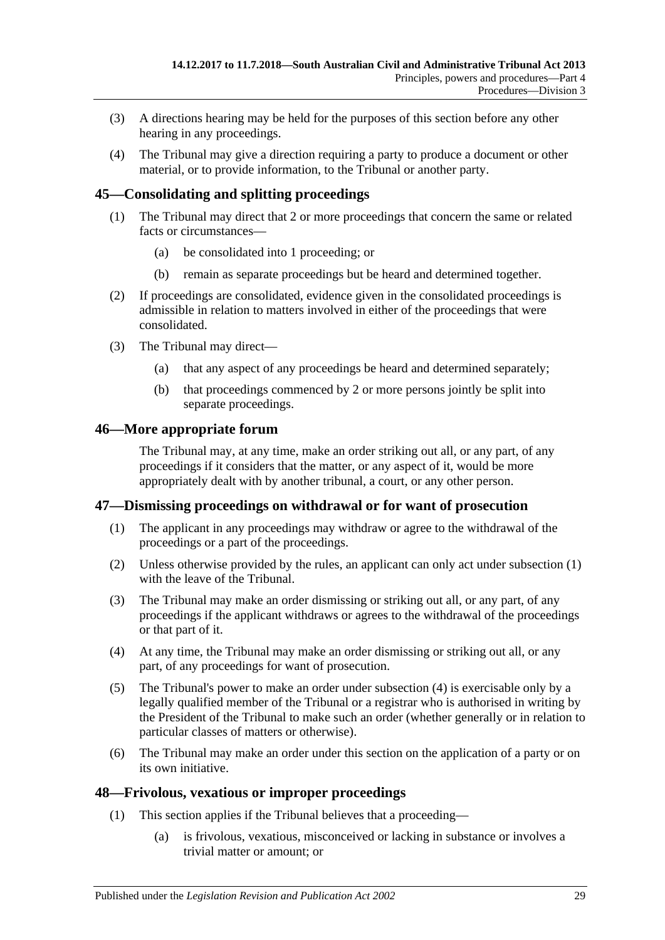- (3) A directions hearing may be held for the purposes of this section before any other hearing in any proceedings.
- (4) The Tribunal may give a direction requiring a party to produce a document or other material, or to provide information, to the Tribunal or another party.

# <span id="page-28-0"></span>**45—Consolidating and splitting proceedings**

- (1) The Tribunal may direct that 2 or more proceedings that concern the same or related facts or circumstances—
	- (a) be consolidated into 1 proceeding; or
	- (b) remain as separate proceedings but be heard and determined together.
- (2) If proceedings are consolidated, evidence given in the consolidated proceedings is admissible in relation to matters involved in either of the proceedings that were consolidated.
- (3) The Tribunal may direct—
	- (a) that any aspect of any proceedings be heard and determined separately;
	- (b) that proceedings commenced by 2 or more persons jointly be split into separate proceedings.

# <span id="page-28-1"></span>**46—More appropriate forum**

The Tribunal may, at any time, make an order striking out all, or any part, of any proceedings if it considers that the matter, or any aspect of it, would be more appropriately dealt with by another tribunal, a court, or any other person.

# <span id="page-28-4"></span><span id="page-28-2"></span>**47—Dismissing proceedings on withdrawal or for want of prosecution**

- (1) The applicant in any proceedings may withdraw or agree to the withdrawal of the proceedings or a part of the proceedings.
- (2) Unless otherwise provided by the rules, an applicant can only act under [subsection](#page-28-4) (1) with the leave of the Tribunal.
- (3) The Tribunal may make an order dismissing or striking out all, or any part, of any proceedings if the applicant withdraws or agrees to the withdrawal of the proceedings or that part of it.
- <span id="page-28-5"></span>(4) At any time, the Tribunal may make an order dismissing or striking out all, or any part, of any proceedings for want of prosecution.
- (5) The Tribunal's power to make an order under [subsection](#page-28-5) (4) is exercisable only by a legally qualified member of the Tribunal or a registrar who is authorised in writing by the President of the Tribunal to make such an order (whether generally or in relation to particular classes of matters or otherwise).
- (6) The Tribunal may make an order under this section on the application of a party or on its own initiative.

# <span id="page-28-3"></span>**48—Frivolous, vexatious or improper proceedings**

- (1) This section applies if the Tribunal believes that a proceeding—
	- (a) is frivolous, vexatious, misconceived or lacking in substance or involves a trivial matter or amount; or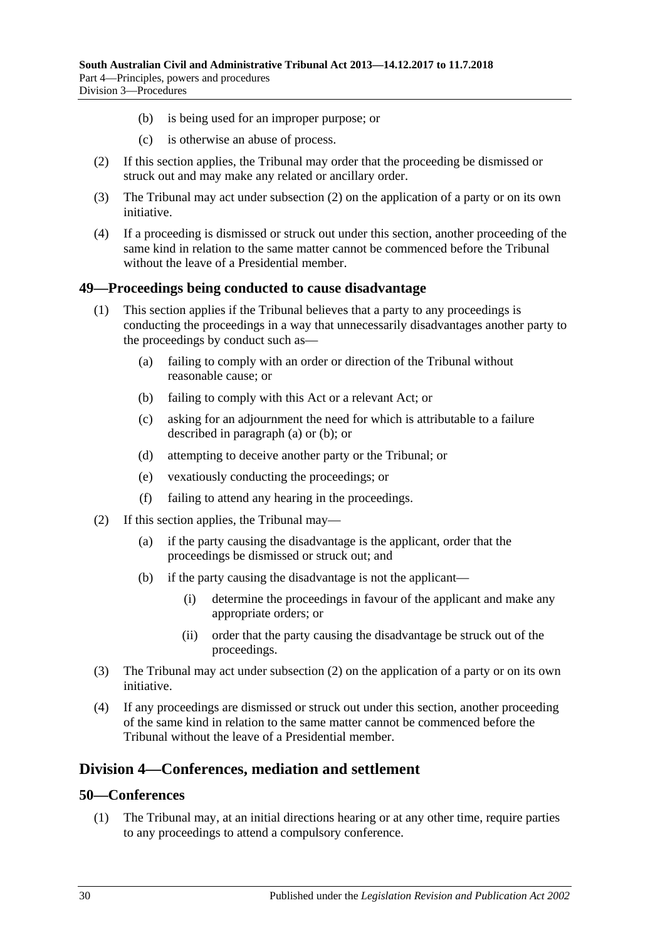- (b) is being used for an improper purpose; or
- (c) is otherwise an abuse of process.
- <span id="page-29-3"></span>(2) If this section applies, the Tribunal may order that the proceeding be dismissed or struck out and may make any related or ancillary order.
- (3) The Tribunal may act under [subsection](#page-29-3) (2) on the application of a party or on its own initiative.
- (4) If a proceeding is dismissed or struck out under this section, another proceeding of the same kind in relation to the same matter cannot be commenced before the Tribunal without the leave of a Presidential member.

### <span id="page-29-0"></span>**49—Proceedings being conducted to cause disadvantage**

- <span id="page-29-5"></span><span id="page-29-4"></span>(1) This section applies if the Tribunal believes that a party to any proceedings is conducting the proceedings in a way that unnecessarily disadvantages another party to the proceedings by conduct such as—
	- (a) failing to comply with an order or direction of the Tribunal without reasonable cause; or
	- (b) failing to comply with this Act or a relevant Act; or
	- (c) asking for an adjournment the need for which is attributable to a failure described in [paragraph](#page-29-4) (a) or [\(b\);](#page-29-5) or
	- (d) attempting to deceive another party or the Tribunal; or
	- (e) vexatiously conducting the proceedings; or
	- (f) failing to attend any hearing in the proceedings.
- <span id="page-29-6"></span>(2) If this section applies, the Tribunal may—
	- (a) if the party causing the disadvantage is the applicant, order that the proceedings be dismissed or struck out; and
	- (b) if the party causing the disadvantage is not the applicant—
		- (i) determine the proceedings in favour of the applicant and make any appropriate orders; or
		- (ii) order that the party causing the disadvantage be struck out of the proceedings.
- (3) The Tribunal may act under [subsection](#page-29-6) (2) on the application of a party or on its own initiative.
- (4) If any proceedings are dismissed or struck out under this section, another proceeding of the same kind in relation to the same matter cannot be commenced before the Tribunal without the leave of a Presidential member.

# <span id="page-29-1"></span>**Division 4—Conferences, mediation and settlement**

### <span id="page-29-2"></span>**50—Conferences**

(1) The Tribunal may, at an initial directions hearing or at any other time, require parties to any proceedings to attend a compulsory conference.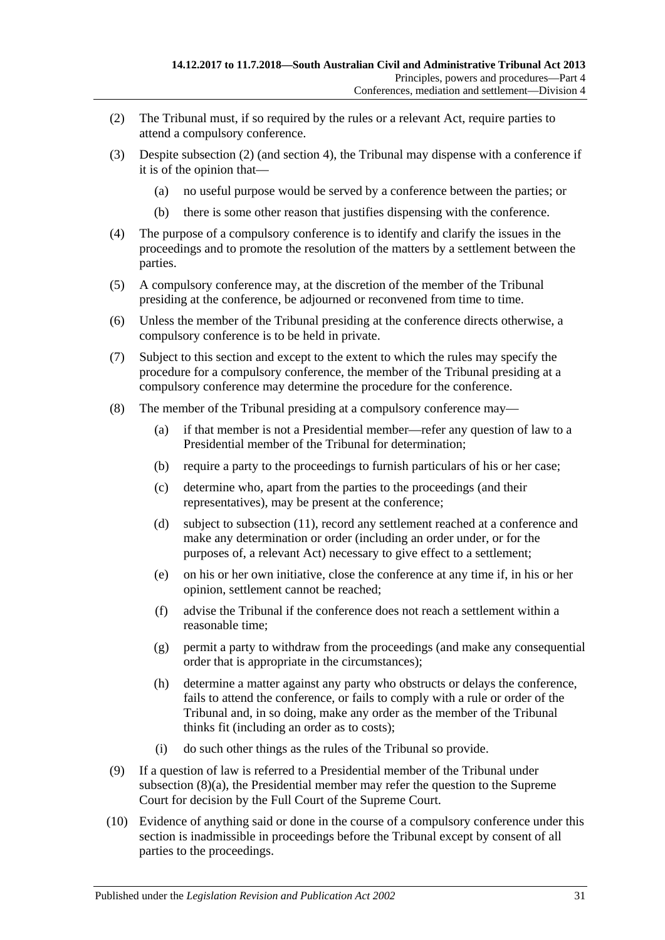- <span id="page-30-0"></span>(2) The Tribunal must, if so required by the rules or a relevant Act, require parties to attend a compulsory conference.
- (3) Despite [subsection](#page-30-0) (2) (and [section](#page-5-0) 4), the Tribunal may dispense with a conference if it is of the opinion that—
	- (a) no useful purpose would be served by a conference between the parties; or
	- (b) there is some other reason that justifies dispensing with the conference.
- (4) The purpose of a compulsory conference is to identify and clarify the issues in the proceedings and to promote the resolution of the matters by a settlement between the parties.
- (5) A compulsory conference may, at the discretion of the member of the Tribunal presiding at the conference, be adjourned or reconvened from time to time.
- (6) Unless the member of the Tribunal presiding at the conference directs otherwise, a compulsory conference is to be held in private.
- (7) Subject to this section and except to the extent to which the rules may specify the procedure for a compulsory conference, the member of the Tribunal presiding at a compulsory conference may determine the procedure for the conference.
- <span id="page-30-1"></span>(8) The member of the Tribunal presiding at a compulsory conference may—
	- (a) if that member is not a Presidential member—refer any question of law to a Presidential member of the Tribunal for determination;
	- (b) require a party to the proceedings to furnish particulars of his or her case;
	- (c) determine who, apart from the parties to the proceedings (and their representatives), may be present at the conference;
	- (d) subject to [subsection](#page-31-1) (11), record any settlement reached at a conference and make any determination or order (including an order under, or for the purposes of, a relevant Act) necessary to give effect to a settlement;
	- (e) on his or her own initiative, close the conference at any time if, in his or her opinion, settlement cannot be reached;
	- (f) advise the Tribunal if the conference does not reach a settlement within a reasonable time;
	- (g) permit a party to withdraw from the proceedings (and make any consequential order that is appropriate in the circumstances);
	- (h) determine a matter against any party who obstructs or delays the conference, fails to attend the conference, or fails to comply with a rule or order of the Tribunal and, in so doing, make any order as the member of the Tribunal thinks fit (including an order as to costs);
	- (i) do such other things as the rules of the Tribunal so provide.
- (9) If a question of law is referred to a Presidential member of the Tribunal under [subsection](#page-30-1) (8)(a), the Presidential member may refer the question to the Supreme Court for decision by the Full Court of the Supreme Court.
- (10) Evidence of anything said or done in the course of a compulsory conference under this section is inadmissible in proceedings before the Tribunal except by consent of all parties to the proceedings.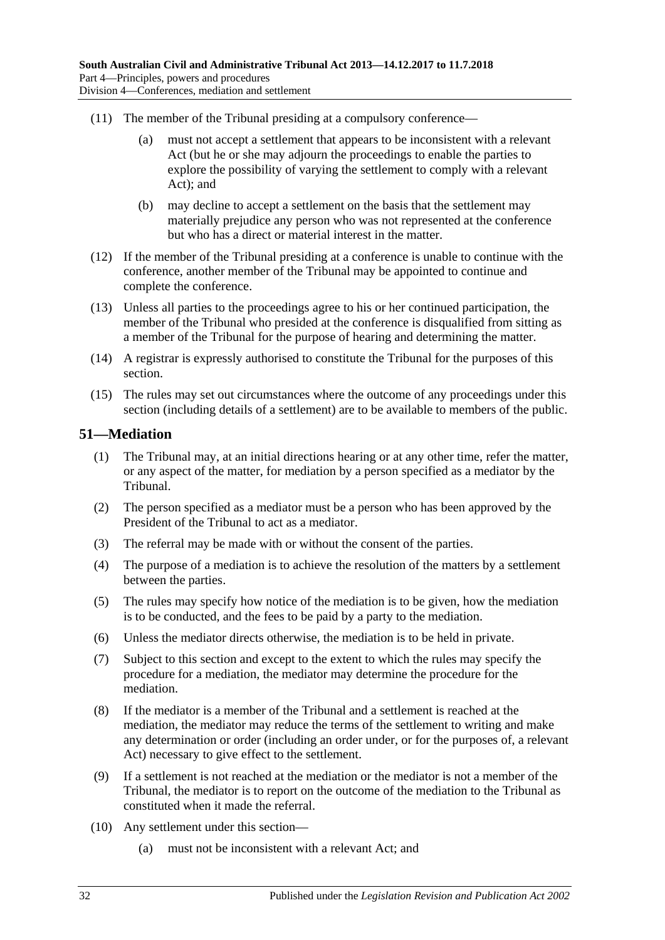- <span id="page-31-1"></span>(11) The member of the Tribunal presiding at a compulsory conference—
	- (a) must not accept a settlement that appears to be inconsistent with a relevant Act (but he or she may adjourn the proceedings to enable the parties to explore the possibility of varying the settlement to comply with a relevant Act); and
	- (b) may decline to accept a settlement on the basis that the settlement may materially prejudice any person who was not represented at the conference but who has a direct or material interest in the matter.
- (12) If the member of the Tribunal presiding at a conference is unable to continue with the conference, another member of the Tribunal may be appointed to continue and complete the conference.
- (13) Unless all parties to the proceedings agree to his or her continued participation, the member of the Tribunal who presided at the conference is disqualified from sitting as a member of the Tribunal for the purpose of hearing and determining the matter.
- (14) A registrar is expressly authorised to constitute the Tribunal for the purposes of this section.
- (15) The rules may set out circumstances where the outcome of any proceedings under this section (including details of a settlement) are to be available to members of the public.

### <span id="page-31-0"></span>**51—Mediation**

- (1) The Tribunal may, at an initial directions hearing or at any other time, refer the matter, or any aspect of the matter, for mediation by a person specified as a mediator by the Tribunal.
- (2) The person specified as a mediator must be a person who has been approved by the President of the Tribunal to act as a mediator.
- (3) The referral may be made with or without the consent of the parties.
- (4) The purpose of a mediation is to achieve the resolution of the matters by a settlement between the parties.
- (5) The rules may specify how notice of the mediation is to be given, how the mediation is to be conducted, and the fees to be paid by a party to the mediation.
- (6) Unless the mediator directs otherwise, the mediation is to be held in private.
- (7) Subject to this section and except to the extent to which the rules may specify the procedure for a mediation, the mediator may determine the procedure for the mediation.
- (8) If the mediator is a member of the Tribunal and a settlement is reached at the mediation, the mediator may reduce the terms of the settlement to writing and make any determination or order (including an order under, or for the purposes of, a relevant Act) necessary to give effect to the settlement.
- (9) If a settlement is not reached at the mediation or the mediator is not a member of the Tribunal, the mediator is to report on the outcome of the mediation to the Tribunal as constituted when it made the referral.
- (10) Any settlement under this section—
	- (a) must not be inconsistent with a relevant Act; and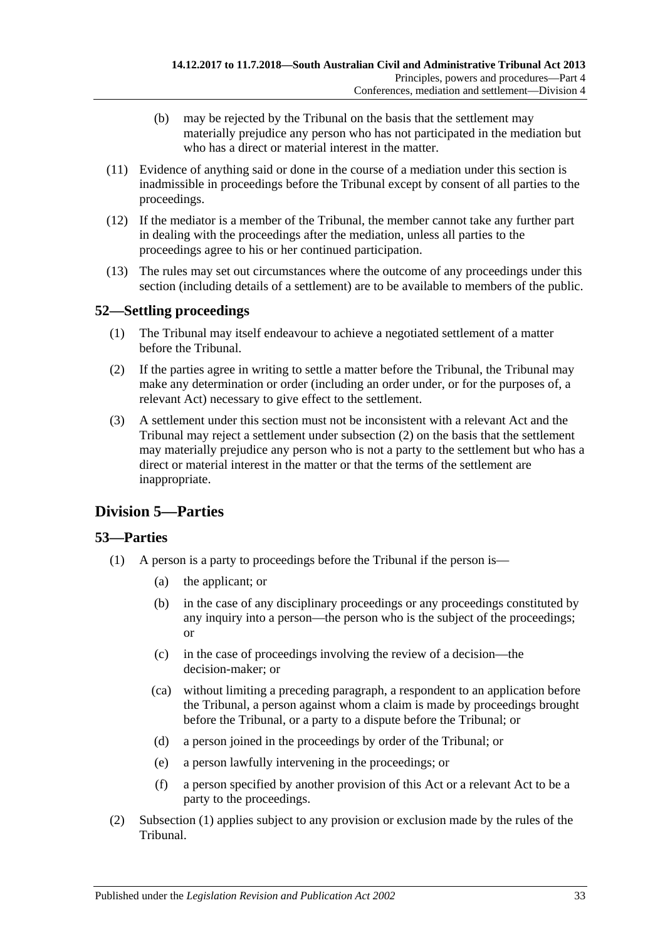- (b) may be rejected by the Tribunal on the basis that the settlement may materially prejudice any person who has not participated in the mediation but who has a direct or material interest in the matter.
- (11) Evidence of anything said or done in the course of a mediation under this section is inadmissible in proceedings before the Tribunal except by consent of all parties to the proceedings.
- (12) If the mediator is a member of the Tribunal, the member cannot take any further part in dealing with the proceedings after the mediation, unless all parties to the proceedings agree to his or her continued participation.
- (13) The rules may set out circumstances where the outcome of any proceedings under this section (including details of a settlement) are to be available to members of the public.

# <span id="page-32-0"></span>**52—Settling proceedings**

- (1) The Tribunal may itself endeavour to achieve a negotiated settlement of a matter before the Tribunal.
- <span id="page-32-3"></span>(2) If the parties agree in writing to settle a matter before the Tribunal, the Tribunal may make any determination or order (including an order under, or for the purposes of, a relevant Act) necessary to give effect to the settlement.
- (3) A settlement under this section must not be inconsistent with a relevant Act and the Tribunal may reject a settlement under [subsection](#page-32-3) (2) on the basis that the settlement may materially prejudice any person who is not a party to the settlement but who has a direct or material interest in the matter or that the terms of the settlement are inappropriate.

# <span id="page-32-1"></span>**Division 5—Parties**

# <span id="page-32-2"></span>**53—Parties**

- <span id="page-32-4"></span>(1) A person is a party to proceedings before the Tribunal if the person is—
	- (a) the applicant; or
	- (b) in the case of any disciplinary proceedings or any proceedings constituted by any inquiry into a person—the person who is the subject of the proceedings; or
	- (c) in the case of proceedings involving the review of a decision—the decision-maker; or
	- (ca) without limiting a preceding paragraph, a respondent to an application before the Tribunal, a person against whom a claim is made by proceedings brought before the Tribunal, or a party to a dispute before the Tribunal; or
	- (d) a person joined in the proceedings by order of the Tribunal; or
	- (e) a person lawfully intervening in the proceedings; or
	- (f) a person specified by another provision of this Act or a relevant Act to be a party to the proceedings.
- (2) [Subsection](#page-32-4) (1) applies subject to any provision or exclusion made by the rules of the Tribunal.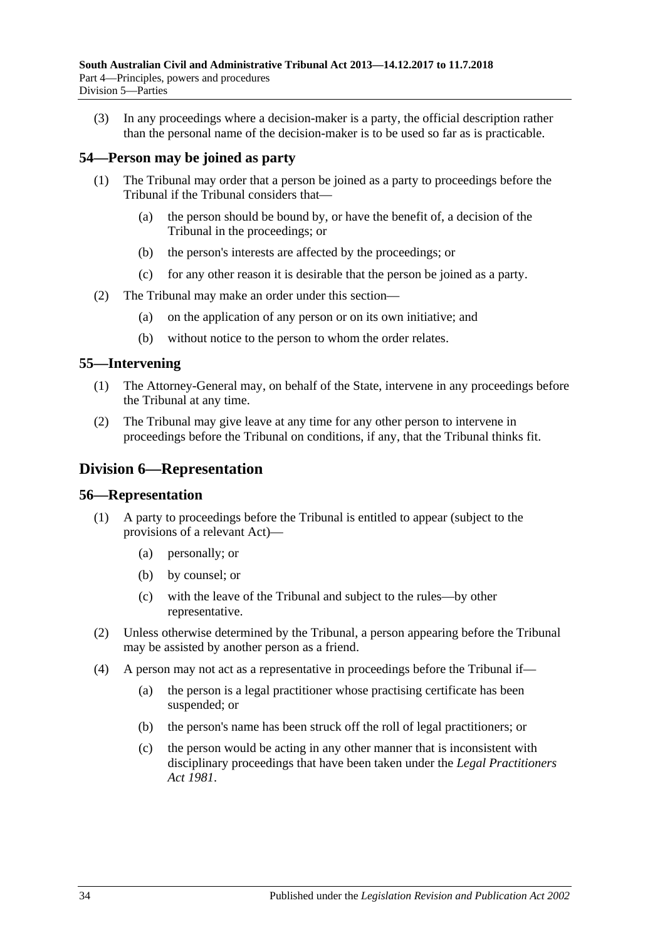(3) In any proceedings where a decision-maker is a party, the official description rather than the personal name of the decision-maker is to be used so far as is practicable.

# <span id="page-33-0"></span>**54—Person may be joined as party**

- (1) The Tribunal may order that a person be joined as a party to proceedings before the Tribunal if the Tribunal considers that—
	- (a) the person should be bound by, or have the benefit of, a decision of the Tribunal in the proceedings; or
	- (b) the person's interests are affected by the proceedings; or
	- (c) for any other reason it is desirable that the person be joined as a party.
- (2) The Tribunal may make an order under this section—
	- (a) on the application of any person or on its own initiative; and
	- (b) without notice to the person to whom the order relates.

### <span id="page-33-1"></span>**55—Intervening**

- (1) The Attorney-General may, on behalf of the State, intervene in any proceedings before the Tribunal at any time.
- (2) The Tribunal may give leave at any time for any other person to intervene in proceedings before the Tribunal on conditions, if any, that the Tribunal thinks fit.

# <span id="page-33-2"></span>**Division 6—Representation**

### <span id="page-33-3"></span>**56—Representation**

- (1) A party to proceedings before the Tribunal is entitled to appear (subject to the provisions of a relevant Act)—
	- (a) personally; or
	- (b) by counsel; or
	- (c) with the leave of the Tribunal and subject to the rules—by other representative.
- (2) Unless otherwise determined by the Tribunal, a person appearing before the Tribunal may be assisted by another person as a friend.
- (4) A person may not act as a representative in proceedings before the Tribunal if—
	- (a) the person is a legal practitioner whose practising certificate has been suspended; or
	- (b) the person's name has been struck off the roll of legal practitioners; or
	- (c) the person would be acting in any other manner that is inconsistent with disciplinary proceedings that have been taken under the *[Legal Practitioners](http://www.legislation.sa.gov.au/index.aspx?action=legref&type=act&legtitle=Legal%20Practitioners%20Act%201981)  Act [1981](http://www.legislation.sa.gov.au/index.aspx?action=legref&type=act&legtitle=Legal%20Practitioners%20Act%201981)*.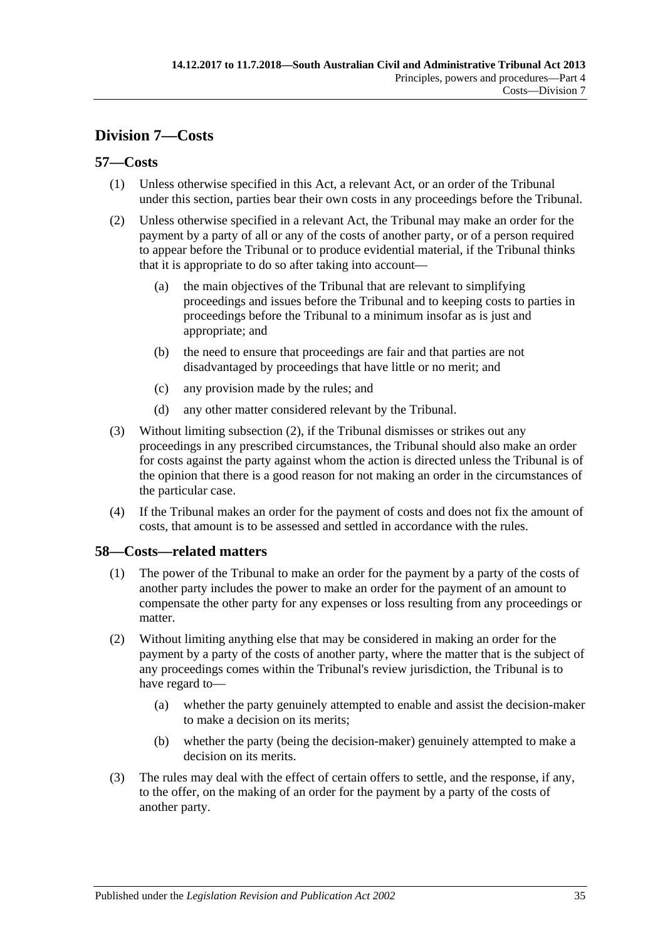# <span id="page-34-0"></span>**Division 7—Costs**

# <span id="page-34-1"></span>**57—Costs**

- (1) Unless otherwise specified in this Act, a relevant Act, or an order of the Tribunal under this section, parties bear their own costs in any proceedings before the Tribunal.
- <span id="page-34-3"></span>(2) Unless otherwise specified in a relevant Act, the Tribunal may make an order for the payment by a party of all or any of the costs of another party, or of a person required to appear before the Tribunal or to produce evidential material, if the Tribunal thinks that it is appropriate to do so after taking into account—
	- (a) the main objectives of the Tribunal that are relevant to simplifying proceedings and issues before the Tribunal and to keeping costs to parties in proceedings before the Tribunal to a minimum insofar as is just and appropriate; and
	- (b) the need to ensure that proceedings are fair and that parties are not disadvantaged by proceedings that have little or no merit; and
	- (c) any provision made by the rules; and
	- (d) any other matter considered relevant by the Tribunal.
- (3) Without limiting [subsection](#page-34-3) (2), if the Tribunal dismisses or strikes out any proceedings in any prescribed circumstances, the Tribunal should also make an order for costs against the party against whom the action is directed unless the Tribunal is of the opinion that there is a good reason for not making an order in the circumstances of the particular case.
- (4) If the Tribunal makes an order for the payment of costs and does not fix the amount of costs, that amount is to be assessed and settled in accordance with the rules.

# <span id="page-34-2"></span>**58—Costs—related matters**

- (1) The power of the Tribunal to make an order for the payment by a party of the costs of another party includes the power to make an order for the payment of an amount to compensate the other party for any expenses or loss resulting from any proceedings or matter.
- (2) Without limiting anything else that may be considered in making an order for the payment by a party of the costs of another party, where the matter that is the subject of any proceedings comes within the Tribunal's review jurisdiction, the Tribunal is to have regard to—
	- (a) whether the party genuinely attempted to enable and assist the decision-maker to make a decision on its merits;
	- (b) whether the party (being the decision-maker) genuinely attempted to make a decision on its merits.
- (3) The rules may deal with the effect of certain offers to settle, and the response, if any, to the offer, on the making of an order for the payment by a party of the costs of another party.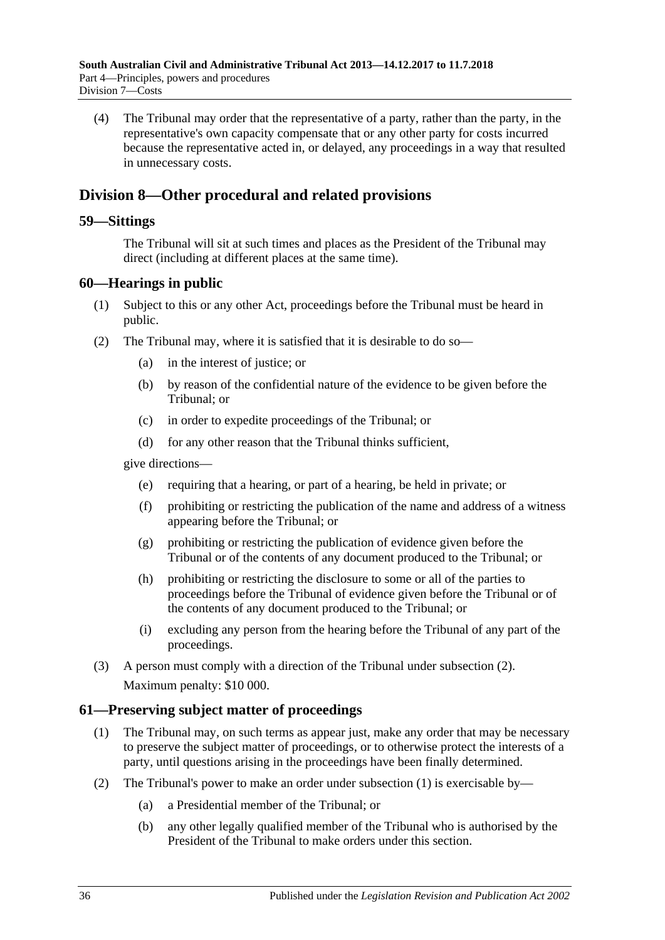(4) The Tribunal may order that the representative of a party, rather than the party, in the representative's own capacity compensate that or any other party for costs incurred because the representative acted in, or delayed, any proceedings in a way that resulted in unnecessary costs.

# <span id="page-35-0"></span>**Division 8—Other procedural and related provisions**

### <span id="page-35-1"></span>**59—Sittings**

The Tribunal will sit at such times and places as the President of the Tribunal may direct (including at different places at the same time).

### <span id="page-35-2"></span>**60—Hearings in public**

- (1) Subject to this or any other Act, proceedings before the Tribunal must be heard in public.
- <span id="page-35-4"></span>(2) The Tribunal may, where it is satisfied that it is desirable to do so—
	- (a) in the interest of justice; or
	- (b) by reason of the confidential nature of the evidence to be given before the Tribunal; or
	- (c) in order to expedite proceedings of the Tribunal; or
	- (d) for any other reason that the Tribunal thinks sufficient,

give directions—

- (e) requiring that a hearing, or part of a hearing, be held in private; or
- (f) prohibiting or restricting the publication of the name and address of a witness appearing before the Tribunal; or
- (g) prohibiting or restricting the publication of evidence given before the Tribunal or of the contents of any document produced to the Tribunal; or
- (h) prohibiting or restricting the disclosure to some or all of the parties to proceedings before the Tribunal of evidence given before the Tribunal or of the contents of any document produced to the Tribunal; or
- (i) excluding any person from the hearing before the Tribunal of any part of the proceedings.
- (3) A person must comply with a direction of the Tribunal under [subsection](#page-35-4) (2). Maximum penalty: \$10 000.

# <span id="page-35-5"></span><span id="page-35-3"></span>**61—Preserving subject matter of proceedings**

- (1) The Tribunal may, on such terms as appear just, make any order that may be necessary to preserve the subject matter of proceedings, or to otherwise protect the interests of a party, until questions arising in the proceedings have been finally determined.
- (2) The Tribunal's power to make an order under [subsection](#page-35-5) (1) is exercisable by—
	- (a) a Presidential member of the Tribunal; or
	- (b) any other legally qualified member of the Tribunal who is authorised by the President of the Tribunal to make orders under this section.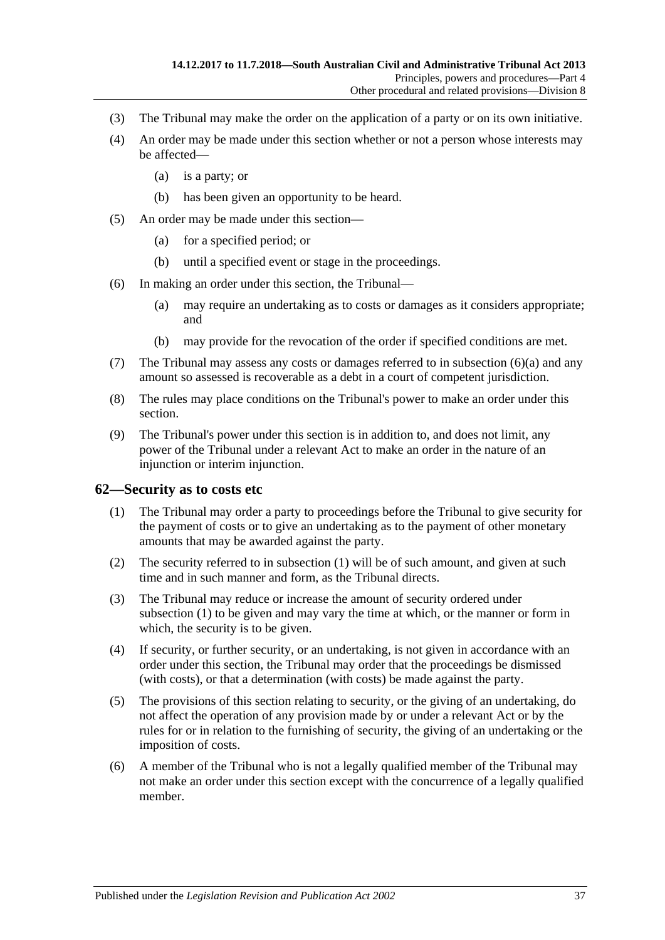- (3) The Tribunal may make the order on the application of a party or on its own initiative.
- (4) An order may be made under this section whether or not a person whose interests may be affected—
	- (a) is a party; or
	- (b) has been given an opportunity to be heard.
- (5) An order may be made under this section—
	- (a) for a specified period; or
	- (b) until a specified event or stage in the proceedings.
- <span id="page-36-1"></span>(6) In making an order under this section, the Tribunal—
	- (a) may require an undertaking as to costs or damages as it considers appropriate; and
	- (b) may provide for the revocation of the order if specified conditions are met.
- (7) The Tribunal may assess any costs or damages referred to in [subsection](#page-36-1) (6)(a) and any amount so assessed is recoverable as a debt in a court of competent jurisdiction.
- (8) The rules may place conditions on the Tribunal's power to make an order under this section.
- (9) The Tribunal's power under this section is in addition to, and does not limit, any power of the Tribunal under a relevant Act to make an order in the nature of an injunction or interim injunction.

### <span id="page-36-2"></span><span id="page-36-0"></span>**62—Security as to costs etc**

- (1) The Tribunal may order a party to proceedings before the Tribunal to give security for the payment of costs or to give an undertaking as to the payment of other monetary amounts that may be awarded against the party.
- (2) The security referred to in [subsection](#page-36-2) (1) will be of such amount, and given at such time and in such manner and form, as the Tribunal directs.
- (3) The Tribunal may reduce or increase the amount of security ordered under [subsection](#page-36-2) (1) to be given and may vary the time at which, or the manner or form in which, the security is to be given.
- (4) If security, or further security, or an undertaking, is not given in accordance with an order under this section, the Tribunal may order that the proceedings be dismissed (with costs), or that a determination (with costs) be made against the party.
- (5) The provisions of this section relating to security, or the giving of an undertaking, do not affect the operation of any provision made by or under a relevant Act or by the rules for or in relation to the furnishing of security, the giving of an undertaking or the imposition of costs.
- (6) A member of the Tribunal who is not a legally qualified member of the Tribunal may not make an order under this section except with the concurrence of a legally qualified member.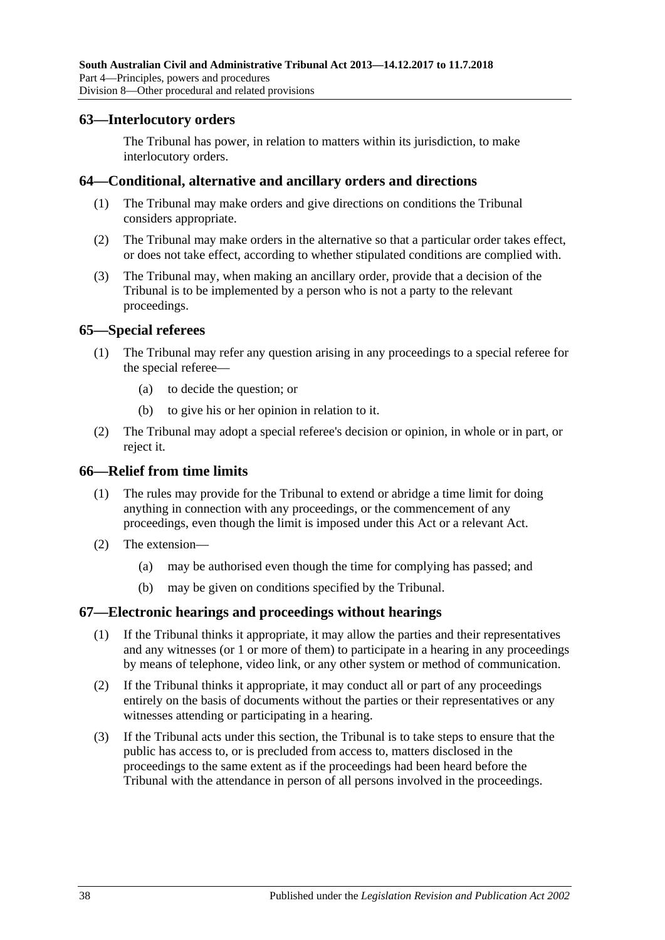### <span id="page-37-0"></span>**63—Interlocutory orders**

The Tribunal has power, in relation to matters within its jurisdiction, to make interlocutory orders.

### <span id="page-37-1"></span>**64—Conditional, alternative and ancillary orders and directions**

- (1) The Tribunal may make orders and give directions on conditions the Tribunal considers appropriate.
- (2) The Tribunal may make orders in the alternative so that a particular order takes effect, or does not take effect, according to whether stipulated conditions are complied with.
- (3) The Tribunal may, when making an ancillary order, provide that a decision of the Tribunal is to be implemented by a person who is not a party to the relevant proceedings.

### <span id="page-37-2"></span>**65—Special referees**

- (1) The Tribunal may refer any question arising in any proceedings to a special referee for the special referee—
	- (a) to decide the question; or
	- (b) to give his or her opinion in relation to it.
- (2) The Tribunal may adopt a special referee's decision or opinion, in whole or in part, or reject it.

### <span id="page-37-3"></span>**66—Relief from time limits**

- (1) The rules may provide for the Tribunal to extend or abridge a time limit for doing anything in connection with any proceedings, or the commencement of any proceedings, even though the limit is imposed under this Act or a relevant Act.
- (2) The extension—
	- (a) may be authorised even though the time for complying has passed; and
	- (b) may be given on conditions specified by the Tribunal.

### <span id="page-37-4"></span>**67—Electronic hearings and proceedings without hearings**

- (1) If the Tribunal thinks it appropriate, it may allow the parties and their representatives and any witnesses (or 1 or more of them) to participate in a hearing in any proceedings by means of telephone, video link, or any other system or method of communication.
- (2) If the Tribunal thinks it appropriate, it may conduct all or part of any proceedings entirely on the basis of documents without the parties or their representatives or any witnesses attending or participating in a hearing.
- (3) If the Tribunal acts under this section, the Tribunal is to take steps to ensure that the public has access to, or is precluded from access to, matters disclosed in the proceedings to the same extent as if the proceedings had been heard before the Tribunal with the attendance in person of all persons involved in the proceedings.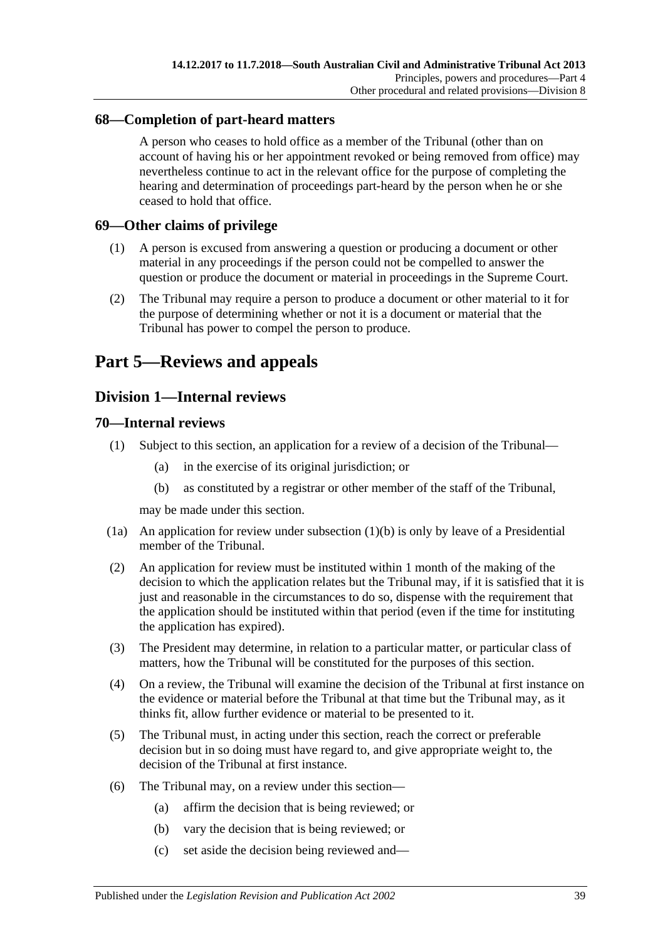# <span id="page-38-0"></span>**68—Completion of part-heard matters**

A person who ceases to hold office as a member of the Tribunal (other than on account of having his or her appointment revoked or being removed from office) may nevertheless continue to act in the relevant office for the purpose of completing the hearing and determination of proceedings part-heard by the person when he or she ceased to hold that office.

# <span id="page-38-1"></span>**69—Other claims of privilege**

- (1) A person is excused from answering a question or producing a document or other material in any proceedings if the person could not be compelled to answer the question or produce the document or material in proceedings in the Supreme Court.
- (2) The Tribunal may require a person to produce a document or other material to it for the purpose of determining whether or not it is a document or material that the Tribunal has power to compel the person to produce.

# <span id="page-38-2"></span>**Part 5—Reviews and appeals**

# <span id="page-38-3"></span>**Division 1—Internal reviews**

# <span id="page-38-4"></span>**70—Internal reviews**

- <span id="page-38-5"></span>(1) Subject to this section, an application for a review of a decision of the Tribunal—
	- (a) in the exercise of its original jurisdiction; or
	- (b) as constituted by a registrar or other member of the staff of the Tribunal,

may be made under this section.

- (1a) An application for review under [subsection](#page-38-5)  $(1)(b)$  is only by leave of a Presidential member of the Tribunal.
- (2) An application for review must be instituted within 1 month of the making of the decision to which the application relates but the Tribunal may, if it is satisfied that it is just and reasonable in the circumstances to do so, dispense with the requirement that the application should be instituted within that period (even if the time for instituting the application has expired).
- (3) The President may determine, in relation to a particular matter, or particular class of matters, how the Tribunal will be constituted for the purposes of this section.
- (4) On a review, the Tribunal will examine the decision of the Tribunal at first instance on the evidence or material before the Tribunal at that time but the Tribunal may, as it thinks fit, allow further evidence or material to be presented to it.
- (5) The Tribunal must, in acting under this section, reach the correct or preferable decision but in so doing must have regard to, and give appropriate weight to, the decision of the Tribunal at first instance.
- (6) The Tribunal may, on a review under this section—
	- (a) affirm the decision that is being reviewed; or
	- (b) vary the decision that is being reviewed; or
	- (c) set aside the decision being reviewed and—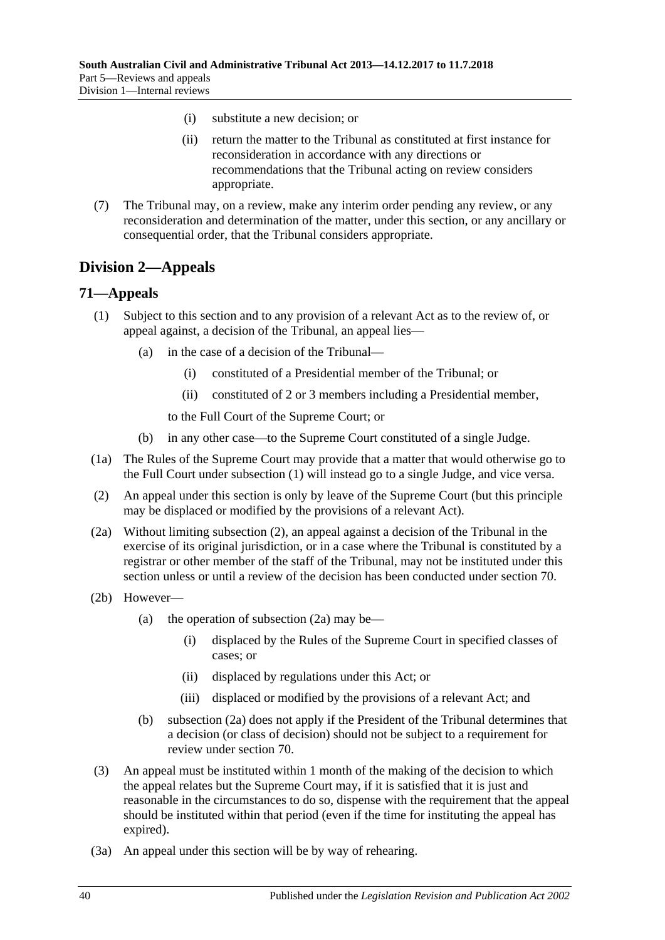- (i) substitute a new decision; or
- (ii) return the matter to the Tribunal as constituted at first instance for reconsideration in accordance with any directions or recommendations that the Tribunal acting on review considers appropriate.
- (7) The Tribunal may, on a review, make any interim order pending any review, or any reconsideration and determination of the matter, under this section, or any ancillary or consequential order, that the Tribunal considers appropriate.

# <span id="page-39-0"></span>**Division 2—Appeals**

### <span id="page-39-2"></span><span id="page-39-1"></span>**71—Appeals**

- (1) Subject to this section and to any provision of a relevant Act as to the review of, or appeal against, a decision of the Tribunal, an appeal lies—
	- (a) in the case of a decision of the Tribunal—
		- (i) constituted of a Presidential member of the Tribunal; or
		- (ii) constituted of 2 or 3 members including a Presidential member,

to the Full Court of the Supreme Court; or

- (b) in any other case—to the Supreme Court constituted of a single Judge.
- (1a) The Rules of the Supreme Court may provide that a matter that would otherwise go to the Full Court under [subsection](#page-39-2) (1) will instead go to a single Judge, and vice versa.
- <span id="page-39-3"></span>(2) An appeal under this section is only by leave of the Supreme Court (but this principle may be displaced or modified by the provisions of a relevant Act).
- <span id="page-39-4"></span>(2a) Without limiting [subsection](#page-39-3) (2), an appeal against a decision of the Tribunal in the exercise of its original jurisdiction, or in a case where the Tribunal is constituted by a registrar or other member of the staff of the Tribunal, may not be instituted under this section unless or until a review of the decision has been conducted under [section](#page-38-4) 70.
- (2b) However
	- (a) the operation of [subsection](#page-39-4)  $(2a)$  may be—
		- (i) displaced by the Rules of the Supreme Court in specified classes of cases; or
		- (ii) displaced by regulations under this Act; or
		- (iii) displaced or modified by the provisions of a relevant Act; and
	- (b) [subsection](#page-39-4) (2a) does not apply if the President of the Tribunal determines that a decision (or class of decision) should not be subject to a requirement for review under [section](#page-38-4) 70.
- (3) An appeal must be instituted within 1 month of the making of the decision to which the appeal relates but the Supreme Court may, if it is satisfied that it is just and reasonable in the circumstances to do so, dispense with the requirement that the appeal should be instituted within that period (even if the time for instituting the appeal has expired).
- (3a) An appeal under this section will be by way of rehearing.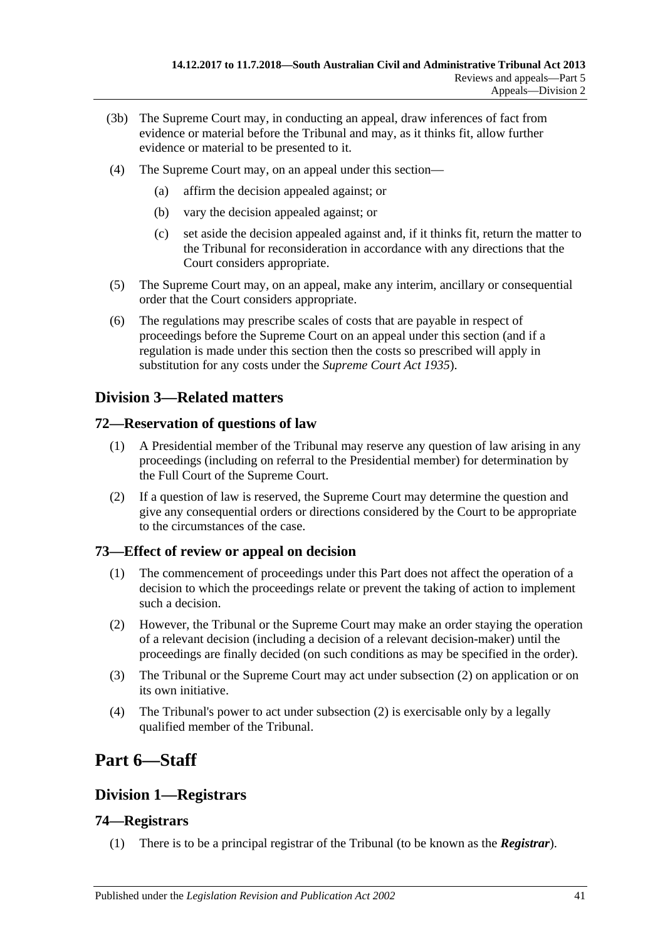- (3b) The Supreme Court may, in conducting an appeal, draw inferences of fact from evidence or material before the Tribunal and may, as it thinks fit, allow further evidence or material to be presented to it.
- (4) The Supreme Court may, on an appeal under this section—
	- (a) affirm the decision appealed against; or
	- (b) vary the decision appealed against; or
	- (c) set aside the decision appealed against and, if it thinks fit, return the matter to the Tribunal for reconsideration in accordance with any directions that the Court considers appropriate.
- (5) The Supreme Court may, on an appeal, make any interim, ancillary or consequential order that the Court considers appropriate.
- (6) The regulations may prescribe scales of costs that are payable in respect of proceedings before the Supreme Court on an appeal under this section (and if a regulation is made under this section then the costs so prescribed will apply in substitution for any costs under the *[Supreme Court Act](http://www.legislation.sa.gov.au/index.aspx?action=legref&type=act&legtitle=Supreme%20Court%20Act%201935) 1935*).

# <span id="page-40-0"></span>**Division 3—Related matters**

# <span id="page-40-1"></span>**72—Reservation of questions of law**

- (1) A Presidential member of the Tribunal may reserve any question of law arising in any proceedings (including on referral to the Presidential member) for determination by the Full Court of the Supreme Court.
- (2) If a question of law is reserved, the Supreme Court may determine the question and give any consequential orders or directions considered by the Court to be appropriate to the circumstances of the case.

# <span id="page-40-2"></span>**73—Effect of review or appeal on decision**

- (1) The commencement of proceedings under this Part does not affect the operation of a decision to which the proceedings relate or prevent the taking of action to implement such a decision.
- <span id="page-40-6"></span>(2) However, the Tribunal or the Supreme Court may make an order staying the operation of a relevant decision (including a decision of a relevant decision-maker) until the proceedings are finally decided (on such conditions as may be specified in the order).
- (3) The Tribunal or the Supreme Court may act under [subsection](#page-40-6) (2) on application or on its own initiative.
- (4) The Tribunal's power to act under [subsection](#page-40-6) (2) is exercisable only by a legally qualified member of the Tribunal.

# <span id="page-40-3"></span>**Part 6—Staff**

# <span id="page-40-4"></span>**Division 1—Registrars**

# <span id="page-40-5"></span>**74—Registrars**

(1) There is to be a principal registrar of the Tribunal (to be known as the *Registrar*).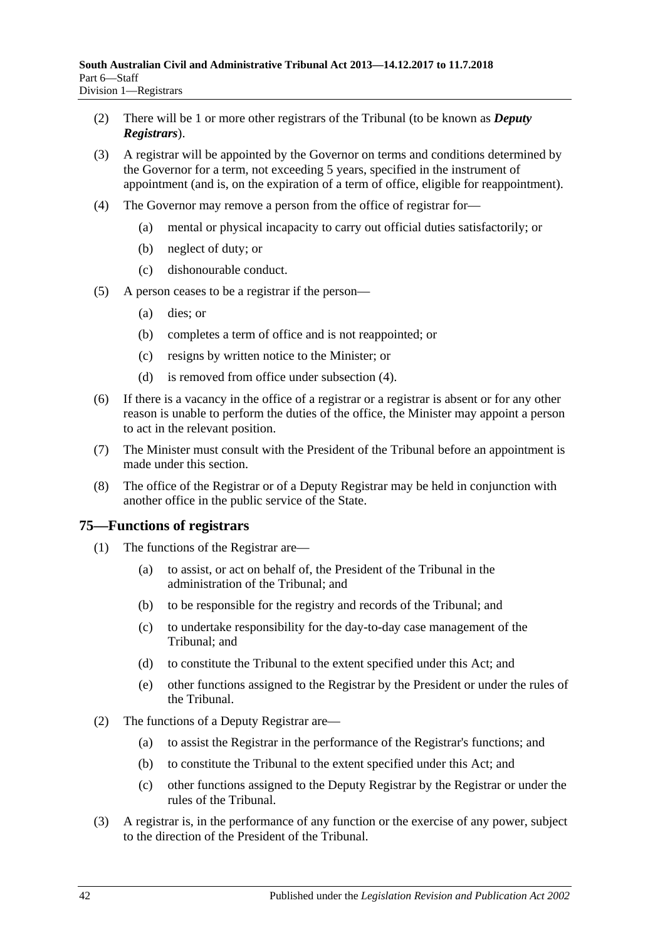- (2) There will be 1 or more other registrars of the Tribunal (to be known as *Deputy Registrars*).
- (3) A registrar will be appointed by the Governor on terms and conditions determined by the Governor for a term, not exceeding 5 years, specified in the instrument of appointment (and is, on the expiration of a term of office, eligible for reappointment).
- <span id="page-41-1"></span>(4) The Governor may remove a person from the office of registrar for—
	- (a) mental or physical incapacity to carry out official duties satisfactorily; or
	- (b) neglect of duty; or
	- (c) dishonourable conduct.
- (5) A person ceases to be a registrar if the person—
	- (a) dies; or
	- (b) completes a term of office and is not reappointed; or
	- (c) resigns by written notice to the Minister; or
	- (d) is removed from office under [subsection](#page-41-1) (4).
- (6) If there is a vacancy in the office of a registrar or a registrar is absent or for any other reason is unable to perform the duties of the office, the Minister may appoint a person to act in the relevant position.
- (7) The Minister must consult with the President of the Tribunal before an appointment is made under this section.
- (8) The office of the Registrar or of a Deputy Registrar may be held in conjunction with another office in the public service of the State.

# <span id="page-41-0"></span>**75—Functions of registrars**

- (1) The functions of the Registrar are—
	- (a) to assist, or act on behalf of, the President of the Tribunal in the administration of the Tribunal; and
	- (b) to be responsible for the registry and records of the Tribunal; and
	- (c) to undertake responsibility for the day-to-day case management of the Tribunal; and
	- (d) to constitute the Tribunal to the extent specified under this Act; and
	- (e) other functions assigned to the Registrar by the President or under the rules of the Tribunal.
- (2) The functions of a Deputy Registrar are—
	- (a) to assist the Registrar in the performance of the Registrar's functions; and
	- (b) to constitute the Tribunal to the extent specified under this Act; and
	- (c) other functions assigned to the Deputy Registrar by the Registrar or under the rules of the Tribunal.
- (3) A registrar is, in the performance of any function or the exercise of any power, subject to the direction of the President of the Tribunal.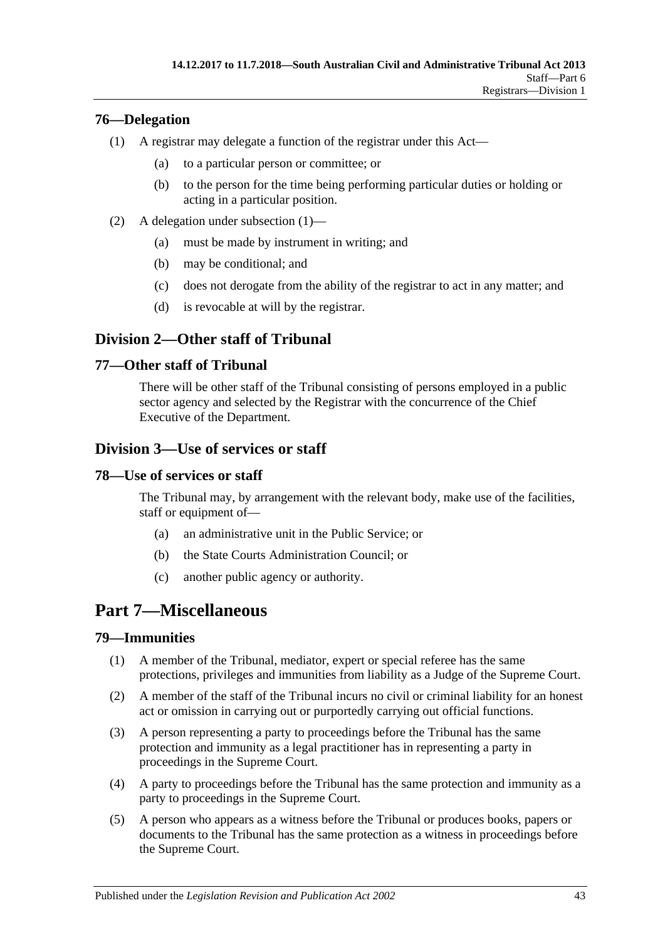# <span id="page-42-7"></span><span id="page-42-0"></span>**76—Delegation**

- (1) A registrar may delegate a function of the registrar under this Act—
	- (a) to a particular person or committee; or
	- (b) to the person for the time being performing particular duties or holding or acting in a particular position.
- (2) A delegation under [subsection](#page-42-7) (1)—
	- (a) must be made by instrument in writing; and
	- (b) may be conditional; and
	- (c) does not derogate from the ability of the registrar to act in any matter; and
	- (d) is revocable at will by the registrar.

# <span id="page-42-1"></span>**Division 2—Other staff of Tribunal**

# <span id="page-42-2"></span>**77—Other staff of Tribunal**

There will be other staff of the Tribunal consisting of persons employed in a public sector agency and selected by the Registrar with the concurrence of the Chief Executive of the Department.

# <span id="page-42-3"></span>**Division 3—Use of services or staff**

# <span id="page-42-4"></span>**78—Use of services or staff**

The Tribunal may, by arrangement with the relevant body, make use of the facilities, staff or equipment of—

- (a) an administrative unit in the Public Service; or
- (b) the State Courts Administration Council; or
- (c) another public agency or authority.

# <span id="page-42-5"></span>**Part 7—Miscellaneous**

# <span id="page-42-6"></span>**79—Immunities**

- (1) A member of the Tribunal, mediator, expert or special referee has the same protections, privileges and immunities from liability as a Judge of the Supreme Court.
- (2) A member of the staff of the Tribunal incurs no civil or criminal liability for an honest act or omission in carrying out or purportedly carrying out official functions.
- (3) A person representing a party to proceedings before the Tribunal has the same protection and immunity as a legal practitioner has in representing a party in proceedings in the Supreme Court.
- (4) A party to proceedings before the Tribunal has the same protection and immunity as a party to proceedings in the Supreme Court.
- (5) A person who appears as a witness before the Tribunal or produces books, papers or documents to the Tribunal has the same protection as a witness in proceedings before the Supreme Court.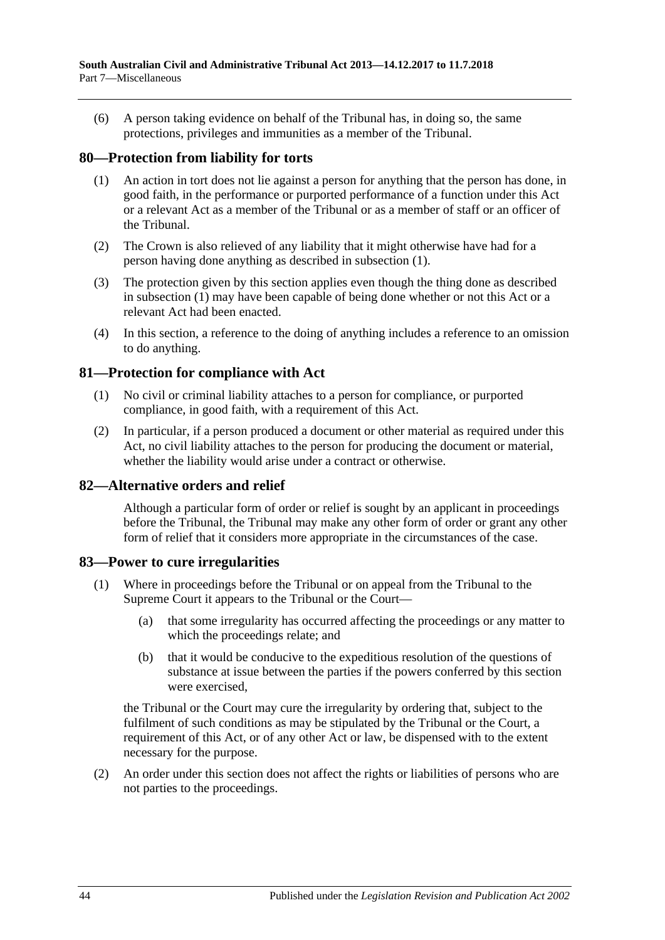(6) A person taking evidence on behalf of the Tribunal has, in doing so, the same protections, privileges and immunities as a member of the Tribunal.

### <span id="page-43-4"></span><span id="page-43-0"></span>**80—Protection from liability for torts**

- (1) An action in tort does not lie against a person for anything that the person has done, in good faith, in the performance or purported performance of a function under this Act or a relevant Act as a member of the Tribunal or as a member of staff or an officer of the Tribunal.
- (2) The Crown is also relieved of any liability that it might otherwise have had for a person having done anything as described in [subsection](#page-43-4) (1).
- (3) The protection given by this section applies even though the thing done as described in [subsection](#page-43-4) (1) may have been capable of being done whether or not this Act or a relevant Act had been enacted.
- (4) In this section, a reference to the doing of anything includes a reference to an omission to do anything.

### <span id="page-43-1"></span>**81—Protection for compliance with Act**

- (1) No civil or criminal liability attaches to a person for compliance, or purported compliance, in good faith, with a requirement of this Act.
- (2) In particular, if a person produced a document or other material as required under this Act, no civil liability attaches to the person for producing the document or material, whether the liability would arise under a contract or otherwise.

### <span id="page-43-2"></span>**82—Alternative orders and relief**

Although a particular form of order or relief is sought by an applicant in proceedings before the Tribunal, the Tribunal may make any other form of order or grant any other form of relief that it considers more appropriate in the circumstances of the case.

### <span id="page-43-3"></span>**83—Power to cure irregularities**

- (1) Where in proceedings before the Tribunal or on appeal from the Tribunal to the Supreme Court it appears to the Tribunal or the Court—
	- (a) that some irregularity has occurred affecting the proceedings or any matter to which the proceedings relate; and
	- (b) that it would be conducive to the expeditious resolution of the questions of substance at issue between the parties if the powers conferred by this section were exercised,

the Tribunal or the Court may cure the irregularity by ordering that, subject to the fulfilment of such conditions as may be stipulated by the Tribunal or the Court, a requirement of this Act, or of any other Act or law, be dispensed with to the extent necessary for the purpose.

(2) An order under this section does not affect the rights or liabilities of persons who are not parties to the proceedings.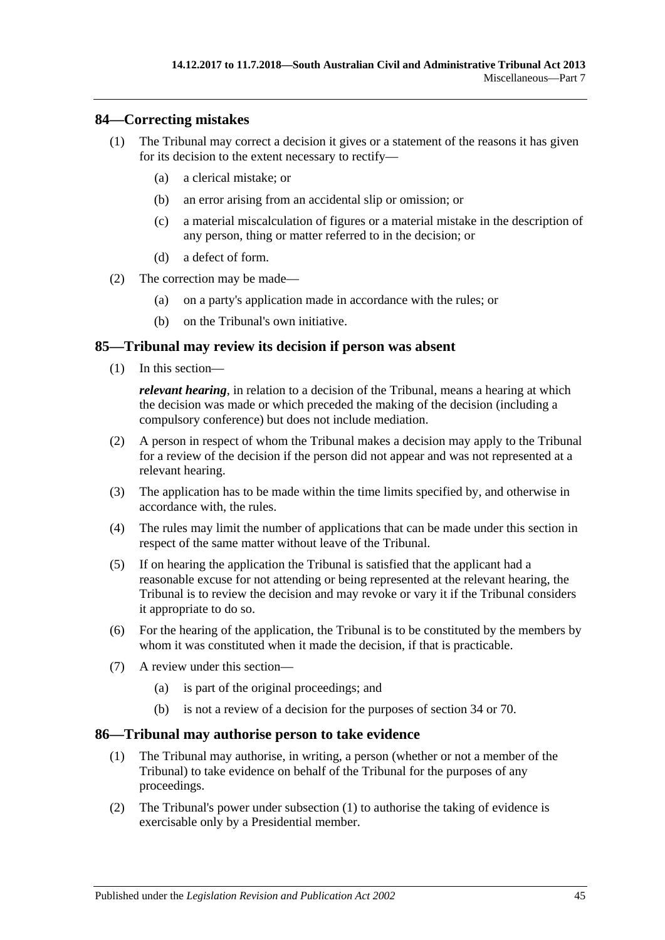### <span id="page-44-0"></span>**84—Correcting mistakes**

- (1) The Tribunal may correct a decision it gives or a statement of the reasons it has given for its decision to the extent necessary to rectify—
	- (a) a clerical mistake; or
	- (b) an error arising from an accidental slip or omission; or
	- (c) a material miscalculation of figures or a material mistake in the description of any person, thing or matter referred to in the decision; or
	- (d) a defect of form.
- (2) The correction may be made—
	- (a) on a party's application made in accordance with the rules; or
	- (b) on the Tribunal's own initiative.

### <span id="page-44-1"></span>**85—Tribunal may review its decision if person was absent**

(1) In this section—

*relevant hearing*, in relation to a decision of the Tribunal, means a hearing at which the decision was made or which preceded the making of the decision (including a compulsory conference) but does not include mediation.

- (2) A person in respect of whom the Tribunal makes a decision may apply to the Tribunal for a review of the decision if the person did not appear and was not represented at a relevant hearing.
- (3) The application has to be made within the time limits specified by, and otherwise in accordance with, the rules.
- (4) The rules may limit the number of applications that can be made under this section in respect of the same matter without leave of the Tribunal.
- (5) If on hearing the application the Tribunal is satisfied that the applicant had a reasonable excuse for not attending or being represented at the relevant hearing, the Tribunal is to review the decision and may revoke or vary it if the Tribunal considers it appropriate to do so.
- (6) For the hearing of the application, the Tribunal is to be constituted by the members by whom it was constituted when it made the decision, if that is practicable.
- (7) A review under this section—
	- (a) is part of the original proceedings; and
	- (b) is not a review of a decision for the purposes of [section](#page-21-3) 34 or [70.](#page-38-4)

### <span id="page-44-3"></span><span id="page-44-2"></span>**86—Tribunal may authorise person to take evidence**

- (1) The Tribunal may authorise, in writing, a person (whether or not a member of the Tribunal) to take evidence on behalf of the Tribunal for the purposes of any proceedings.
- (2) The Tribunal's power under [subsection](#page-44-3) (1) to authorise the taking of evidence is exercisable only by a Presidential member.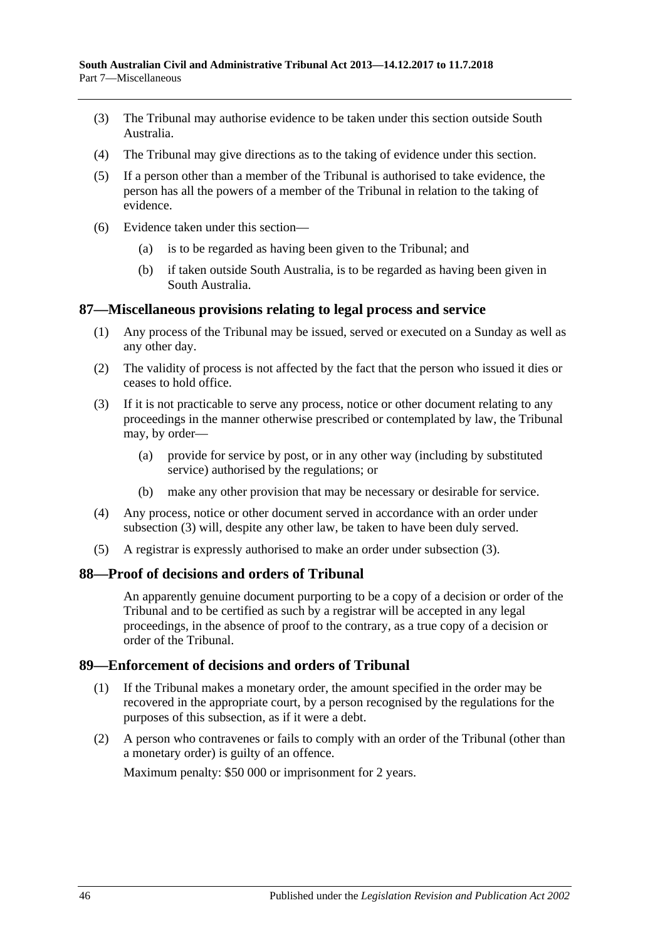- (3) The Tribunal may authorise evidence to be taken under this section outside South Australia.
- (4) The Tribunal may give directions as to the taking of evidence under this section.
- (5) If a person other than a member of the Tribunal is authorised to take evidence, the person has all the powers of a member of the Tribunal in relation to the taking of evidence.
- (6) Evidence taken under this section—
	- (a) is to be regarded as having been given to the Tribunal; and
	- (b) if taken outside South Australia, is to be regarded as having been given in South Australia.

### <span id="page-45-0"></span>**87—Miscellaneous provisions relating to legal process and service**

- (1) Any process of the Tribunal may be issued, served or executed on a Sunday as well as any other day.
- (2) The validity of process is not affected by the fact that the person who issued it dies or ceases to hold office.
- <span id="page-45-3"></span>(3) If it is not practicable to serve any process, notice or other document relating to any proceedings in the manner otherwise prescribed or contemplated by law, the Tribunal may, by order—
	- (a) provide for service by post, or in any other way (including by substituted service) authorised by the regulations; or
	- (b) make any other provision that may be necessary or desirable for service.
- (4) Any process, notice or other document served in accordance with an order under [subsection](#page-45-3) (3) will, despite any other law, be taken to have been duly served.
- (5) A registrar is expressly authorised to make an order under [subsection](#page-45-3) (3).

# <span id="page-45-1"></span>**88—Proof of decisions and orders of Tribunal**

An apparently genuine document purporting to be a copy of a decision or order of the Tribunal and to be certified as such by a registrar will be accepted in any legal proceedings, in the absence of proof to the contrary, as a true copy of a decision or order of the Tribunal.

# <span id="page-45-2"></span>**89—Enforcement of decisions and orders of Tribunal**

- (1) If the Tribunal makes a monetary order, the amount specified in the order may be recovered in the appropriate court, by a person recognised by the regulations for the purposes of this subsection, as if it were a debt.
- (2) A person who contravenes or fails to comply with an order of the Tribunal (other than a monetary order) is guilty of an offence.

Maximum penalty: \$50 000 or imprisonment for 2 years.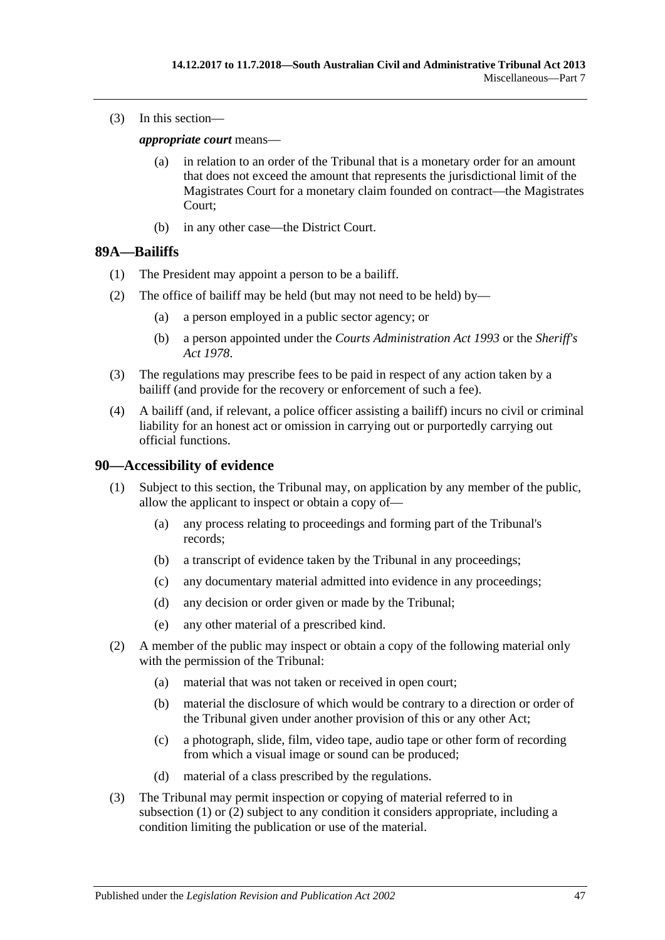(3) In this section—

*appropriate court* means—

- (a) in relation to an order of the Tribunal that is a monetary order for an amount that does not exceed the amount that represents the jurisdictional limit of the Magistrates Court for a monetary claim founded on contract—the Magistrates Court;
- (b) in any other case—the District Court.

### <span id="page-46-0"></span>**89A—Bailiffs**

- (1) The President may appoint a person to be a bailiff.
- (2) The office of bailiff may be held (but may not need to be held) by—
	- (a) a person employed in a public sector agency; or
	- (b) a person appointed under the *[Courts Administration Act](http://www.legislation.sa.gov.au/index.aspx?action=legref&type=act&legtitle=Courts%20Administration%20Act%201993) 1993* or the *[Sheriff's](http://www.legislation.sa.gov.au/index.aspx?action=legref&type=act&legtitle=Sheriffs%20Act%201978)  Act [1978](http://www.legislation.sa.gov.au/index.aspx?action=legref&type=act&legtitle=Sheriffs%20Act%201978)*.
- (3) The regulations may prescribe fees to be paid in respect of any action taken by a bailiff (and provide for the recovery or enforcement of such a fee).
- (4) A bailiff (and, if relevant, a police officer assisting a bailiff) incurs no civil or criminal liability for an honest act or omission in carrying out or purportedly carrying out official functions.

### <span id="page-46-2"></span><span id="page-46-1"></span>**90—Accessibility of evidence**

- (1) Subject to this section, the Tribunal may, on application by any member of the public, allow the applicant to inspect or obtain a copy of—
	- (a) any process relating to proceedings and forming part of the Tribunal's records;
	- (b) a transcript of evidence taken by the Tribunal in any proceedings;
	- (c) any documentary material admitted into evidence in any proceedings;
	- (d) any decision or order given or made by the Tribunal;
	- (e) any other material of a prescribed kind.
- <span id="page-46-3"></span>(2) A member of the public may inspect or obtain a copy of the following material only with the permission of the Tribunal:
	- (a) material that was not taken or received in open court;
	- (b) material the disclosure of which would be contrary to a direction or order of the Tribunal given under another provision of this or any other Act;
	- (c) a photograph, slide, film, video tape, audio tape or other form of recording from which a visual image or sound can be produced;
	- (d) material of a class prescribed by the regulations.
- (3) The Tribunal may permit inspection or copying of material referred to in [subsection](#page-46-2) (1) or [\(2\)](#page-46-3) subject to any condition it considers appropriate, including a condition limiting the publication or use of the material.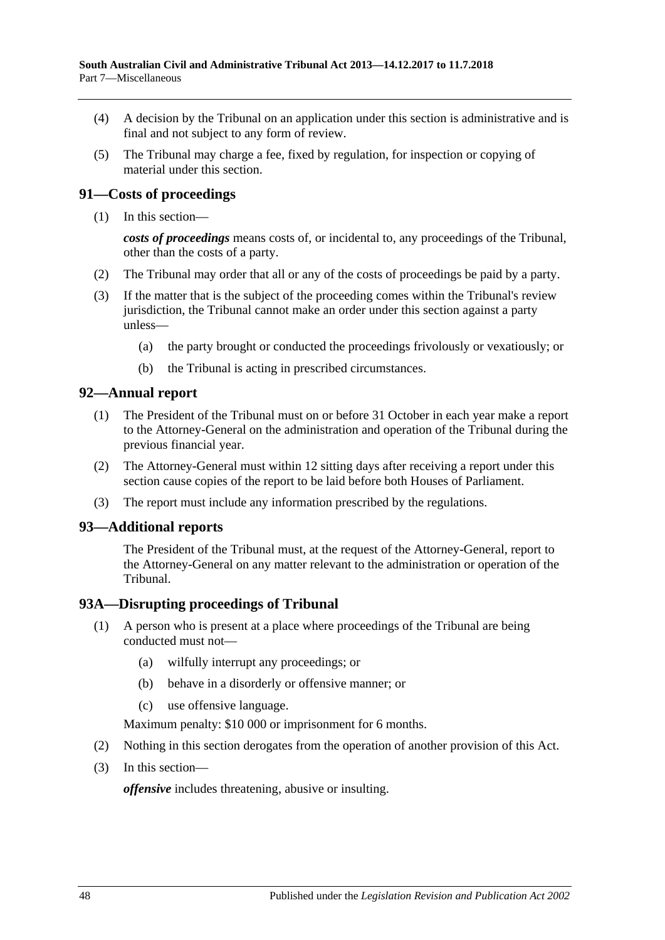- (4) A decision by the Tribunal on an application under this section is administrative and is final and not subject to any form of review.
- (5) The Tribunal may charge a fee, fixed by regulation, for inspection or copying of material under this section.

# <span id="page-47-0"></span>**91—Costs of proceedings**

(1) In this section—

*costs of proceedings* means costs of, or incidental to, any proceedings of the Tribunal, other than the costs of a party.

- (2) The Tribunal may order that all or any of the costs of proceedings be paid by a party.
- (3) If the matter that is the subject of the proceeding comes within the Tribunal's review jurisdiction, the Tribunal cannot make an order under this section against a party unless—
	- (a) the party brought or conducted the proceedings frivolously or vexatiously; or
	- (b) the Tribunal is acting in prescribed circumstances.

### <span id="page-47-1"></span>**92—Annual report**

- (1) The President of the Tribunal must on or before 31 October in each year make a report to the Attorney-General on the administration and operation of the Tribunal during the previous financial year.
- (2) The Attorney-General must within 12 sitting days after receiving a report under this section cause copies of the report to be laid before both Houses of Parliament.
- (3) The report must include any information prescribed by the regulations.

### <span id="page-47-2"></span>**93—Additional reports**

The President of the Tribunal must, at the request of the Attorney-General, report to the Attorney-General on any matter relevant to the administration or operation of the Tribunal.

# <span id="page-47-3"></span>**93A—Disrupting proceedings of Tribunal**

- (1) A person who is present at a place where proceedings of the Tribunal are being conducted must not—
	- (a) wilfully interrupt any proceedings; or
	- (b) behave in a disorderly or offensive manner; or
	- (c) use offensive language.

Maximum penalty: \$10 000 or imprisonment for 6 months.

- (2) Nothing in this section derogates from the operation of another provision of this Act.
- (3) In this section—

*offensive* includes threatening, abusive or insulting.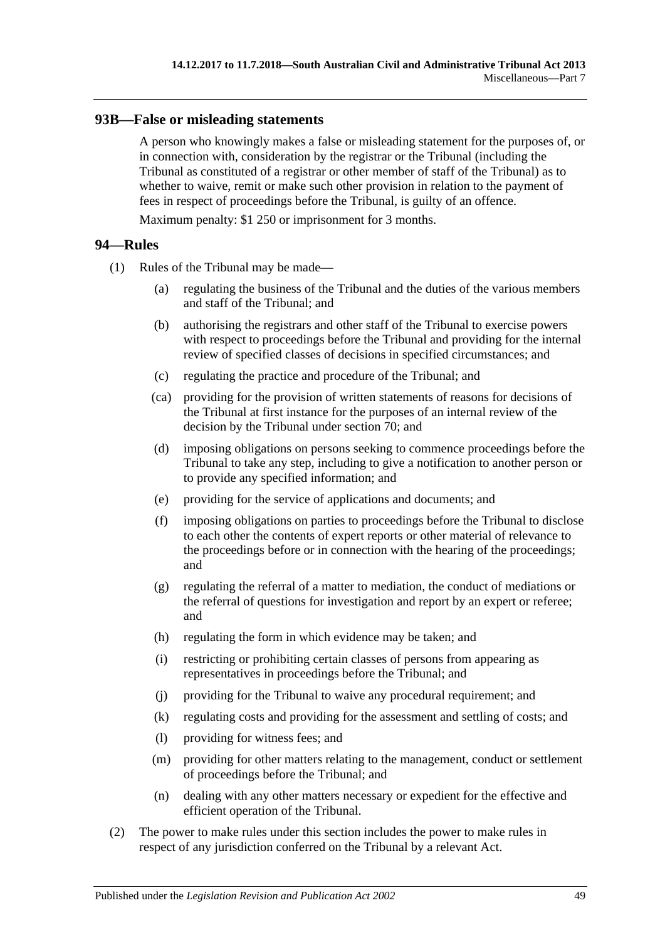# <span id="page-48-0"></span>**93B—False or misleading statements**

A person who knowingly makes a false or misleading statement for the purposes of, or in connection with, consideration by the registrar or the Tribunal (including the Tribunal as constituted of a registrar or other member of staff of the Tribunal) as to whether to waive, remit or make such other provision in relation to the payment of fees in respect of proceedings before the Tribunal, is guilty of an offence.

Maximum penalty: \$1 250 or imprisonment for 3 months.

### <span id="page-48-1"></span>**94—Rules**

- (1) Rules of the Tribunal may be made—
	- (a) regulating the business of the Tribunal and the duties of the various members and staff of the Tribunal; and
	- (b) authorising the registrars and other staff of the Tribunal to exercise powers with respect to proceedings before the Tribunal and providing for the internal review of specified classes of decisions in specified circumstances; and
	- (c) regulating the practice and procedure of the Tribunal; and
	- (ca) providing for the provision of written statements of reasons for decisions of the Tribunal at first instance for the purposes of an internal review of the decision by the Tribunal under [section](#page-38-4) 70; and
	- (d) imposing obligations on persons seeking to commence proceedings before the Tribunal to take any step, including to give a notification to another person or to provide any specified information; and
	- (e) providing for the service of applications and documents; and
	- (f) imposing obligations on parties to proceedings before the Tribunal to disclose to each other the contents of expert reports or other material of relevance to the proceedings before or in connection with the hearing of the proceedings; and
	- (g) regulating the referral of a matter to mediation, the conduct of mediations or the referral of questions for investigation and report by an expert or referee; and
	- (h) regulating the form in which evidence may be taken; and
	- (i) restricting or prohibiting certain classes of persons from appearing as representatives in proceedings before the Tribunal; and
	- (j) providing for the Tribunal to waive any procedural requirement; and
	- (k) regulating costs and providing for the assessment and settling of costs; and
	- (l) providing for witness fees; and
	- (m) providing for other matters relating to the management, conduct or settlement of proceedings before the Tribunal; and
	- (n) dealing with any other matters necessary or expedient for the effective and efficient operation of the Tribunal.
- (2) The power to make rules under this section includes the power to make rules in respect of any jurisdiction conferred on the Tribunal by a relevant Act.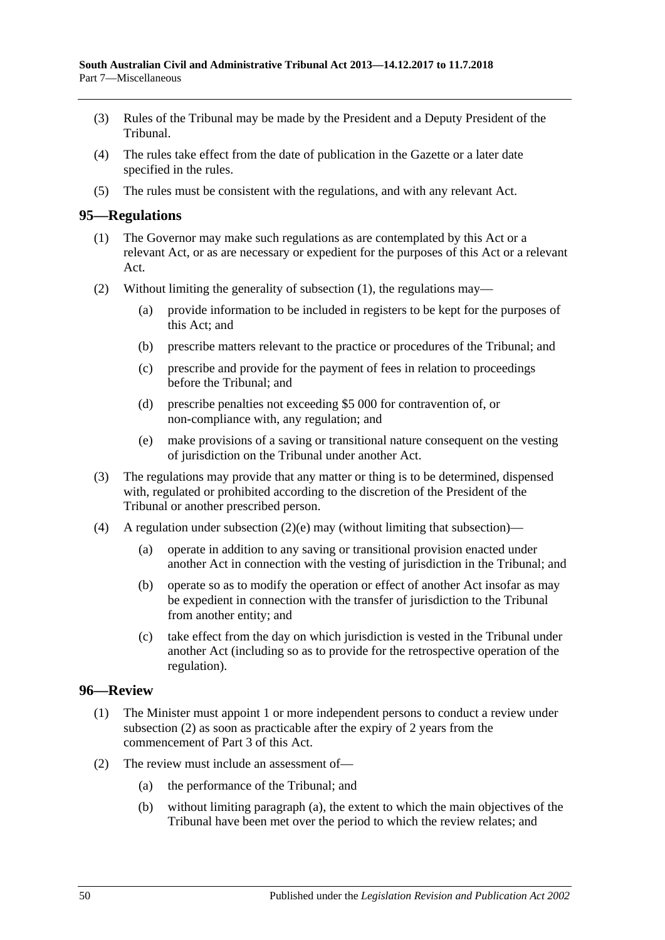- (3) Rules of the Tribunal may be made by the President and a Deputy President of the Tribunal.
- (4) The rules take effect from the date of publication in the Gazette or a later date specified in the rules.
- (5) The rules must be consistent with the regulations, and with any relevant Act.

### <span id="page-49-2"></span><span id="page-49-0"></span>**95—Regulations**

- (1) The Governor may make such regulations as are contemplated by this Act or a relevant Act, or as are necessary or expedient for the purposes of this Act or a relevant Act.
- (2) Without limiting the generality of [subsection](#page-49-2) (1), the regulations may—
	- (a) provide information to be included in registers to be kept for the purposes of this Act; and
	- (b) prescribe matters relevant to the practice or procedures of the Tribunal; and
	- (c) prescribe and provide for the payment of fees in relation to proceedings before the Tribunal; and
	- (d) prescribe penalties not exceeding \$5 000 for contravention of, or non-compliance with, any regulation; and
	- (e) make provisions of a saving or transitional nature consequent on the vesting of jurisdiction on the Tribunal under another Act.
- <span id="page-49-3"></span>(3) The regulations may provide that any matter or thing is to be determined, dispensed with, regulated or prohibited according to the discretion of the President of the Tribunal or another prescribed person.
- (4) A regulation under [subsection](#page-49-3)  $(2)(e)$  may (without limiting that subsection)—
	- (a) operate in addition to any saving or transitional provision enacted under another Act in connection with the vesting of jurisdiction in the Tribunal; and
	- (b) operate so as to modify the operation or effect of another Act insofar as may be expedient in connection with the transfer of jurisdiction to the Tribunal from another entity; and
	- (c) take effect from the day on which jurisdiction is vested in the Tribunal under another Act (including so as to provide for the retrospective operation of the regulation).

### <span id="page-49-1"></span>**96—Review**

- (1) The Minister must appoint 1 or more independent persons to conduct a review under [subsection](#page-49-4) (2) as soon as practicable after the expiry of 2 years from the commencement of [Part](#page-20-1) 3 of this Act.
- <span id="page-49-5"></span><span id="page-49-4"></span>(2) The review must include an assessment of—
	- (a) the performance of the Tribunal; and
	- (b) without limiting [paragraph](#page-49-5) (a), the extent to which the main objectives of the Tribunal have been met over the period to which the review relates; and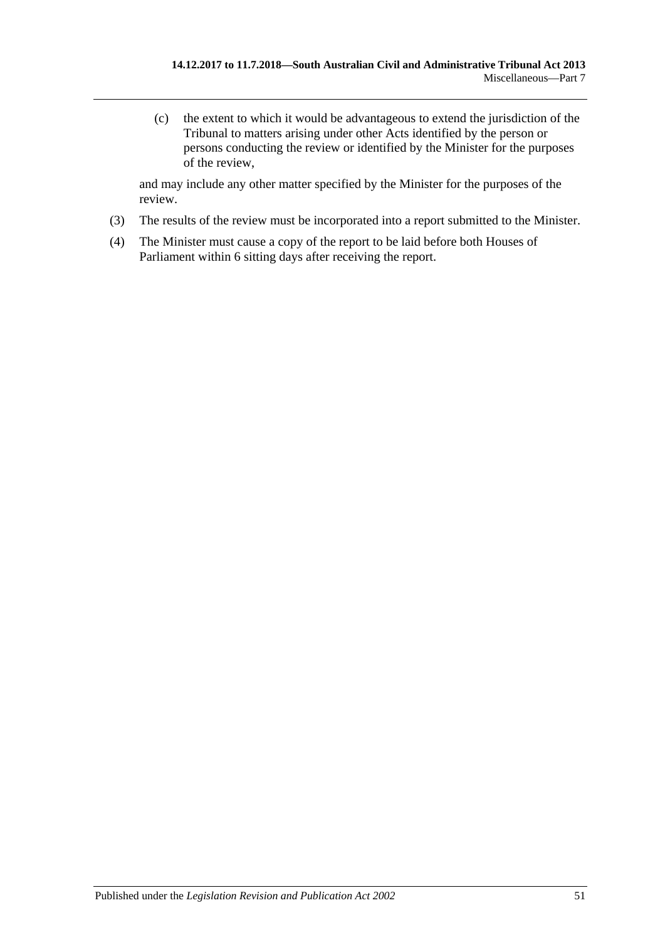(c) the extent to which it would be advantageous to extend the jurisdiction of the Tribunal to matters arising under other Acts identified by the person or persons conducting the review or identified by the Minister for the purposes of the review,

and may include any other matter specified by the Minister for the purposes of the review.

- (3) The results of the review must be incorporated into a report submitted to the Minister.
- (4) The Minister must cause a copy of the report to be laid before both Houses of Parliament within 6 sitting days after receiving the report.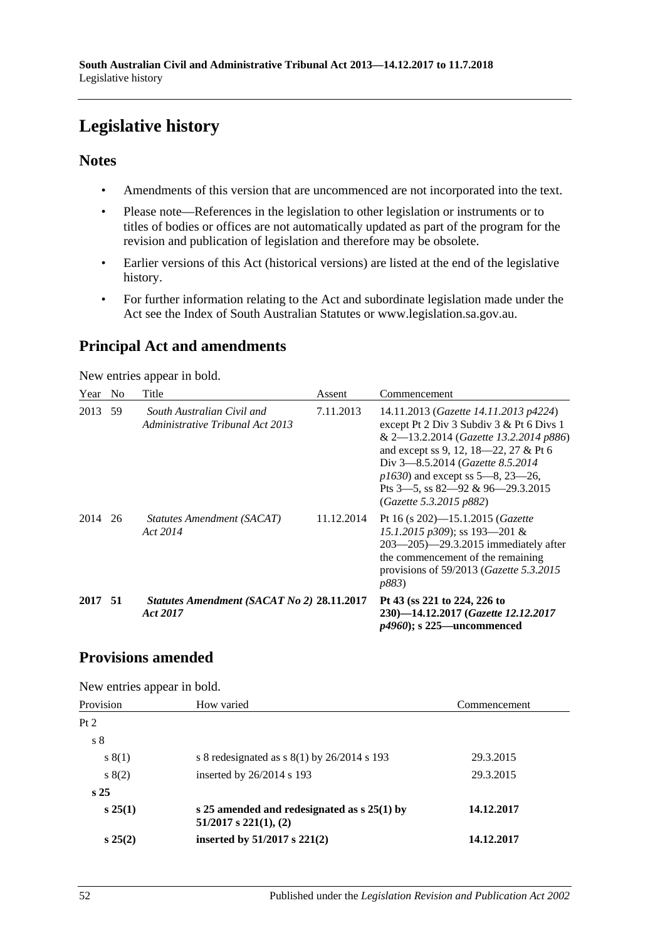# <span id="page-51-0"></span>**Legislative history**

# **Notes**

- Amendments of this version that are uncommenced are not incorporated into the text.
- Please note—References in the legislation to other legislation or instruments or to titles of bodies or offices are not automatically updated as part of the program for the revision and publication of legislation and therefore may be obsolete.
- Earlier versions of this Act (historical versions) are listed at the end of the legislative history.
- For further information relating to the Act and subordinate legislation made under the Act see the Index of South Australian Statutes or www.legislation.sa.gov.au.

# **Principal Act and amendments**

New entries appear in bold.

| Year    | N <sub>0</sub> | Title                                                          | Assent     | Commencement                                                                                                                                                                                                                                                                                                        |
|---------|----------------|----------------------------------------------------------------|------------|---------------------------------------------------------------------------------------------------------------------------------------------------------------------------------------------------------------------------------------------------------------------------------------------------------------------|
| 2013 59 |                | South Australian Civil and<br>Administrative Tribunal Act 2013 | 7.11.2013  | 14.11.2013 (Gazette 14.11.2013 p4224)<br>except Pt 2 Div 3 Subdiv 3 & Pt 6 Divs 1<br>& 2-13.2.2014 (Gazette 13.2.2014 p886)<br>and except ss 9, 12, 18—22, 27 & Pt 6<br>Div 3-8.5.2014 (Gazette 8.5.2014)<br>$p1630$ and except ss 5—8, 23—26,<br>Pts $3$ —5, ss $82$ —92 & 96—29.3.2015<br>(Gazette 5.3.2015 p882) |
| 2014    | 26             | Statutes Amendment (SACAT)<br>Act 2014                         | 11.12.2014 | Pt 16 (s 202)-15.1.2015 (Gazette<br>15.1.2015 p309); ss 193-201 &<br>$203 - 205$ $-29.3.2015$ immediately after<br>the commencement of the remaining<br>provisions of $59/2013$ ( <i>Gazette</i> 5.3.2015<br><i>p883</i> )                                                                                          |
| 2017 51 |                | Statutes Amendment (SACAT No 2) 28.11.2017<br>Act 2017         |            | Pt 43 (ss 221 to 224, 226 to<br>230)-14.12.2017 (Gazette 12.12.2017<br>$p4960$ ; s 225—uncommenced                                                                                                                                                                                                                  |

# **Provisions amended**

New entries appear in bold.

| Provision       | How varied                                                                  | Commencement |
|-----------------|-----------------------------------------------------------------------------|--------------|
| Pt 2            |                                                                             |              |
| s <sub>8</sub>  |                                                                             |              |
| s(1)            | s 8 redesignated as $s(1)$ by 26/2014 s 193                                 | 29.3.2015    |
| s(2)            | inserted by 26/2014 s 193                                                   | 29.3.2015    |
| s <sub>25</sub> |                                                                             |              |
| $s\,25(1)$      | s 25 amended and redesignated as $s$ 25(1) by<br>$51/2017$ s $221(1)$ , (2) | 14.12.2017   |
| $s\,25(2)$      | inserted by $51/2017$ s $221(2)$                                            | 14.12.2017   |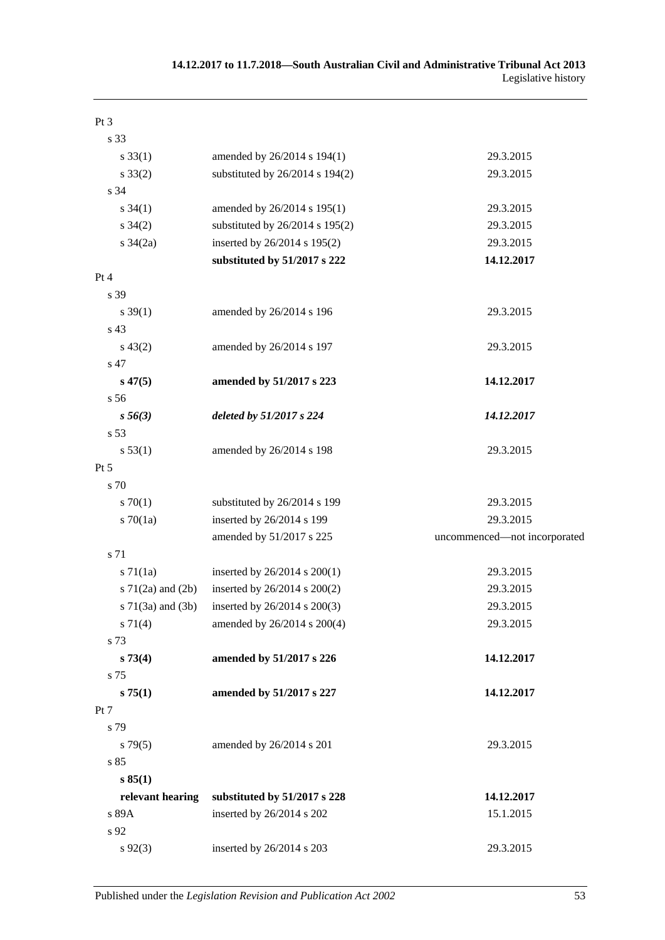| Pt 3                     |                                 |                              |
|--------------------------|---------------------------------|------------------------------|
| s 33                     |                                 |                              |
| $s \, 33(1)$             | amended by 26/2014 s 194(1)     | 29.3.2015                    |
| $s \, 33(2)$             | substituted by 26/2014 s 194(2) | 29.3.2015                    |
| s 34                     |                                 |                              |
| $s \, 34(1)$             | amended by 26/2014 s 195(1)     | 29.3.2015                    |
| $s \, 34(2)$             | substituted by 26/2014 s 195(2) | 29.3.2015                    |
| $s \frac{34}{2a}$        | inserted by 26/2014 s 195(2)    | 29.3.2015                    |
|                          | substituted by 51/2017 s 222    | 14.12.2017                   |
| Pt 4                     |                                 |                              |
| s 39                     |                                 |                              |
| $s \, 39(1)$             | amended by 26/2014 s 196        | 29.3.2015                    |
| s 43                     |                                 |                              |
| $s\,43(2)$               | amended by 26/2014 s 197        | 29.3.2015                    |
| s 47                     |                                 |                              |
| $s\,47(5)$               | amended by 51/2017 s 223        | 14.12.2017                   |
| s 56                     |                                 |                              |
| $s\,56(3)$               | deleted by 51/2017 s 224        | 14.12.2017                   |
| s 53                     |                                 |                              |
| s 53(1)                  | amended by 26/2014 s 198        | 29.3.2015                    |
| $Pt\,5$                  |                                 |                              |
| s 70                     |                                 |                              |
| 570(1)                   | substituted by 26/2014 s 199    | 29.3.2015                    |
| $s \, 70(1a)$            | inserted by 26/2014 s 199       | 29.3.2015                    |
|                          | amended by 51/2017 s 225        | uncommenced-not incorporated |
| s 71                     |                                 |                              |
| $s \, 71(1a)$            | inserted by 26/2014 s 200(1)    | 29.3.2015                    |
| s $71(2a)$ and $(2b)$    | inserted by 26/2014 s 200(2)    | 29.3.2015                    |
| $s \, 71(3a)$ and $(3b)$ | inserted by 26/2014 s 200(3)    | 29.3.2015                    |
| s 71(4)                  | amended by 26/2014 s 200(4)     | 29.3.2015                    |
| s 73                     |                                 |                              |
| s 73(4)                  | amended by 51/2017 s 226        | 14.12.2017                   |
| s 75                     |                                 |                              |
| s 75(1)                  | amended by 51/2017 s 227        | 14.12.2017                   |
| Pt 7                     |                                 |                              |
| s 79                     |                                 |                              |
| s79(5)                   | amended by 26/2014 s 201        | 29.3.2015                    |
| s 85                     |                                 |                              |
| s 85(1)                  |                                 |                              |
| relevant hearing         | substituted by 51/2017 s 228    | 14.12.2017                   |
| s 89A                    | inserted by 26/2014 s 202       | 15.1.2015                    |
| s 92                     |                                 |                              |
| $s\,92(3)$               | inserted by 26/2014 s 203       | 29.3.2015                    |